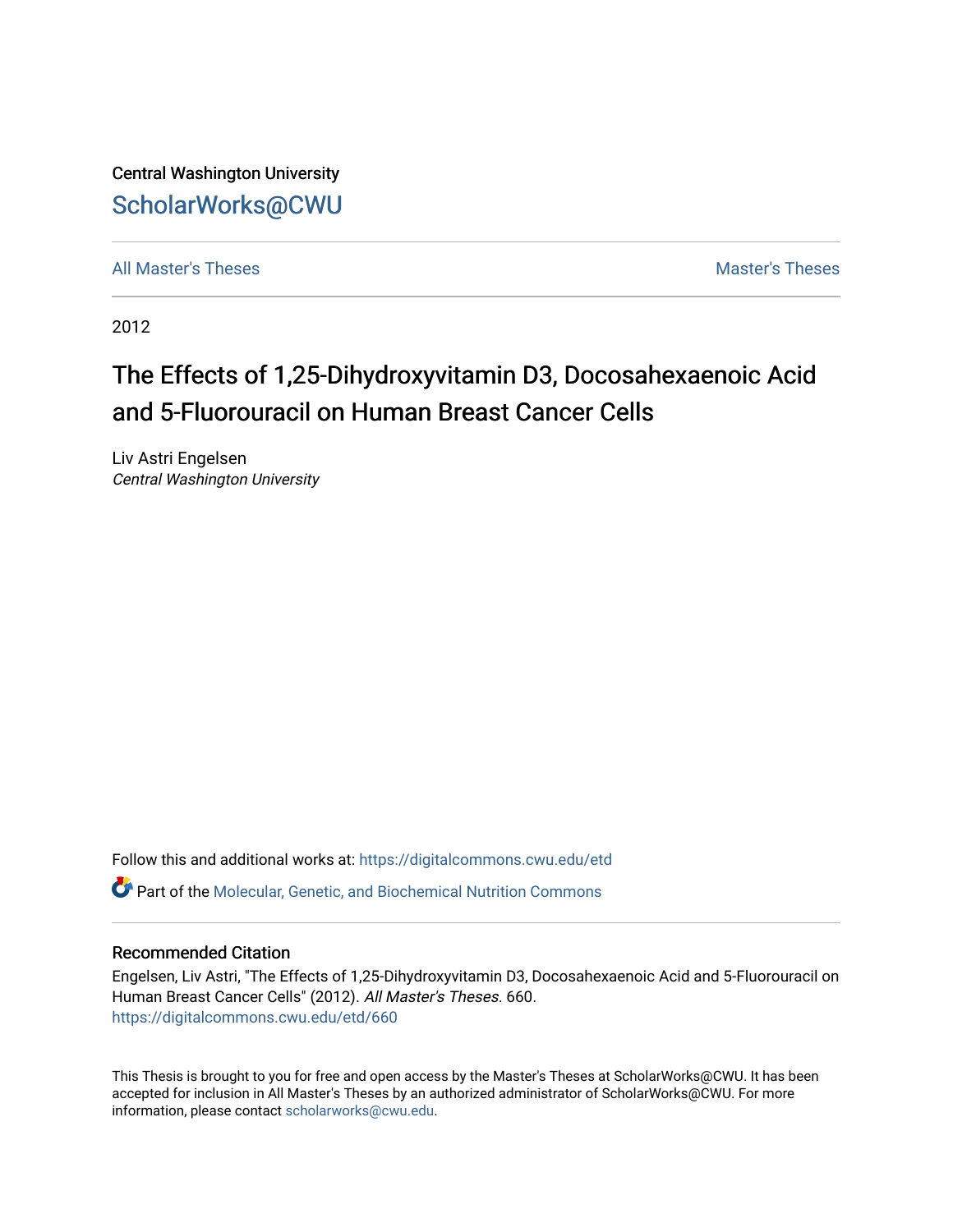Central Washington University [ScholarWorks@CWU](https://digitalcommons.cwu.edu/) 

[All Master's Theses](https://digitalcommons.cwu.edu/etd) and the set of the set of the set of the set of the set of the set of the set of the set of the set of the set of the set of the set of the set of the set of the set of the set of the set of the set of

2012

# The Effects of 1,25-Dihydroxyvitamin D3, Docosahexaenoic Acid and 5-Fluorouracil on Human Breast Cancer Cells

Liv Astri Engelsen Central Washington University

Follow this and additional works at: [https://digitalcommons.cwu.edu/etd](https://digitalcommons.cwu.edu/etd?utm_source=digitalcommons.cwu.edu%2Fetd%2F660&utm_medium=PDF&utm_campaign=PDFCoverPages)  Part of the [Molecular, Genetic, and Biochemical Nutrition Commons](http://network.bepress.com/hgg/discipline/99?utm_source=digitalcommons.cwu.edu%2Fetd%2F660&utm_medium=PDF&utm_campaign=PDFCoverPages) 

## Recommended Citation

Engelsen, Liv Astri, "The Effects of 1,25-Dihydroxyvitamin D3, Docosahexaenoic Acid and 5-Fluorouracil on Human Breast Cancer Cells" (2012). All Master's Theses. 660. [https://digitalcommons.cwu.edu/etd/660](https://digitalcommons.cwu.edu/etd/660?utm_source=digitalcommons.cwu.edu%2Fetd%2F660&utm_medium=PDF&utm_campaign=PDFCoverPages) 

This Thesis is brought to you for free and open access by the Master's Theses at ScholarWorks@CWU. It has been accepted for inclusion in All Master's Theses by an authorized administrator of ScholarWorks@CWU. For more information, please contact [scholarworks@cwu.edu.](mailto:scholarworks@cwu.edu)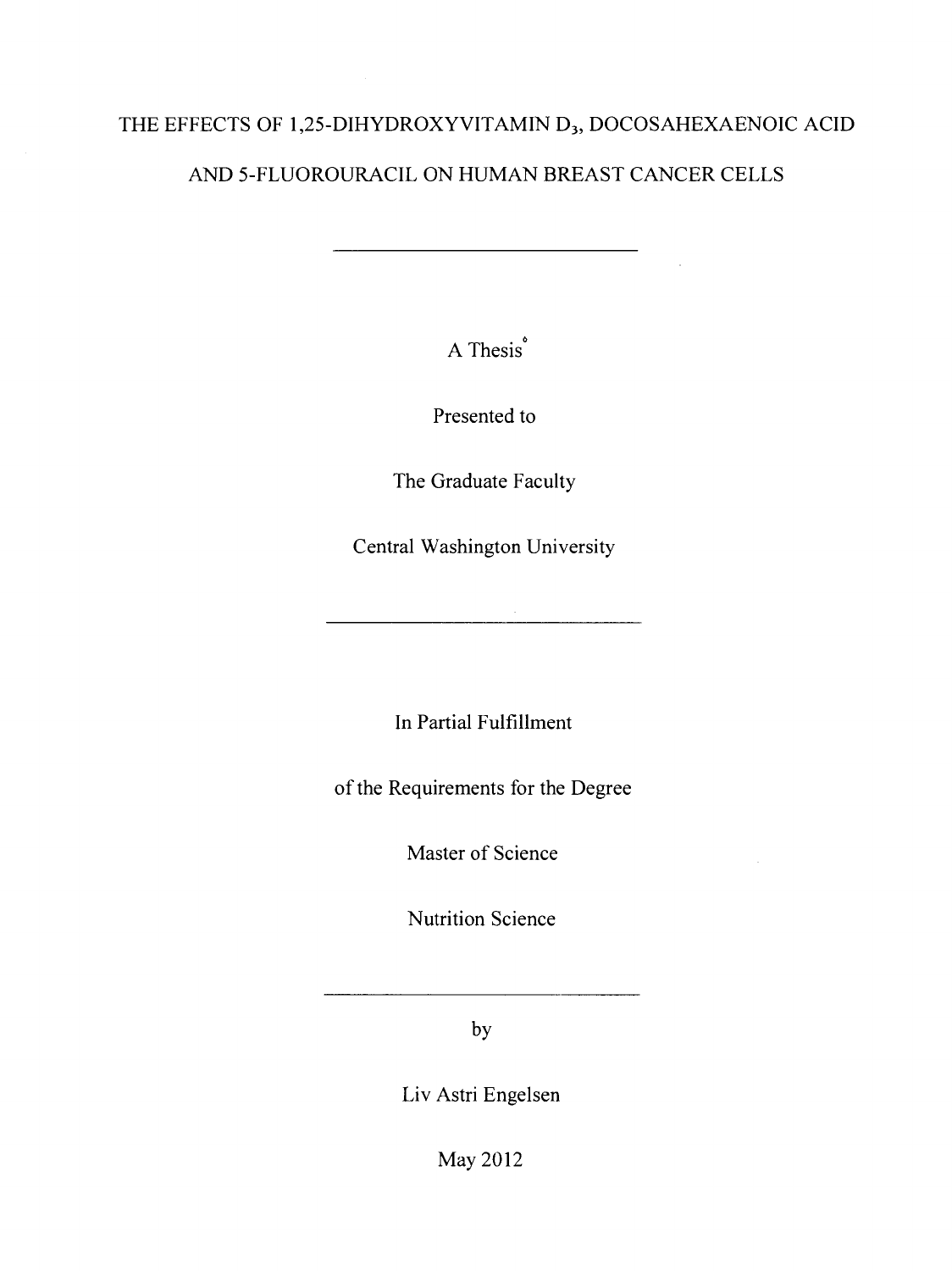## THE EFFECTS OF 1,25-DIHYDROXYVITAMIN D<sub>3</sub>, DOCOSAHEXAENOIC ACID

## AND 5-FLUOROURACIL ON HUMAN BREAST CANCER CELLS

A Thesis<sup>®</sup>

Presented to

The Graduate Faculty

Central Washington University

In Partial Fulfillment

of the Requirements for the Degree

Master of Science

Nutrition Science

by

Liv Astri Engelsen

May 2012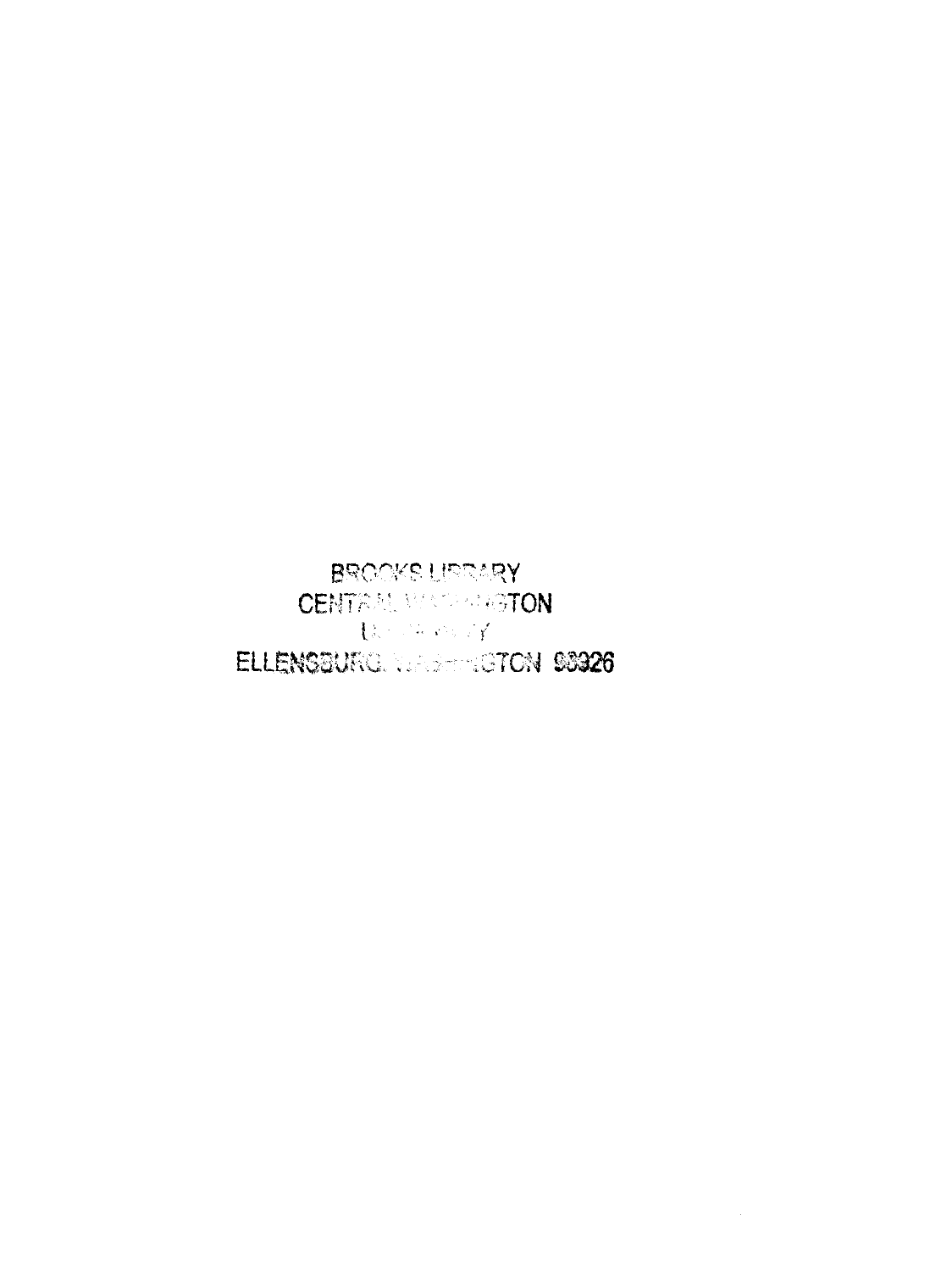BROOKS LIFEARY **CENTRAL MASSARISTON** (Band County) ELLENSBURG. WAS TRICTON 98926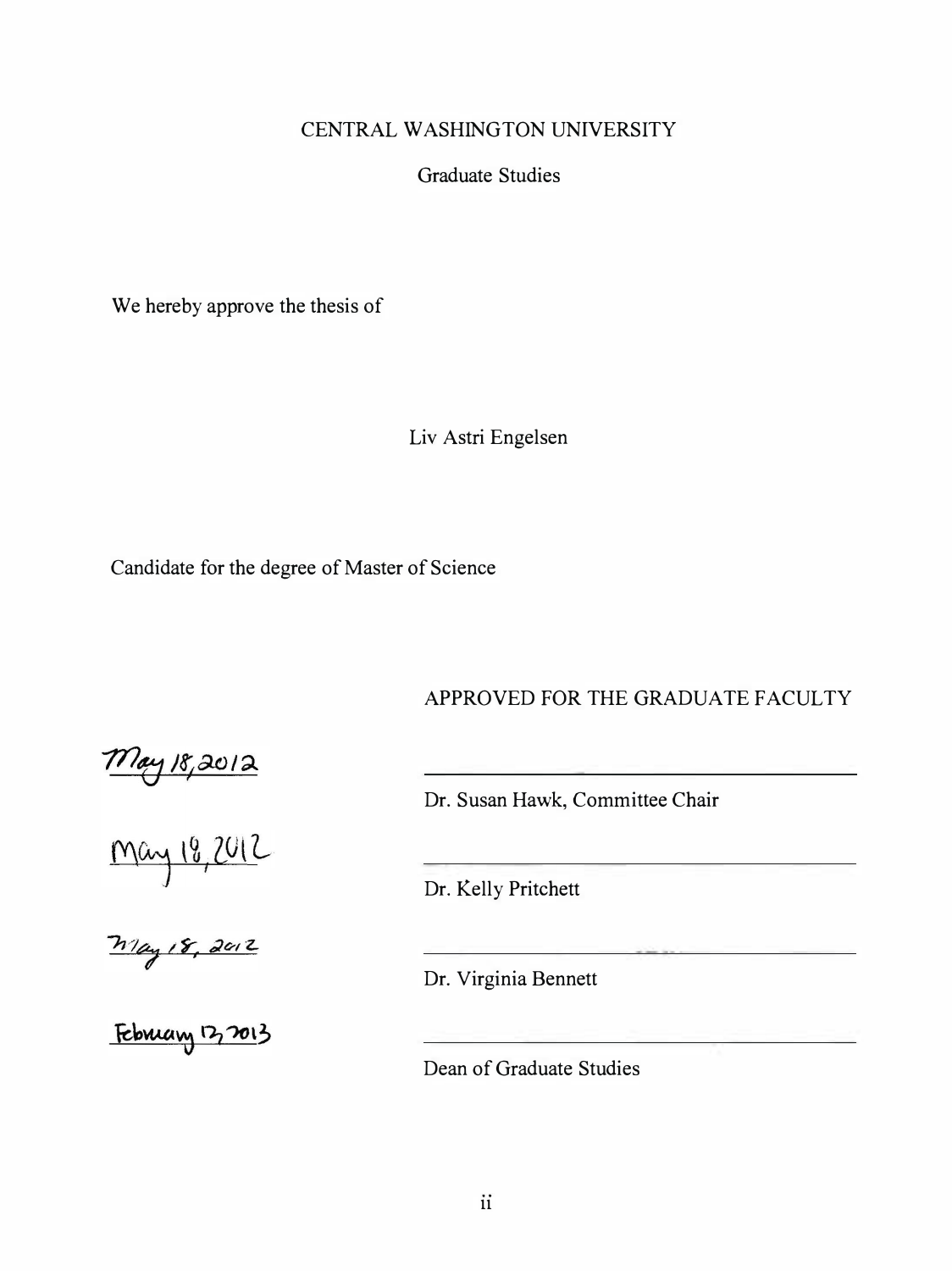## CENTRAL WASHING TON UNIVERSITY

Graduate Studies

We hereby approve the thesis of

Liv Astri Engelsen

Candidate for the degree of Master of Science

APPROVED FOR THE GRADUATE FACULTY

Dr. Susan Hawk, Committee Chair

Dr. Kelly Pritchett

Dr. Virginia Bennett

Dean of Graduate Studies

 $m_{\text{ay}\, \text{18,2012}}$ 

May 18,2012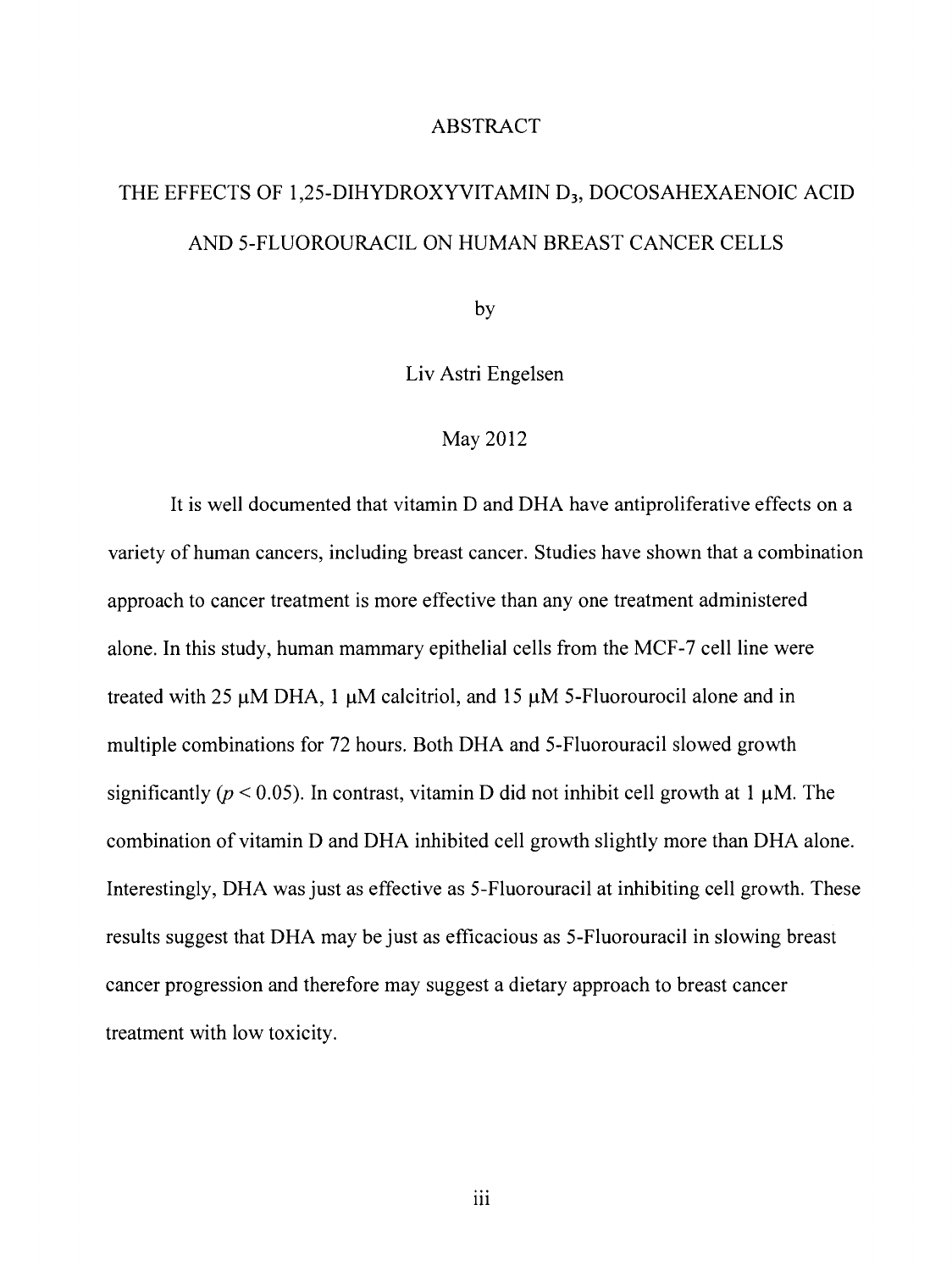## ABSTRACT

# THE EFFECTS OF 1,25-DIHYDROXYVITAMIN D<sub>3</sub>, DOCOSAHEXAENOIC ACID AND 5-FLUOROURACIL ON HUMAN BREAST CANCER CELLS

by

Liv Astri Engelsen

## May 2012

It is well documented that vitamin D and DHA have antiproliferative effects on a variety of human cancers, including breast cancer. Studies have shown that a combination approach to cancer treatment is more effective than any one treatment administered alone. In this study, human mammary epithelial cells from the MCF-7 cell line were treated with 25 µM DHA, 1 µM calcitriol, and 15 µM 5-Fluorourocil alone and in multiple combinations for 72 hours. Both DHA and 5-Fluorouracil slowed growth significantly ( $p < 0.05$ ). In contrast, vitamin D did not inhibit cell growth at 1  $\mu$ M. The combination of vitamin D and DHA inhibited cell growth slightly more than DHA alone. Interestingly, DHA was just as effective as 5-Fluorouracil at inhibiting cell growth. These results suggest that DHA may be just as efficacious as 5-Fluorouracil in slowing breast cancer progression and therefore may suggest a dietary approach to breast cancer treatment with low toxicity.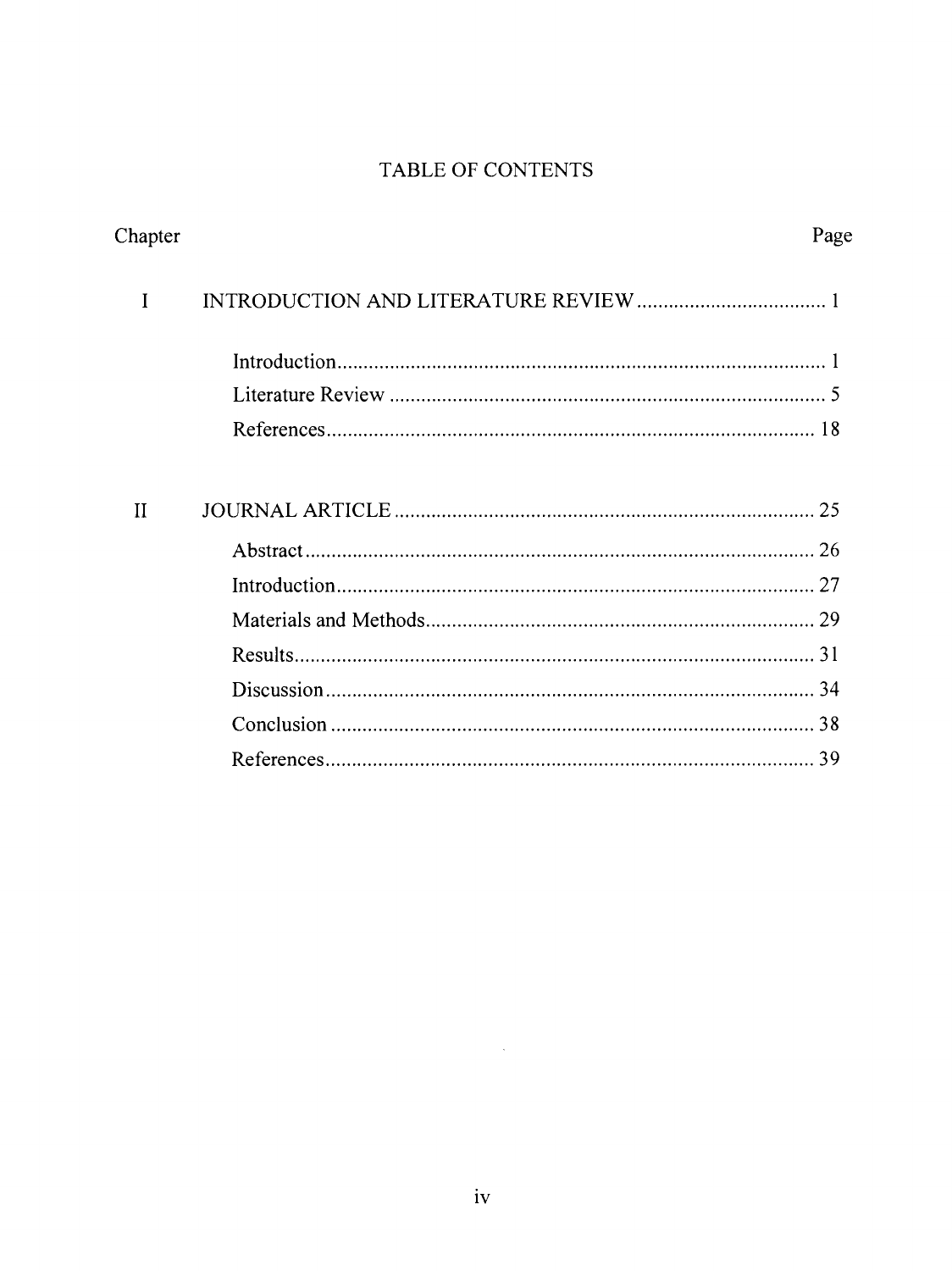## TABLE OF CONTENTS

| Chapter     | Page |  |
|-------------|------|--|
| I           |      |  |
|             |      |  |
|             |      |  |
|             |      |  |
|             |      |  |
| $_{\rm II}$ |      |  |
|             |      |  |
|             |      |  |
|             |      |  |
|             |      |  |
|             |      |  |
|             |      |  |
|             | -39  |  |
|             |      |  |

 $\sim 30$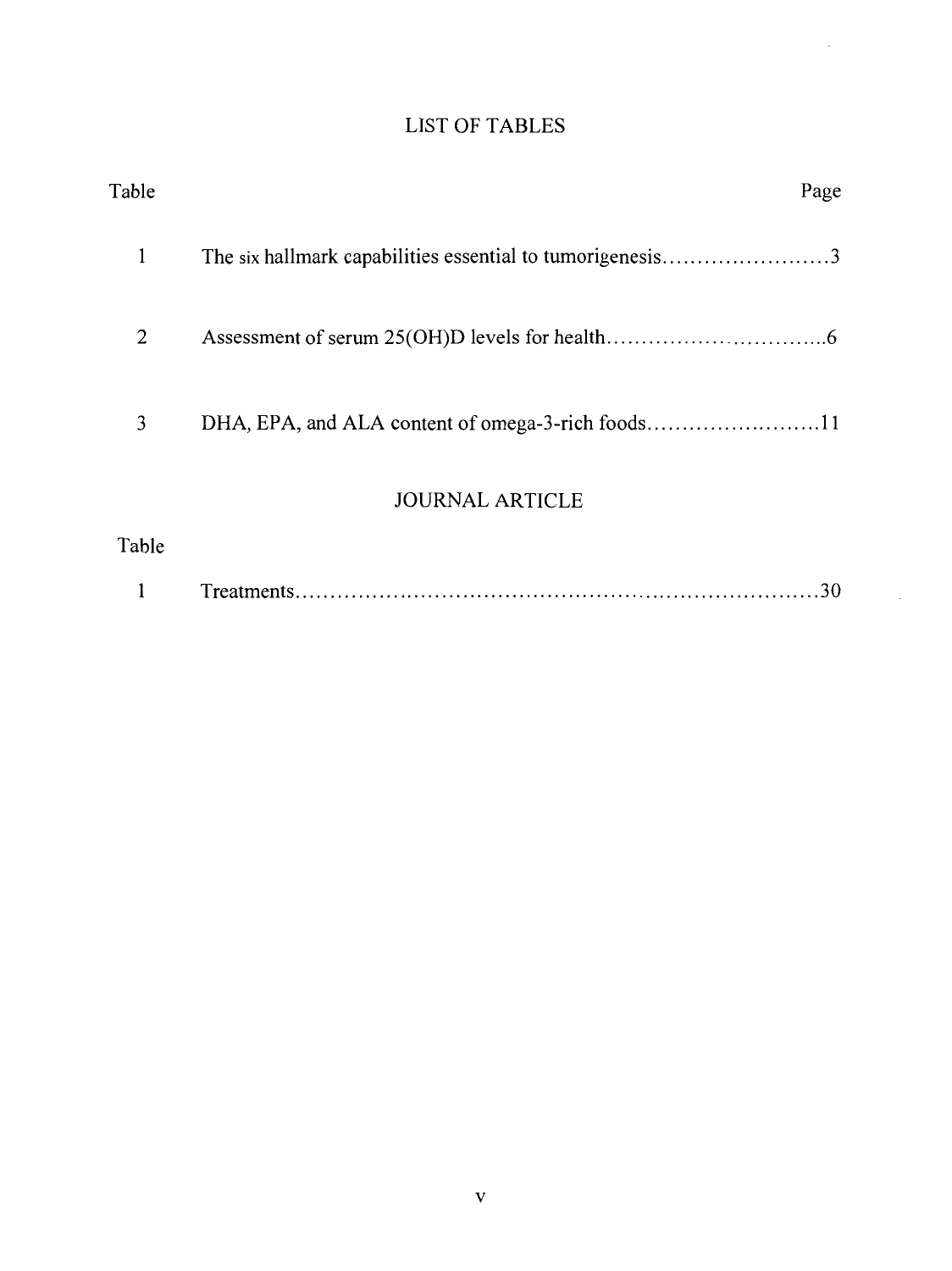| <b>LIST OF TABLES</b> |  |
|-----------------------|--|
|                       |  |
|                       |  |

 $\mathcal{L}^{\mathcal{L}}$ 

 $\sim$ 

| Table | Page                                                      |
|-------|-----------------------------------------------------------|
| 1     | The six hallmark capabilities essential to tumorigenesis3 |
| 2     |                                                           |
| 3     | DHA, EPA, and ALA content of omega-3-rich foods11         |
|       | <b>JOURNAL ARTICLE</b>                                    |
| Table |                                                           |
|       | 30                                                        |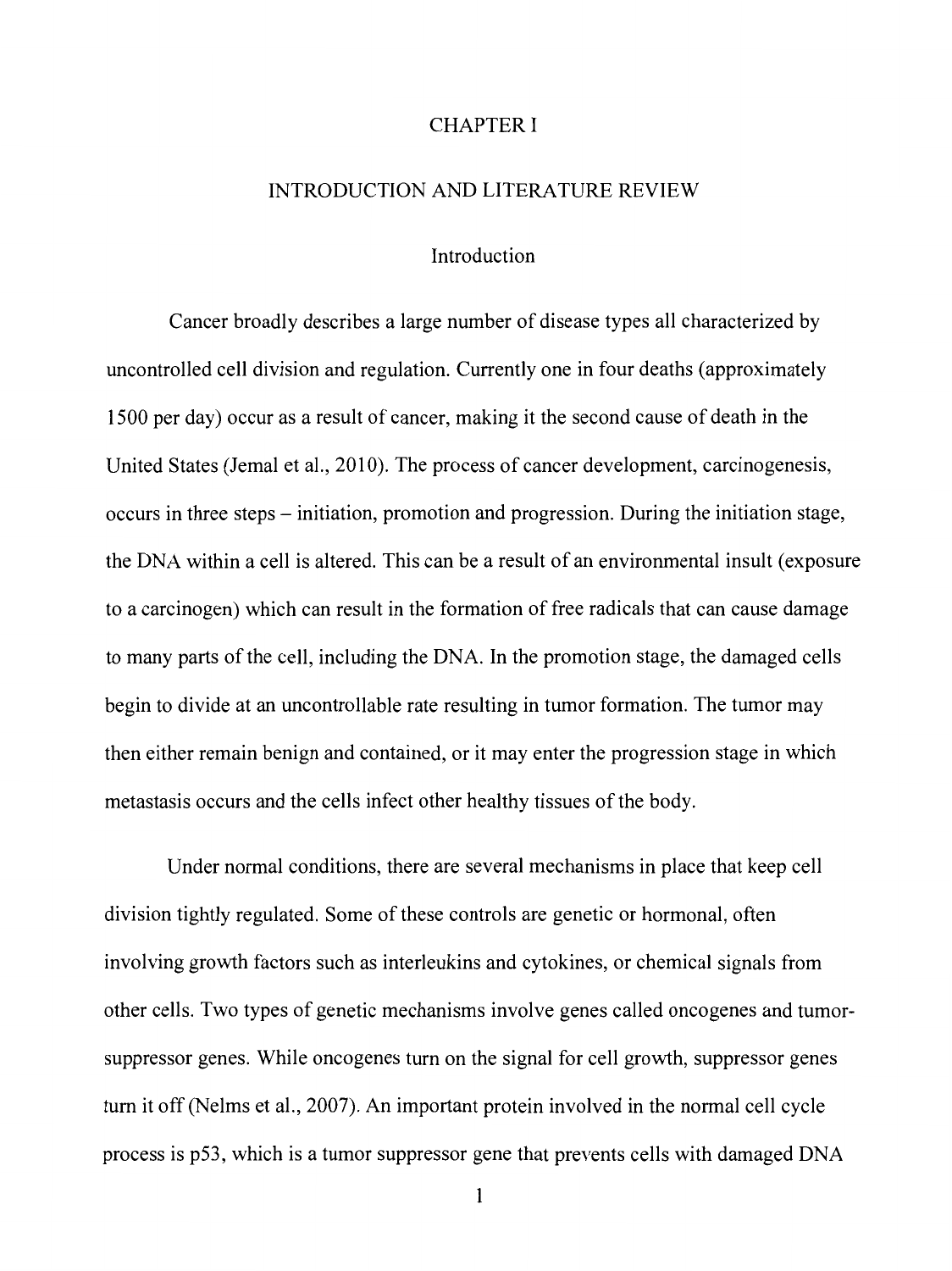## CHAPTER I

### INTRODUCTION AND LITERATURE REVIEW

## Introduction

Cancer broadly describes a large number of disease types all characterized by uncontrolled cell division and regulation. Currently one in four deaths (approximately 1500 per day) occur as a result of cancer, making it the second cause of death in the United States (Jemal et al., 2010). The process of cancer development, carcinogenesis, occurs in three steps - initiation, promotion and progression. During the initiation stage, the DNA within a cell is altered. This can be a result of an environmental insult (exposure to a carcinogen) which can result in the formation of free radicals that can cause damage to many parts of the cell, including the DNA. In the promotion stage, the damaged cells begin to divide at an uncontrollable rate resulting in tumor formation. The tumor may then either remain benign and contained, or it may enter the progression stage in which metastasis occurs and the cells infect other healthy tissues of the body.

Under normal conditions, there are several mechanisms in place that keep cell division tightly regulated. Some of these controls are genetic or hormonal, often involving growth factors such as interleukins and cytokines, or chemical signals from other cells. Two types of genetic mechanisms involve genes called oncogenes and tumorsuppressor genes. While oncogenes turn on the signal for cell growth, suppressor genes turn it off (Nelms et al., 2007). An important protein involved in the normal cell cycle process is p53, which is a tumor suppressor gene that prevents cells with damaged DNA

1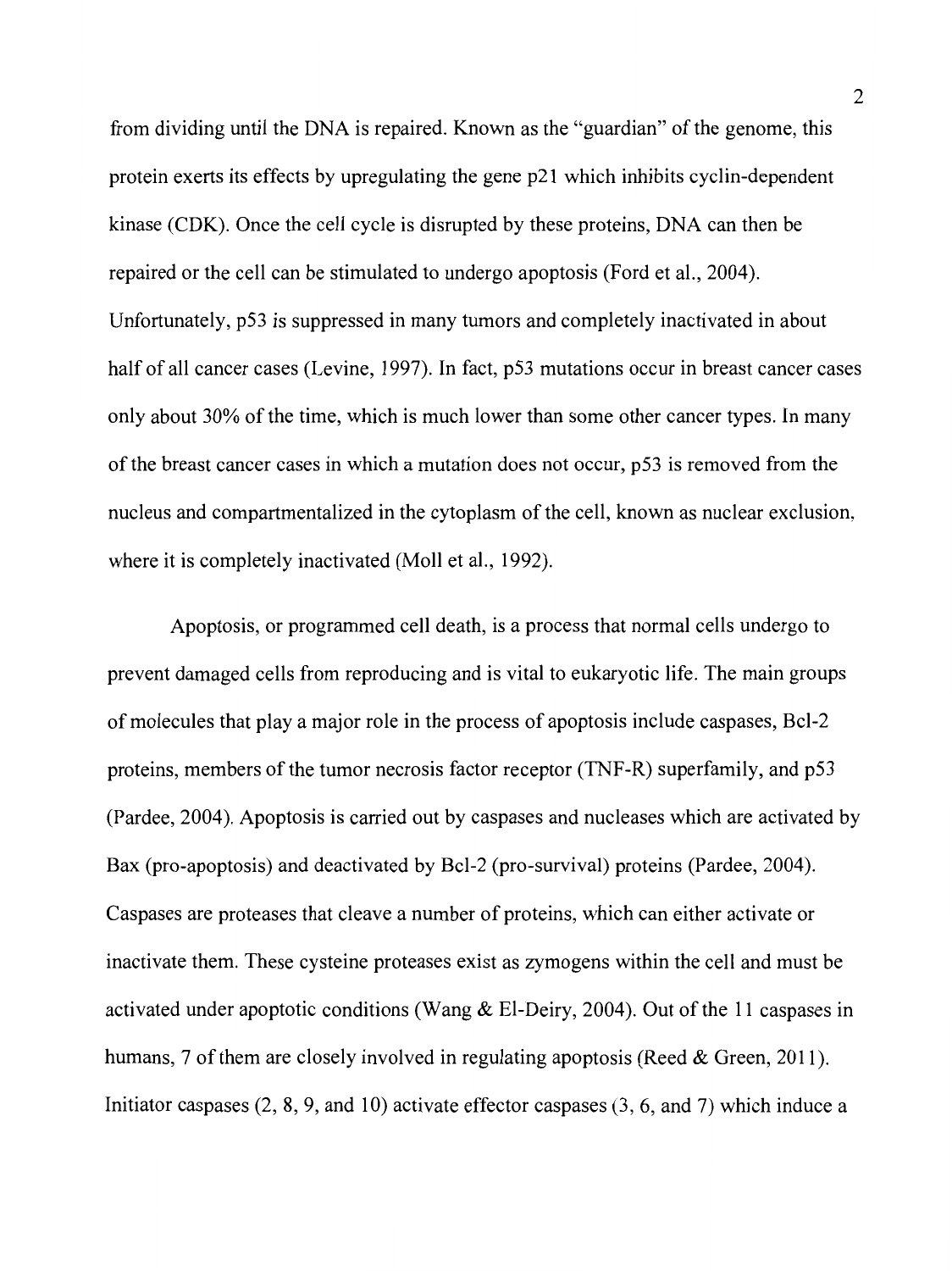from dividing until the DNA is repaired. Known as the "guardian" of the genome, this protein exerts its effects by upregulating the gene p21 which inhibits cyclin-dependent kinase (CDK). Once the cell cycle is disrupted by these proteins, DNA can then be repaired or the cell can be stimulated to undergo apoptosis (Ford et al., 2004). Unfortunately, p53 is suppressed in many tumors and completely inactivated in about half of all cancer cases (Levine, 1997). In fact, p53 mutations occur in breast cancer cases only about 30% of the time, which is much lower than some other cancer types. In many of the breast cancer cases in which a mutation does not occur, p53 is removed from the nucleus and compartmentalized in the cytoplasm of the cell, known as nuclear exclusion, where it is completely inactivated (Moll et al., 1992).

Apoptosis, or programmed cell death, is a process that normal cells undergo to prevent damaged cells from reproducing and is vital to eukaryotic life. The main groups of molecules that play a major role in the process of apoptosis include caspases, Bcl-2 proteins, members of the tumor necrosis factor receptor (TNF-R) superfamily, and p53 (Pardee, 2004). Apoptosis is carried out by caspases and nucleases which are activated by Bax (pro-apoptosis) and deactivated by Bcl-2 (pro-survival) proteins (Pardee, 2004). Caspases are proteases that cleave a number of proteins, which can either activate or inactivate them. These cysteine proteases exist as zymogens within the cell and must be activated under apoptotic conditions (Wang & El-Deiry, 2004). Out of the 11 caspases in humans, 7 of them are closely involved in regulating apoptosis (Reed & Green, 2011). Initiator caspases (2, 8, 9, and 10) activate effector caspases (3, 6, and 7) which induce a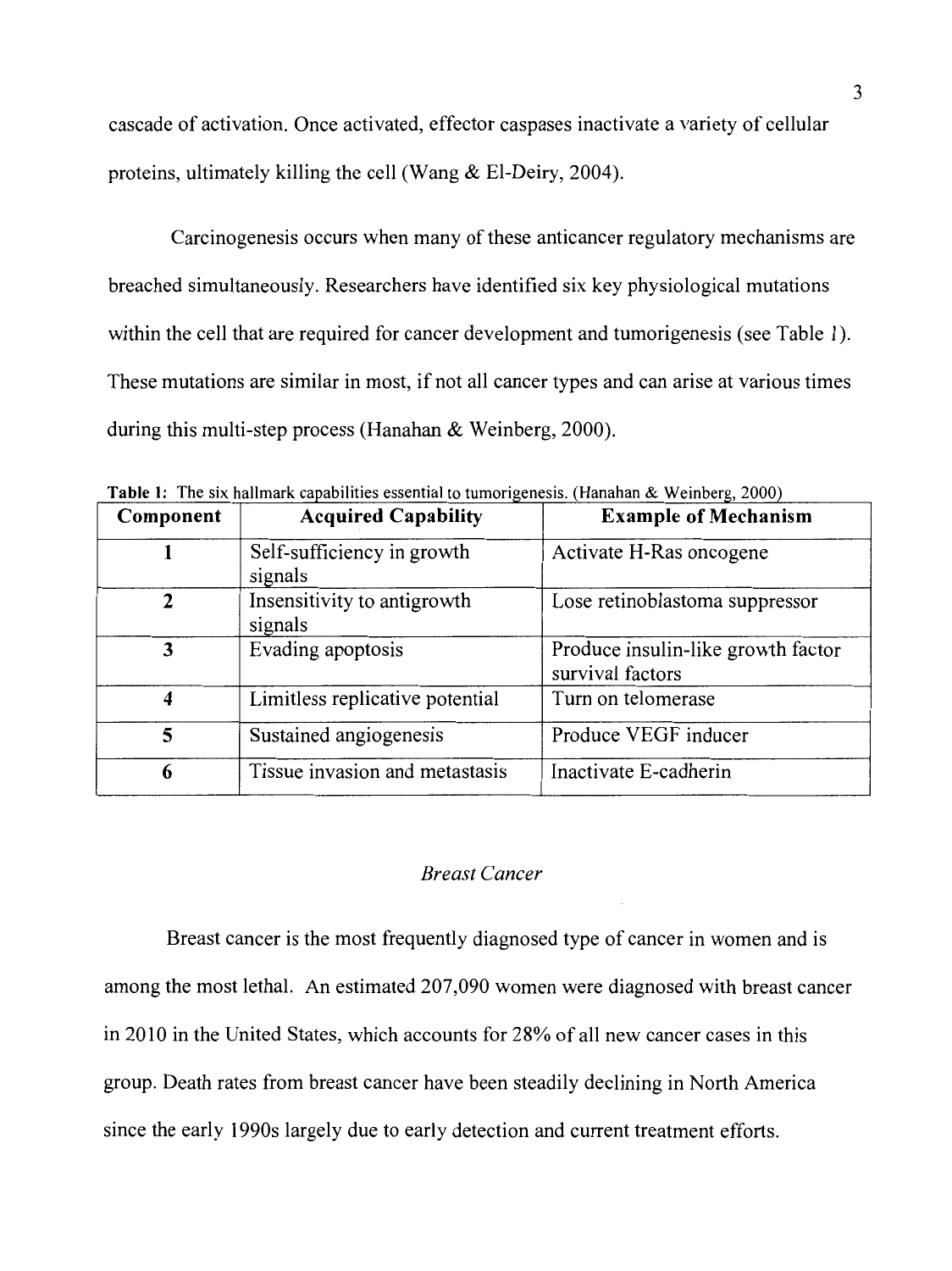cascade of activation. Once activated, effector caspases inactivate a variety of cellular proteins, ultimately killing the cell (Wang & El-Deiry, 2004).

Carcinogenesis occurs when many of these anticancer regulatory mechanisms are breached simultaneously. Researchers have identified six key physiological mutations within the cell that are required for cancer development and tumorigenesis (see Table 1). These mutations are similar in most, if not all cancer types and can arise at various times during this multi-step process (Hanahan & Weinberg, 2000).

| Component               | <b>Acquired Capability</b>             | <b>Example of Mechanism</b>                            |
|-------------------------|----------------------------------------|--------------------------------------------------------|
|                         | Self-sufficiency in growth<br>signals  | Activate H-Ras oncogene                                |
| $\mathbf{2}$            | Insensitivity to antigrowth<br>signals | Lose retinoblastoma suppressor                         |
| 3                       | Evading apoptosis                      | Produce insulin-like growth factor<br>survival factors |
| $\overline{\mathbf{4}}$ | Limitless replicative potential        | Turn on telomerase                                     |
| 5                       | Sustained angiogenesis                 | Produce VEGF inducer                                   |
| 6                       | Tissue invasion and metastasis         | Inactivate E-cadherin                                  |

**Table 1:** The six hallmark capabilities essential to tumorigenesis. (Hanahan & Weinberg, 2000)

## *Breast Cancer*

Breast cancer is the most frequently diagnosed type of cancer in women and is among the most lethal. An estimated 207,090 women were diagnosed with breast cancer in 2010 in the United States, which accounts for 28% of all new cancer cases in this group. Death rates from breast cancer have been steadily declining in North America since the early 1990s largely due to early detection and current treatment efforts.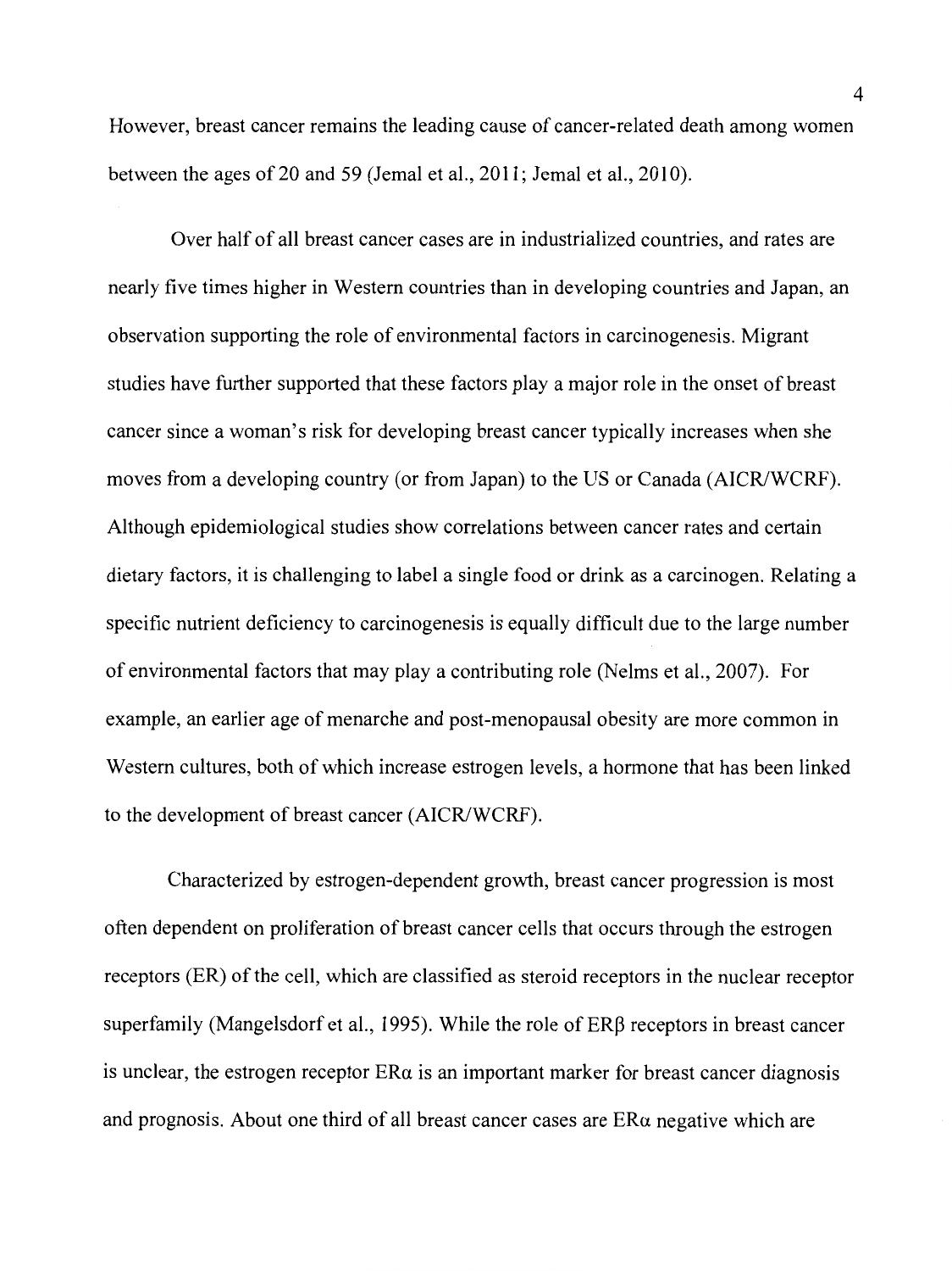However, breast cancer remains the leading cause of cancer-related death among women between the ages of 20 and 59 (Jemal et al., 2011; Jemal et al., 2010).

Over half of all breast cancer cases are in industrialized countries, and rates are nearly five times higher in Western countries than in developing countries and Japan, an observation supporting the role of environmental factors in carcinogenesis. Migrant studies have further supported that these factors play a major role in the onset of breast cancer since a woman's risk for developing breast cancer typically increases when she moves from a developing country (or from Japan) to the US or Canada (AICR/WCRF). Although epidemiological studies show correlations between cancer rates and certain dietary factors, it is challenging to label a single food or drink as a carcinogen. Relating a specific nutrient deficiency to carcinogenesis is equally difficult due to the large number of environmental factors that may play a contributing role (Nelms et al., 2007). For example, an earlier age of menarche and post-menopausal obesity are more common in Western cultures, both of which increase estrogen levels, a hormone that has been linked to the development of breast cancer (AICR/WCRF).

Characterized by estrogen-dependent growth, breast cancer progression is most often dependent on proliferation of breast cancer cells that occurs through the estrogen receptors (ER) of the cell, which are classified as steroid receptors in the nuclear receptor superfamily (Mangelsdorf et al., 1995). While the role of  $ER\beta$  receptors in breast cancer is unclear, the estrogen receptor  $ER\alpha$  is an important marker for breast cancer diagnosis and prognosis. About one third of all breast cancer cases are ERa negative which are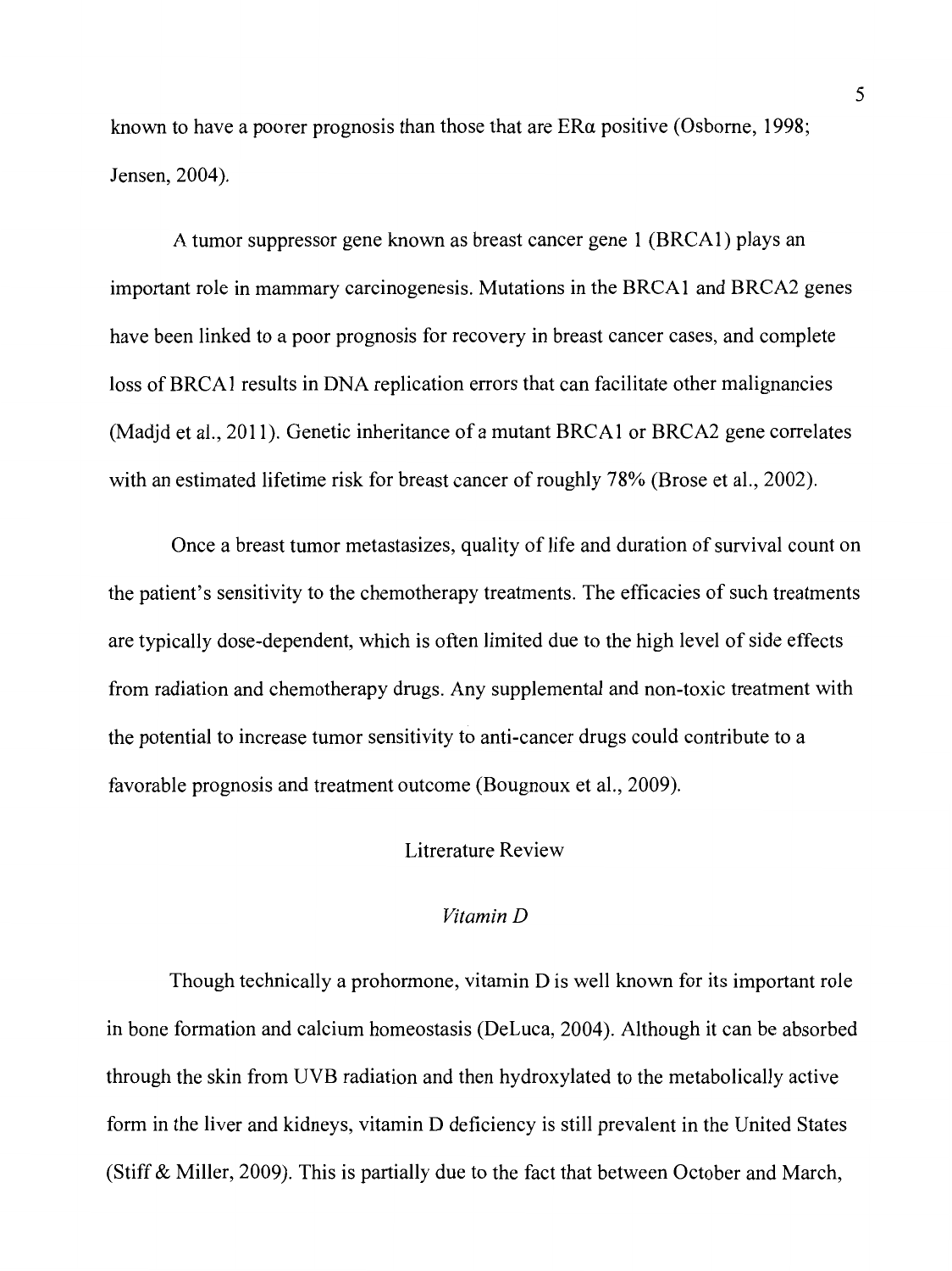known to have a poorer prognosis than those that are ERa positive (Osborne, 1998; Jensen, 2004).

A tumor suppressor gene known as breast cancer gene 1 (BRCA 1) plays an important role in mammary carcinogenesis. Mutations in the BRCAl and BRCA2 genes have been linked to a poor prognosis for recovery in breast cancer cases, and complete loss of BRCAl results in DNA replication errors that can facilitate other malignancies (Madjd et al., 2011). Genetic inheritance of a mutant BRCAl or BRCA2 gene correlates with an estimated lifetime risk for breast cancer of roughly 78% (Brose et al., 2002).

Once a breast tumor metastasizes, quality of life and duration of survival count on the patient's sensitivity to the chemotherapy treatments. The efficacies of such treatments are typically dose-dependent, which is often limited due to the high level of side effects from radiation and chemotherapy drugs. Any supplemental and non-toxic treatment with the potential to increase tumor sensitivity to anti-cancer drugs could contribute to a favorable prognosis and treatment outcome (Bougnoux et al., 2009).

## Litrerature Review

## *Vitamin D*

Though technically a prohormone, vitamin D is well known for its important role in bone formation and calcium homeostasis (DeLuca, 2004). Although it can be absorbed through the skin from UVB radiation and then hydroxylated to the metabolically active form in the liver and kidneys, vitamin D deficiency is still prevalent in the United States (Stiff & Miller, 2009). This is partially due to the fact that between October and March,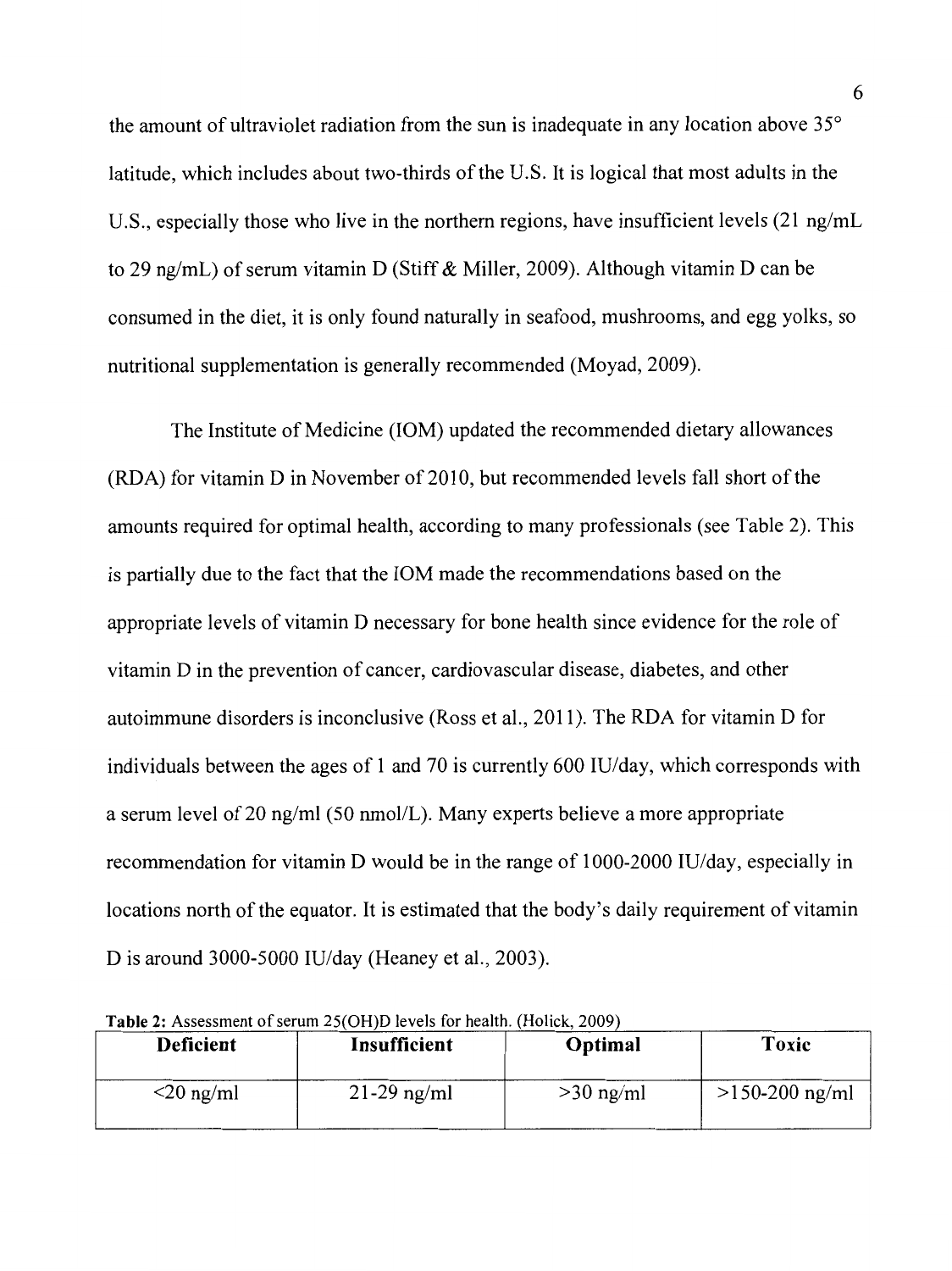the amount of ultraviolet radiation from the sun is inadequate in any location above 35° latitude, which includes about two-thirds of the U.S. It is logical that most adults in the U.S., especially those who live in the northern regions, have insufficient levels (21 ng/mL to 29 ng/mL) of serum vitamin D (Stiff & Miller, 2009). Although vitamin D can be consumed in the diet, it is only found naturally in seafood, mushrooms, and egg yolks, so nutritional supplementation is generally recommended (Moyad, 2009).

The Institute of Medicine (IOM) updated the recommended dietary allowances (RDA) for vitamin Din November of 2010, but recommended levels fall short of the amounts required for optimal health, according to many professionals (see Table 2). This is partially due to the fact that the IOM made the recommendations based on the appropriate levels of vitamin D necessary for bone health since evidence for the role of vitamin D in the prevention of cancer, cardiovascular disease, diabetes, and other autoimmune disorders is inconclusive (Ross et al., 2011 ). The RDA for vitamin D for individuals between the ages of 1 and 70 is currently 600 IU/day, which corresponds with a serum level of 20 ng/ml (50 nmol/L). Many experts believe a more appropriate recommendation for vitamin D would be in the range of 1000-2000 IU/day, especially in locations north of the equator. It is estimated that the body's daily requirement of vitamin D is around 3000-5000 IU/day (Heaney et al., 2003).

| <b>Deficient</b>           | Insufficient  | Optimal     | Toxic            |
|----------------------------|---------------|-------------|------------------|
| $\langle 20 \rangle$ ng/ml | $21-29$ ng/ml | $>30$ ng/ml | $>150-200$ ng/ml |

**Table** 2: Assessment of serum 25(0H)D levels for health (Holick , 2009)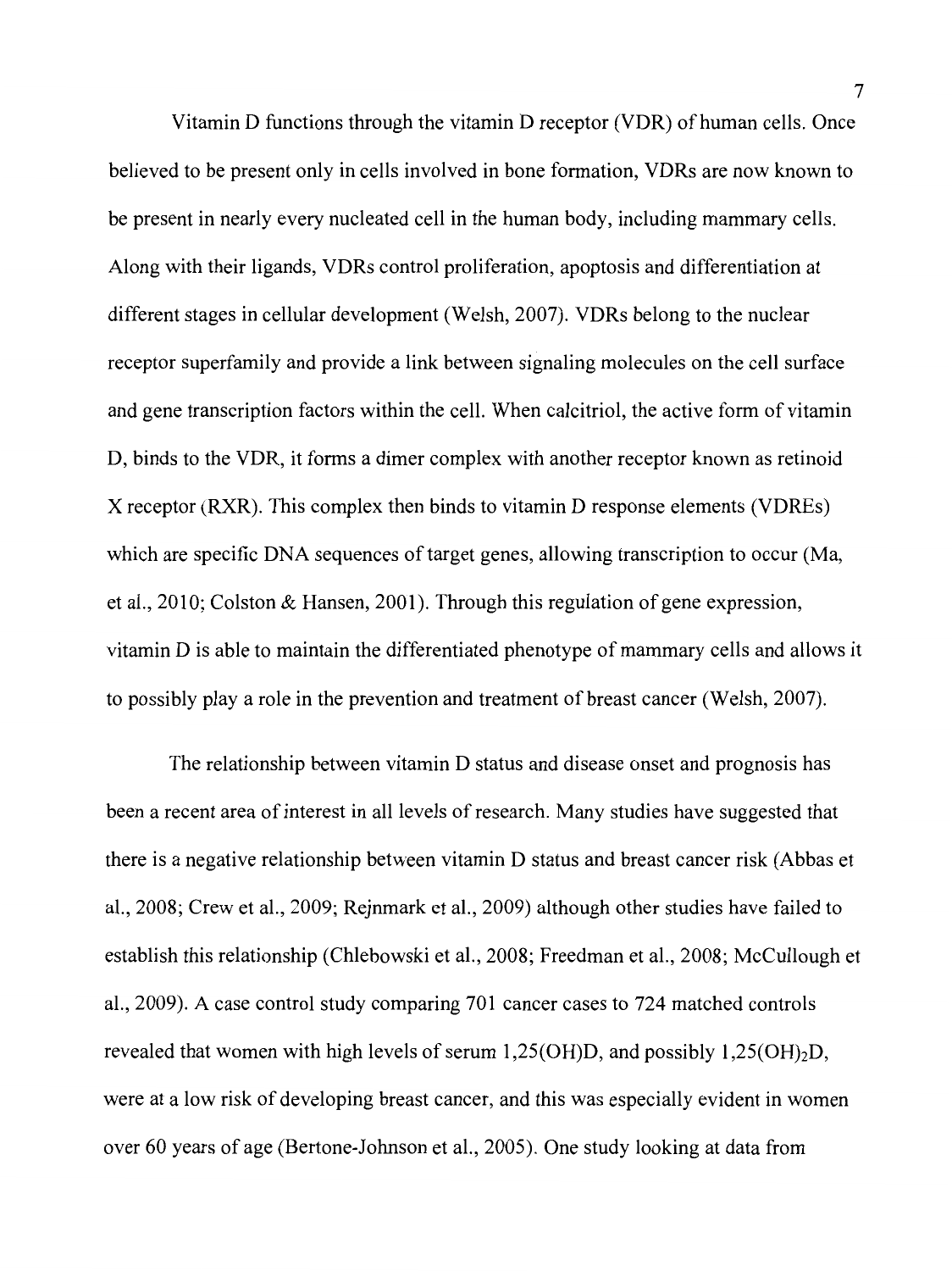Vitamin D functions through the vitamin D receptor (VDR) of human cells. Once believed to be present only in cells involved in bone formation, VDRs are now known to be present in nearly every nucleated cell in the human body, including mammary cells. Along with their ligands, VDRs control proliferation, apoptosis and differentiation at different stages in cellular development (Welsh, 2007). VDRs belong to the nuclear receptor superfamily and provide a link between signaling molecules on the cell surface and gene transcription factors within the cell. When calcitriol, the active form of vitamin D, binds to the VDR, it forms a dimer complex with another receptor known as retinoid X receptor (RXR). This complex then binds to vitamin D response elements (VDREs) which are specific DNA sequences of target genes, allowing transcription to occur (Ma, et al., 2010; Colston & Hansen, 2001). Through this regulation of gene expression, vitamin D is able to maintain the differentiated phenotype of mammary cells and allows it to possibly play a role in the prevention and treatment of breast cancer (Welsh, 2007).

The relationship between vitamin D status and disease onset and prognosis has been a recent area of interest in all levels of research. Many studies have suggested that there is a negative relationship between vitamin D status and breast cancer risk (Abbas et al., 2008; Crew et al., 2009; Rejnmark et al., 2009) although other studies have failed to establish this relationship (Chlebowski et al., 2008; Freedman et al., 2008; McCullough et al., 2009). A case control study comparing 701 cancer cases to 724 matched controls revealed that women with high levels of serum 1,25(OH)D, and possibly  $1,25(OH)<sub>2</sub>D$ , were at a low risk of developing breast cancer, and this was especially evident in women over 60 years of age (Bertone-Johnson et al., 2005). One study looking at data from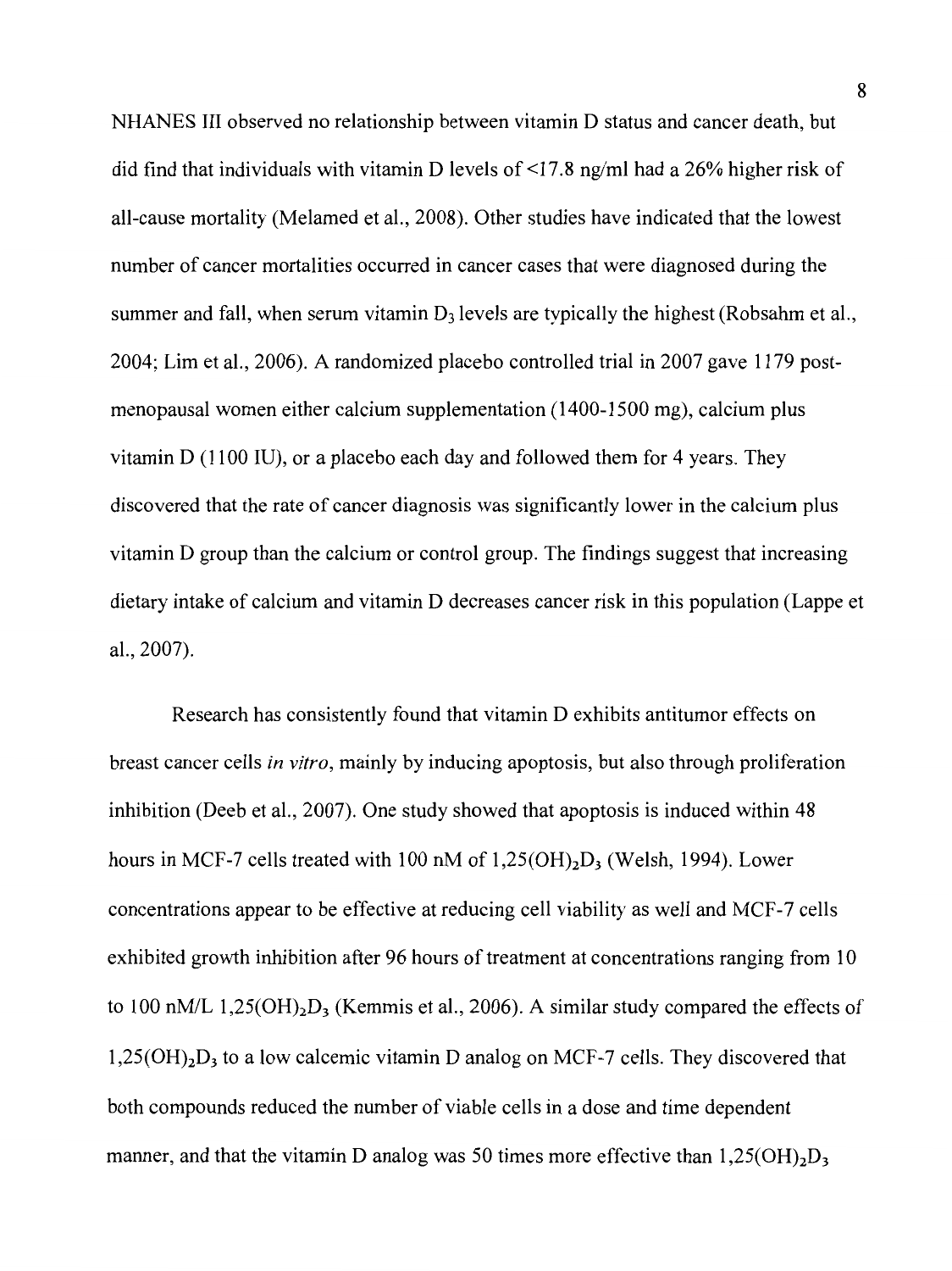NHANES III observed no relationship between vitamin D status and cancer death, but did find that individuals with vitamin D levels of <17.8 ng/ml had a 26% higher risk of all-cause mortality (Melamed et al., 2008). Other studies have indicated that the lowest number of cancer mortalities occurred in cancer cases that were diagnosed during the summer and fall, when serum vitamin  $D_3$  levels are typically the highest (Robsahm et al., 2004; Lim et al., 2006). A randomized placebo controlled trial in 2007 gave 1179 postmenopausal women either calcium supplementation ( 1400-1500 mg), calcium plus vitamin D (1100 IU), or a placebo each day and followed them for 4 years. They discovered that the rate of cancer diagnosis was significantly lower in the calcium plus vitamin D group than the calcium or control group. The findings suggest that increasing dietary intake of calcium and vitamin D decreases cancer risk in this population (Lappe et al., 2007).

Research has consistently found that vitamin D exhibits antitumor effects on breast cancer cells *in vitro,* mainly by inducing apoptosis, but also through proliferation inhibition (Deeb et al., 2007). One study showed that apoptosis is induced within 48 hours in MCF-7 cells treated with 100 nM of  $1,25(OH)_2D_3$  (Welsh, 1994). Lower concentrations appear to be effective at reducing cell viability as well and MCF-7 cells exhibited growth inhibition after 96 hours of treatment at concentrations ranging from 10 to 100 nM/L  $1,25(OH)_{2}D_{3}$  (Kemmis et al., 2006). A similar study compared the effects of  $1,25(OH)<sub>2</sub>D<sub>3</sub>$  to a low calcemic vitamin D analog on MCF-7 cells. They discovered that both compounds reduced the number of viable cells in a dose and time dependent manner, and that the vitamin D analog was 50 times more effective than  $1,25(OH)<sub>2</sub>D<sub>3</sub>$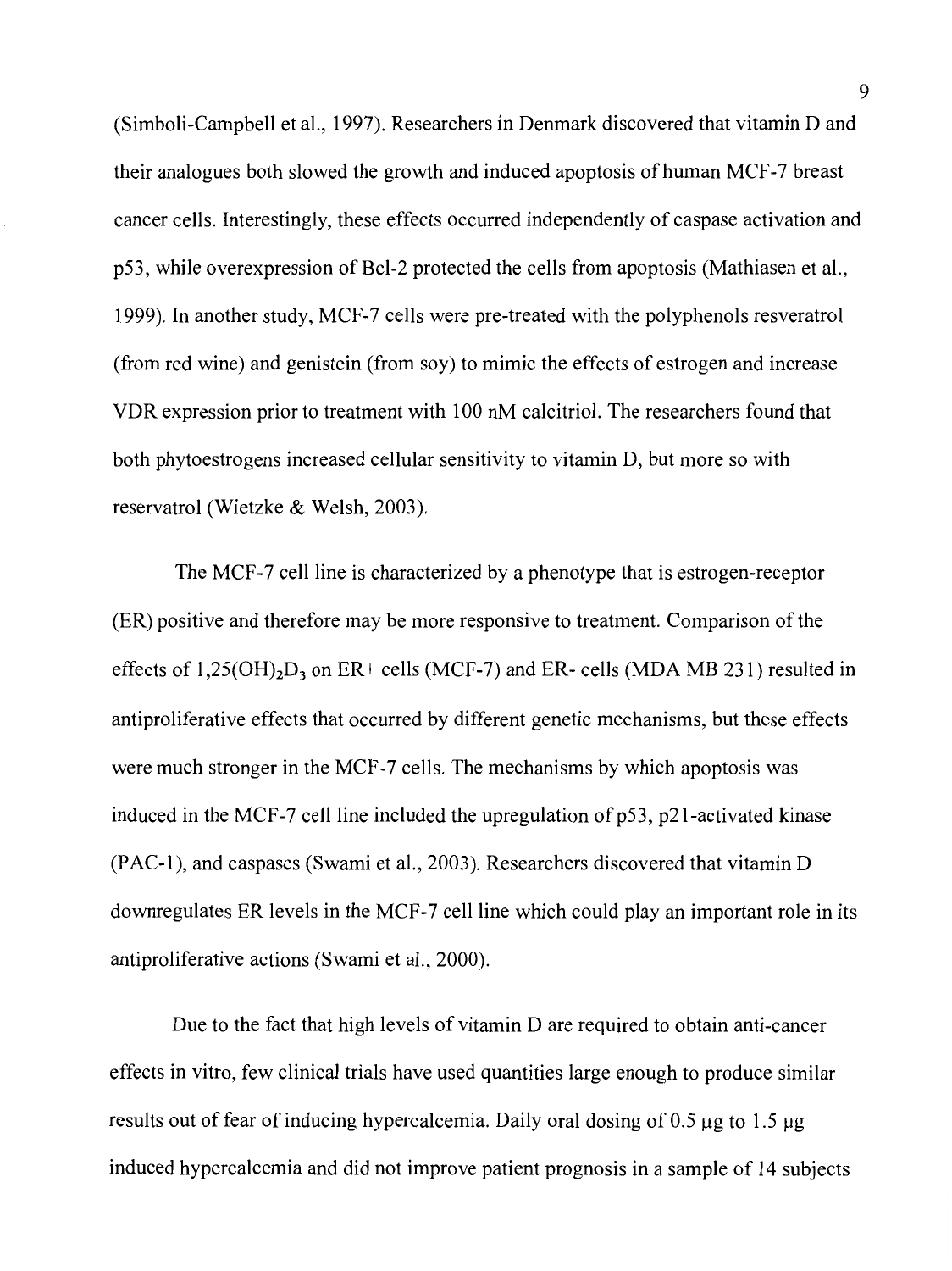(Simboli-Campbell et al., 1997). Researchers in Denmark discovered that vitamin D and their analogues both slowed the growth and induced apoptosis of human MCF-7 breast cancer cells. Interestingly, these effects occurred independently of caspase activation and p53, while overexpression of Bcl-2 protected the cells from apoptosis (Mathiasen et al., 1999). In another study, MCF-7 cells were pre-treated with the polyphenols resveratrol (from red wine) and genistein (from soy) to mimic the effects of estrogen and increase VDR expression prior to treatment with 100 nM calcitriol. The researchers found that both phytoestrogens increased cellular sensitivity to vitamin D, but more so with reservatrol (Wietzke & Welsh, 2003).

The MCF-7 cell line is characterized by a phenotype that is estrogen-receptor (ER) positive and therefore may be more responsive to treatment. Comparison of the effects of  $1,25(OH)<sub>2</sub>D<sub>3</sub>$  on ER+ cells (MCF-7) and ER- cells (MDA MB 231) resulted in antiproliferative effects that occurred by different genetic mechanisms, but these effects were much stronger in the MCF-7 cells. The mechanisms by which apoptosis was induced in the MCF-7 cell line included the upregulation of  $p53$ ,  $p21$ -activated kinase (PAC-1), and caspases (Swami et al., 2003). Researchers discovered that vitamin D downregulates ER levels in the MCF-7 cell line which could play an important role in its antiproliferative actions (Swami et al., 2000).

Due to the fact that high levels of vitamin D are required to obtain anti-cancer effects in vitro, few clinical trials have used quantities large enough to produce similar results out of fear of inducing hypercalcemia. Daily oral dosing of 0.5  $\mu$ g to 1.5  $\mu$ g induced hypercalcemia and did not improve patient prognosis in a sample of 14 subjects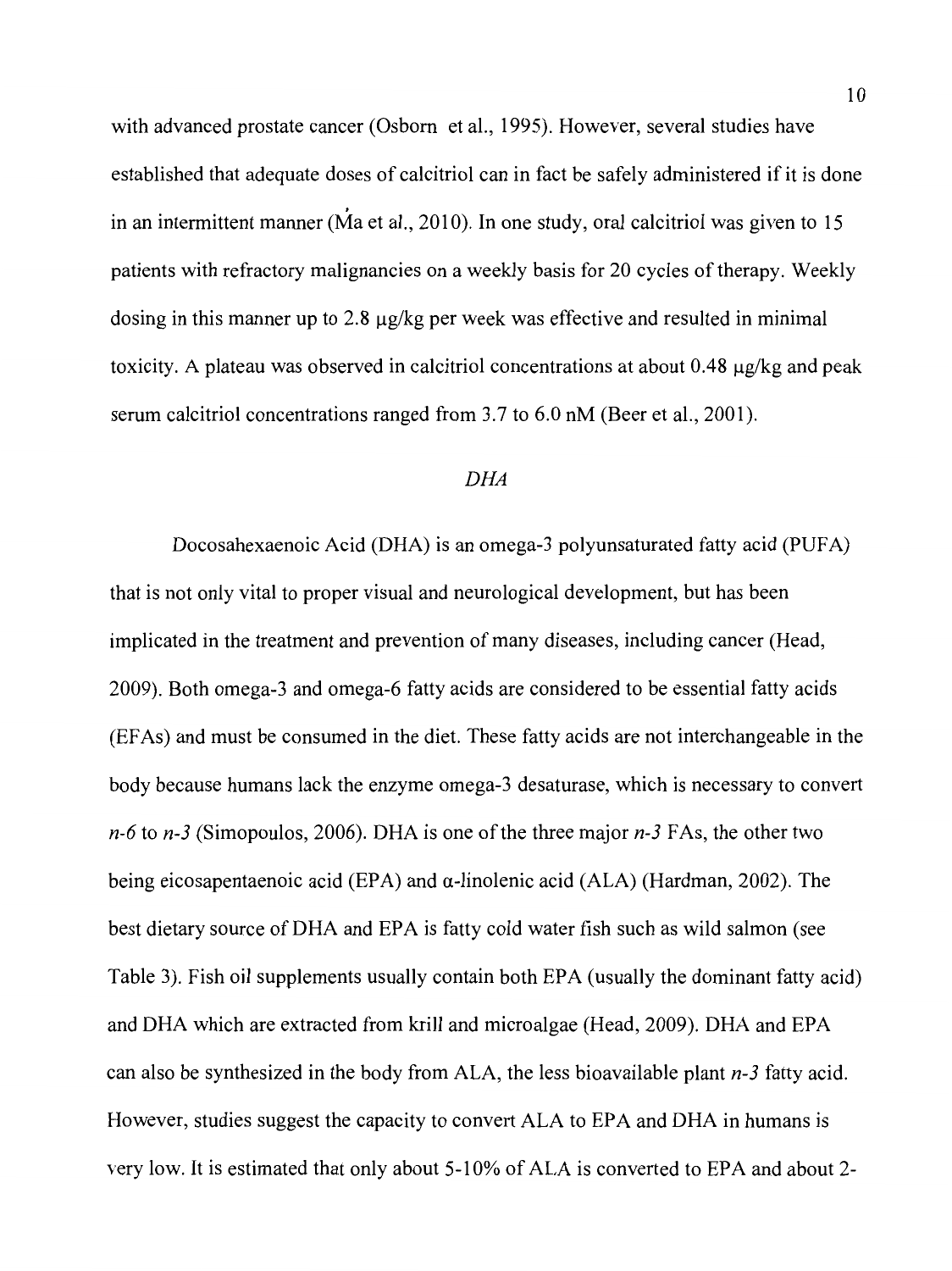with advanced prostate cancer (Osborn et al., 1995). However, several studies have established that adequate doses of calcitriol can in fact be safely administered if it is done . in an intermittent manner (Ma et al., 2010). In one study, oral calcitriol was given to 15 patients with refractory malignancies on a weekly basis for 20 cycles of therapy. Weekly dosing in this manner up to 2.8  $\mu$ g/kg per week was effective and resulted in minimal toxicity. A plateau was observed in calcitriol concentrations at about 0.48 µg/kg and peak serum calcitriol concentrations ranged from 3.7 to 6.0 nM (Beer et al., 2001).

## *DHA*

Docosahexaenoic Acid (DHA) is an omega-3 polyunsaturated fatty acid (PUFA) that is not only vital to proper visual and neurological development, but has been implicated in the treatment and prevention of many diseases, including cancer (Head, 2009). Both omega-3 and omega-6 fatty acids are considered to be essential fatty acids (EF As) and must be consumed in the diet. These fatty acids are not interchangeable in the body because humans lack the enzyme omega-3 desaturase, which is necessary to convert *n-6* to *n-3* (Simopoulos, 2006). DHA is one of the three major *n-3* FAs, the other two being eicosapentaenoic acid (EPA) and  $\alpha$ -linolenic acid (ALA) (Hardman, 2002). The best dietary source of DHA and EPA is fatty cold water fish such as wild salmon (see Table 3). Fish oil supplements usually contain both EPA (usually the dominant fatty acid) and DHA which are extracted from krill and microalgae (Head, 2009). DHA and EPA can also be synthesized in the body from ALA, the less bioavailable plant *n-3* fatty acid. However, studies suggest the capacity to convert ALA to EPA and DHA in humans is very low. It is estimated that only about 5-10% of ALA is converted to EPA and about 2-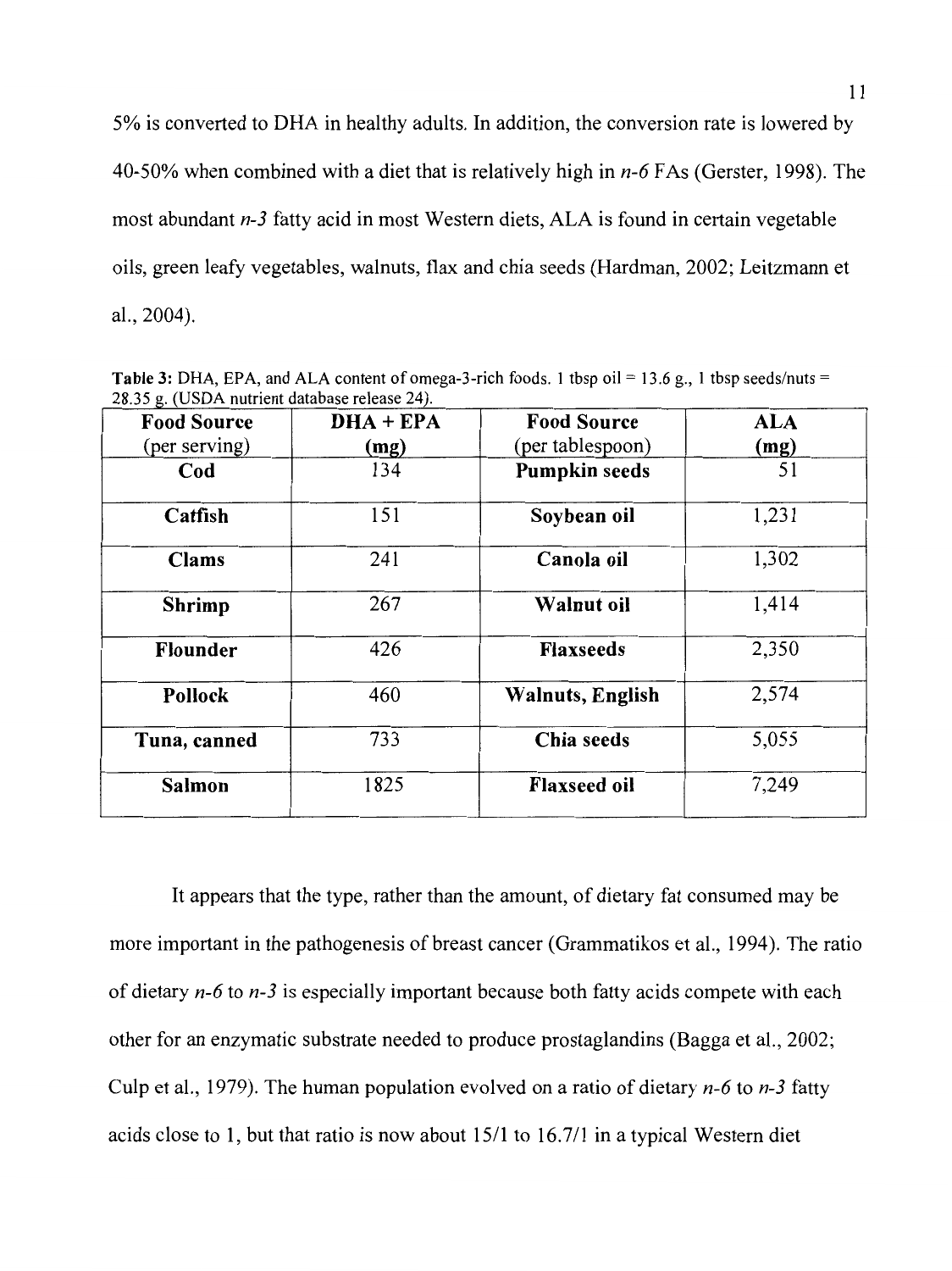5% is converted to DHA in healthy adults. In addition, the conversion rate is lowered by 40-50% when combined with a diet that is relatively high in *n-6* F As (Gerster, 1998). The most abundant *n-3* fatty acid in most Western diets, ALA is found in certain vegetable oils, green leafy vegetables, walnuts, flax and chia seeds (Hardman, 2002; Leitzmann et al., 2004).

| 20.33 g. (OSDA nuu icht database Telease 24).<br><b>Food Source</b> | $DHA + EPA$ | <b>Food Source</b>       | <b>ALA</b> |
|---------------------------------------------------------------------|-------------|--------------------------|------------|
| (per serving)                                                       | (mg)        | (per tablespoon)         | (mg)       |
| Cod                                                                 | 134         | <b>Pumpkin seeds</b>     | 51         |
| Catfish                                                             | 151         | Soybean oil              | 1,231      |
| <b>Clams</b>                                                        | 241         | Canola oil               | 1,302      |
| <b>Shrimp</b>                                                       | 267         | Walnut oil               | 1,414      |
| Flounder                                                            | 426         | <b>Flaxseeds</b>         | 2,350      |
| Pollock                                                             | 460         | <b>Walnuts</b> , English | 2,574      |
| Tuna, canned                                                        | 733         | Chia seeds               | 5,055      |
| Salmon                                                              | 1825        | <b>Flaxseed oil</b>      | 7,249      |

**Table 3:** DHA, EPA, and ALA content of omega-3-rich foods. 1 tbsp oil = 13.6 g., 1 tbsp seeds/nuts = 28.35 g. (USDA nutrient database release 24).

It appears that the type, rather than the amount, of dietary fat consumed may be more important in the pathogenesis of breast cancer (Grammatikos et al., 1994). The ratio of dietary *n-6* to *n-3* is especially important because both fatty acids compete with each other for an enzymatic substrate needed to produce prostaglandins (Bagga et al., 2002; Culp et al., 1979). The human population evolved on a ratio of dietary *n-6* to *n-3* fatty acids close to 1, but that ratio is now about  $15/1$  to  $16.7/1$  in a typical Western diet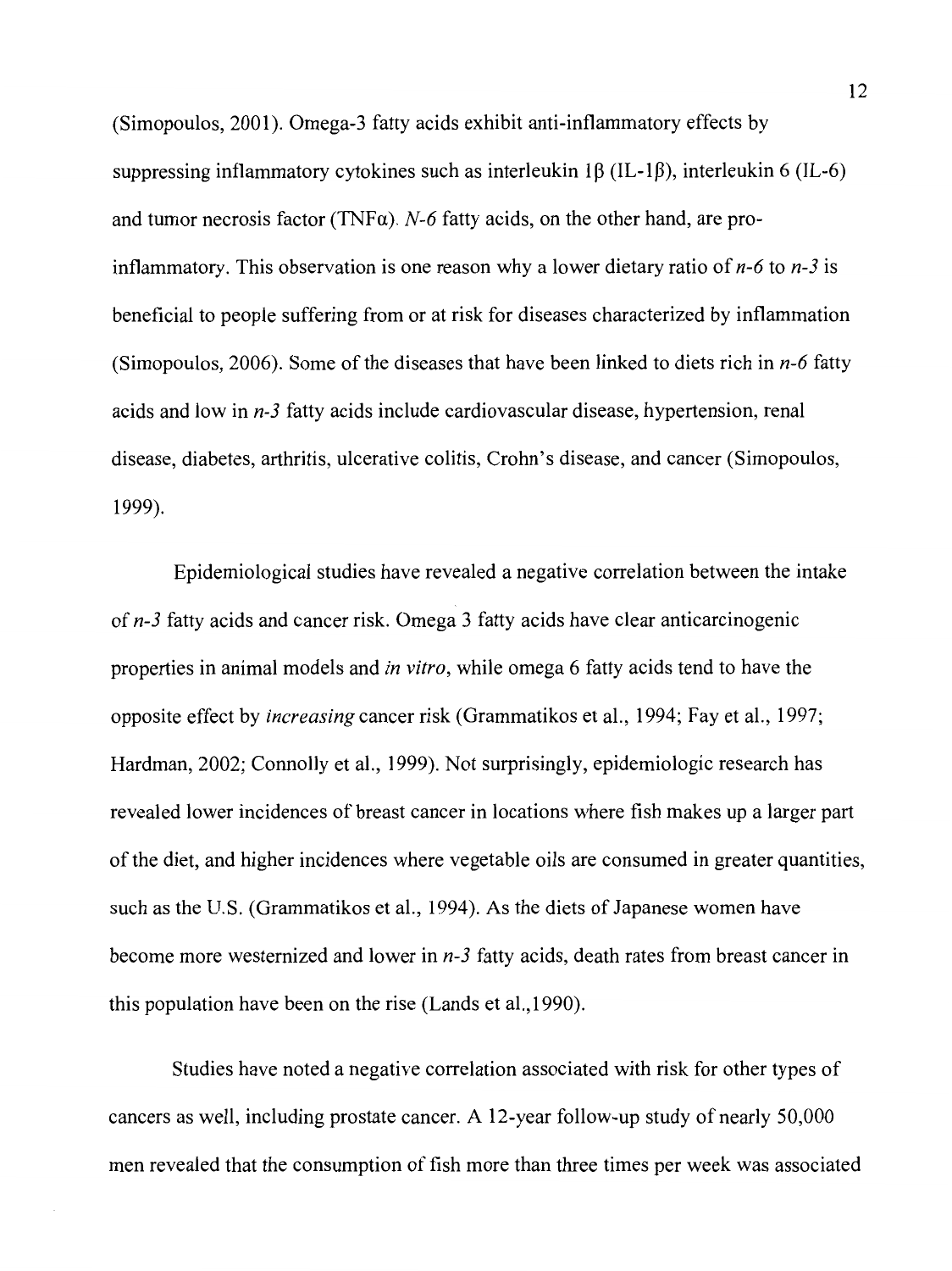(Simopoulos, 2001). Omega-3 fatty acids exhibit anti-inflammatory effects by suppressing inflammatory cytokines such as interleukin 1 $\beta$  (IL-1 $\beta$ ), interleukin 6 (IL-6) and tumor necrosis factor (TNF $\alpha$ ). *N*-6 fatty acids, on the other hand, are proinflammatory. This observation is one reason why a lower dietary ratio of *n-6* to *n-3* is beneficial to people suffering from or at risk for diseases characterized by inflammation (Simopoulos, 2006). Some of the diseases that have been linked to diets rich in *n-6* fatty acids and low in *n-3* fatty acids include cardiovascular disease, hypertension, renal disease, diabetes, arthritis, ulcerative colitis, Crohn's disease, and cancer (Simopoulos, 1999).

Epidemiological studies have revealed a negative correlation between the intake of *n-3* fatty acids and cancer risk. Omega 3 fatty acids have clear anticarcinogenic properties in animal models and *in vitro,* while omega 6 fatty acids tend to have the opposite effect by *increasing* cancer risk (Grammatikos et al., 1994; Fay et al., 1997; Hardman, 2002; Connolly et al., 1999). Not surprisingly, epidemiologic research has revealed lower incidences of breast cancer in locations where fish makes up a larger part of the diet, and higher incidences where vegetable oils are consumed in greater quantities, such as the U.S. (Grammatikos et al., 1994). As the diets of Japanese women have become more westernized and lower in *n-3* fatty acids, death rates from breast cancer in this population have been on the rise (Lands et al., 1990).

Studies have noted a negative correlation associated with risk for other types of cancers as well, including prostate cancer. A 12-year follow-up study of nearly 50,000 men revealed that the consumption of fish more than three times per week was associated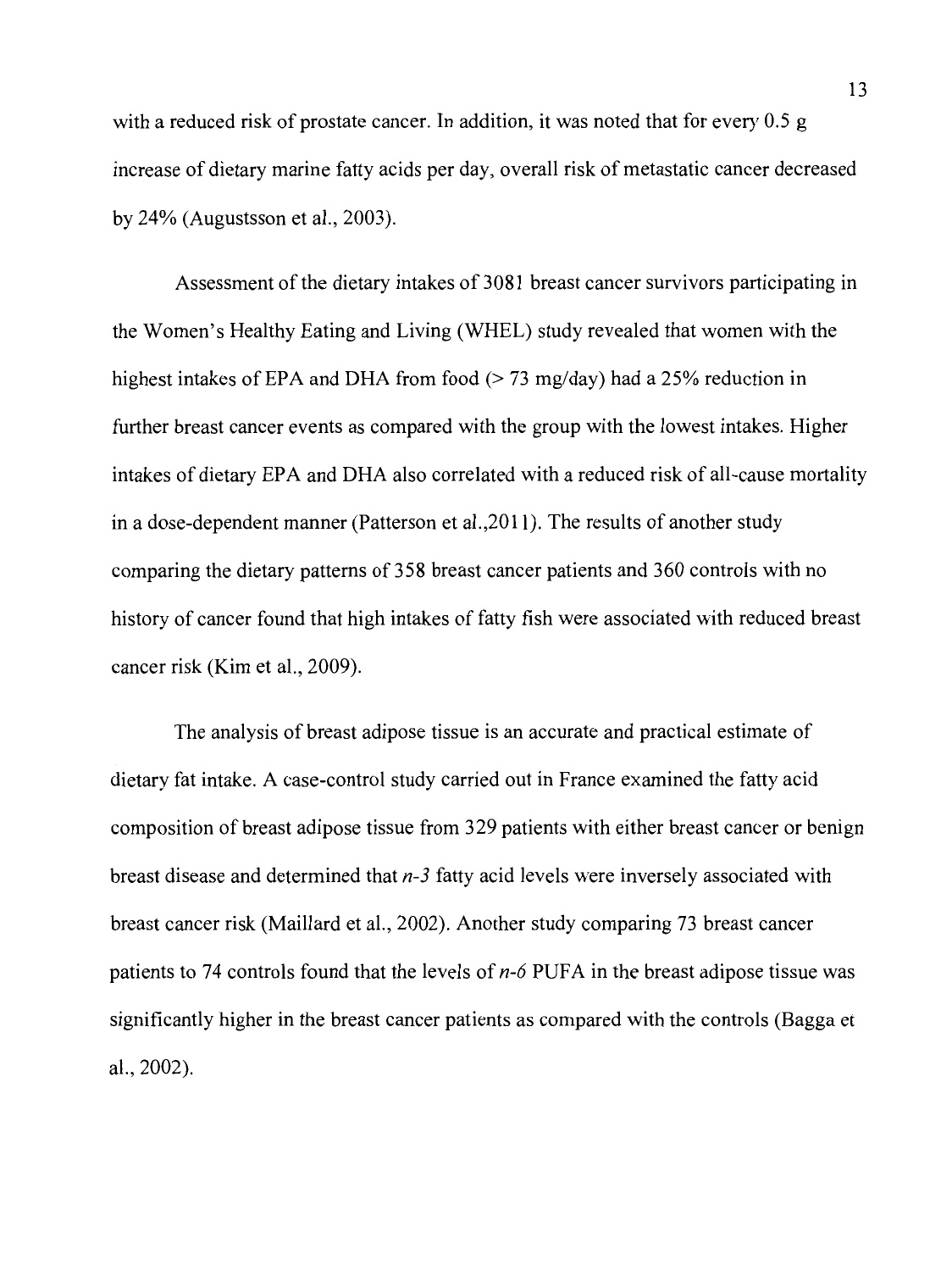with a reduced risk of prostate cancer. In addition, it was noted that for every 0.5 g increase of dietary marine fatty acids per day, overall risk of metastatic cancer decreased by 24% (Augustsson et al., 2003).

Assessment of the dietary intakes of 3081 breast cancer survivors participating in the Women's Healthy Eating and Living (WHEL) study revealed that women with the highest intakes of EPA and DHA from food  $(> 73 \text{ mg/day})$  had a 25% reduction in further breast cancer events as compared with the group with the lowest intakes. Higher intakes of dietary EPA and DHA also correlated with a reduced risk of all-cause mortality in a dose-dependent manner (Patterson et al.,2011 ). The results of another study comparing the dietary patterns of 358 breast cancer patients and 360 controls with no history of cancer found that high intakes of fatty fish were associated with reduced breast cancer risk (Kim et al., 2009).

The analysis of breast adipose tissue is an accurate and practical estimate of dietary fat intake. A case-control study carried out in France examined the fatty acid composition of breast adipose tissue from 329 patients with either breast cancer or benign breast disease and determined that *n-3* fatty acid levels were inversely associated with breast cancer risk (Maillard et al., 2002). Another study comparing 73 breast cancer patients to 74 controls found that the levels of *n*-6 PUFA in the breast adipose tissue was significantly higher in the breast cancer patients as compared with the controls (Bagga et al., 2002).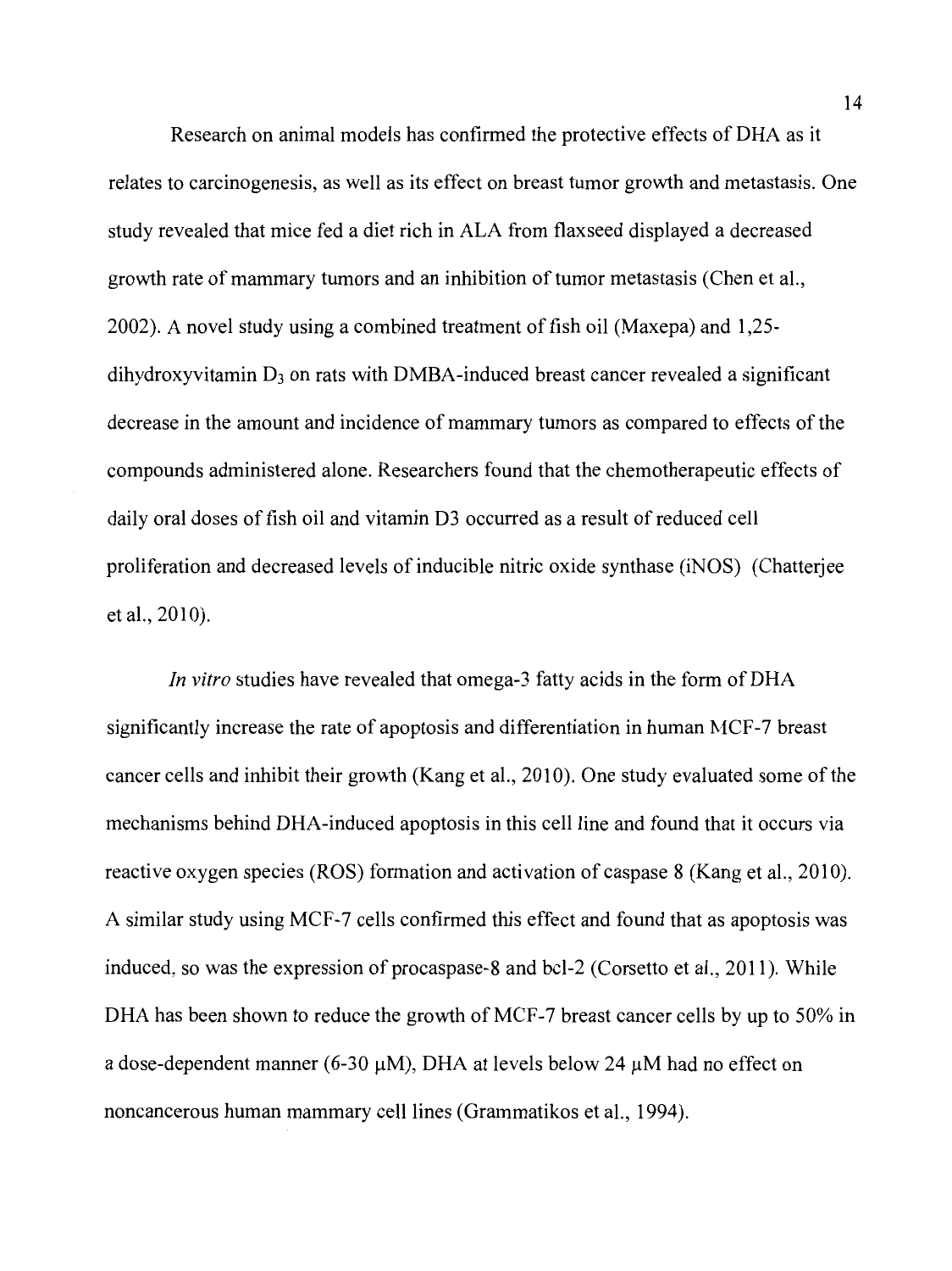Research on animal models has confirmed the protective effects of DHA as it relates to carcinogenesis, as well as its effect on breast tumor growth and metastasis. One study revealed that mice fed a diet rich in ALA from flaxseed displayed a decreased growth rate of mammary tumors and an inhibition of tumor metastasis (Chen et al., 2002). A novel study using a combined treatment of fish oil (Maxepa) and 1,25  $d$ ihydroxyvitamin  $D_3$  on rats with DMBA-induced breast cancer revealed a significant decrease in the amount and incidence of mammary tumors as compared to effects of the compounds administered alone. Researchers found that the chemotherapeutic effects of daily oral doses of fish oil and vitamin D3 occurred as a result of reduced cell proliferation and decreased levels of inducible nitric oxide synthase (iNOS) (Chatterjee et al., 2010).

*In vitro* studies have revealed that omega-3 fatty acids in the form of DHA significantly increase the rate of apoptosis and differentiation in human MCF-7 breast cancer cells and inhibit their growth (Kang et al., 2010). One study evaluated some of the mechanisms behind DHA-induced apoptosis in this cell line and found that it occurs via reactive oxygen species (ROS) formation and activation of caspase 8 (Kang et al., 2010). A similar study using MCF-7 cells confirmed this effect and found that as apoptosis was induced, so was the expression of procaspase-8 and bcl-2 (Corsetto et al., 2011). While DHA has been shown to reduce the growth of MCF-7 breast cancer cells by up to 50% in a dose-dependent manner (6-30  $\mu$ M), DHA at levels below 24  $\mu$ M had no effect on noncancerous human mammary cell lines (Grammatikos et al., 1994).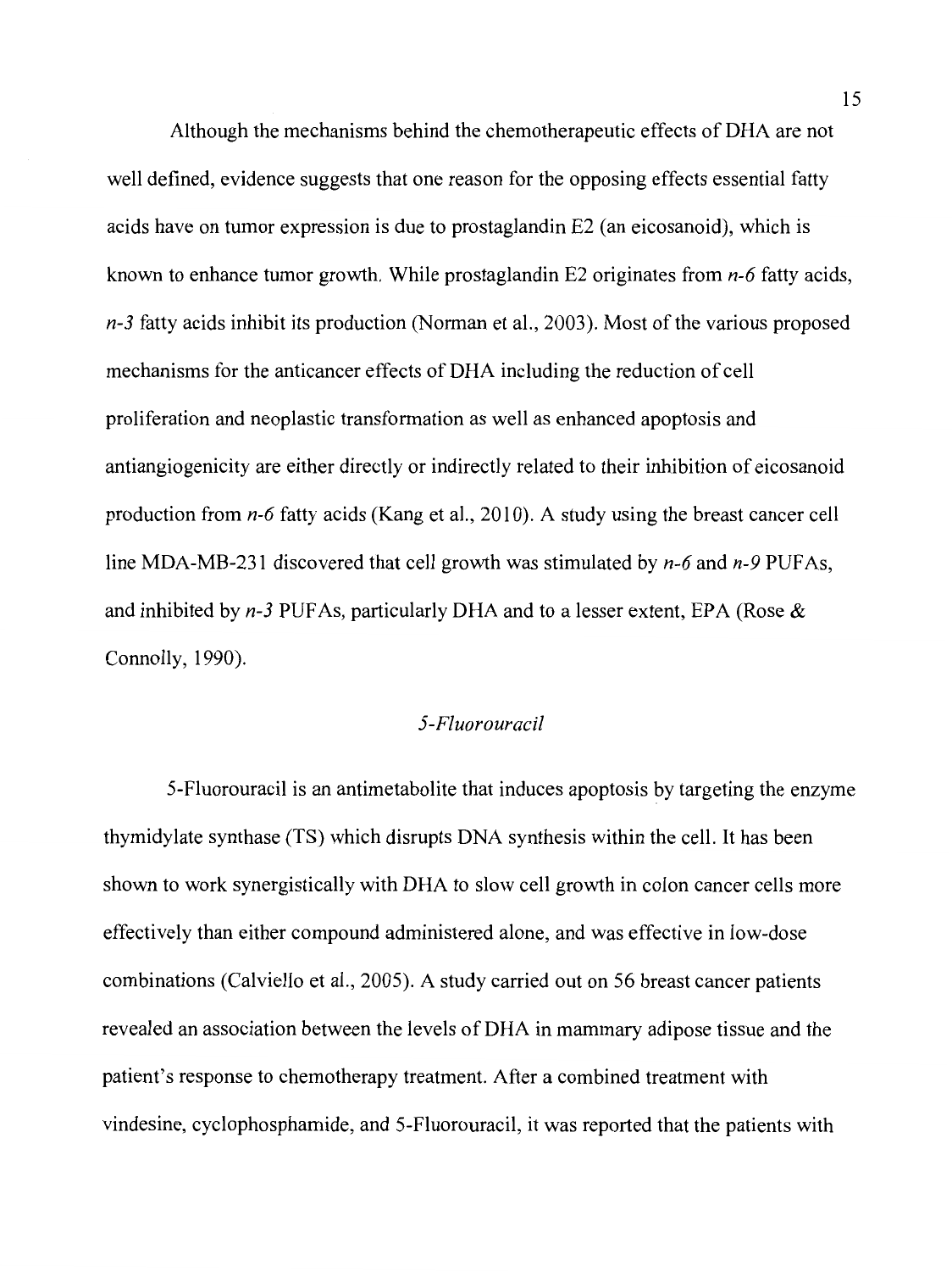Although the mechanisms behind the chemotherapeutic effects of DHA are not well defined, evidence suggests that one reason for the opposing effects essential fatty acids have on tumor expression is due to prostaglandin E2 (an eicosanoid), which is known to enhance tumor growth. While prostaglandin E2 originates from *n-6* fatty acids, *n-3* fatty acids inhibit its production (Norman et al., 2003). Most of the various proposed mechanisms for the anticancer effects of DHA including the reduction of cell proliferation and neoplastic transformation as well as enhanced apoptosis and antiangiogenicity are either directly or indirectly related to their inhibition of eicosanoid production from *n-6* fatty acids (Kang et al., 2010). A study using the breast cancer cell line MDA-MB-231 discovered that cell growth was stimulated by *n-6* and *n-9* PUF As, and inhibited by *n-3* PUF As, particularly DHA and to a lesser extent, EPA (Rose & Connolly, 1990).

## *5-Fluorouracil*

5-Fluorouracil is an antimetabolite that induces apoptosis by targeting the enzyme thymidylate synthase (TS) which disrupts DNA synthesis within the cell. It has been shown to work synergistically with DHA to slow cell growth in colon cancer cells more effectively than either compound administered alone, and was effective in low-dose combinations (Calviello et al., 2005). A study carried out on 56 breast cancer patients revealed an association between the levels of DHA in mammary adipose tissue and the patient's response to chemotherapy treatment. After a combined treatment with vindesine, cyclophosphamide, and 5-Fluorouracil, it was reported that the patients with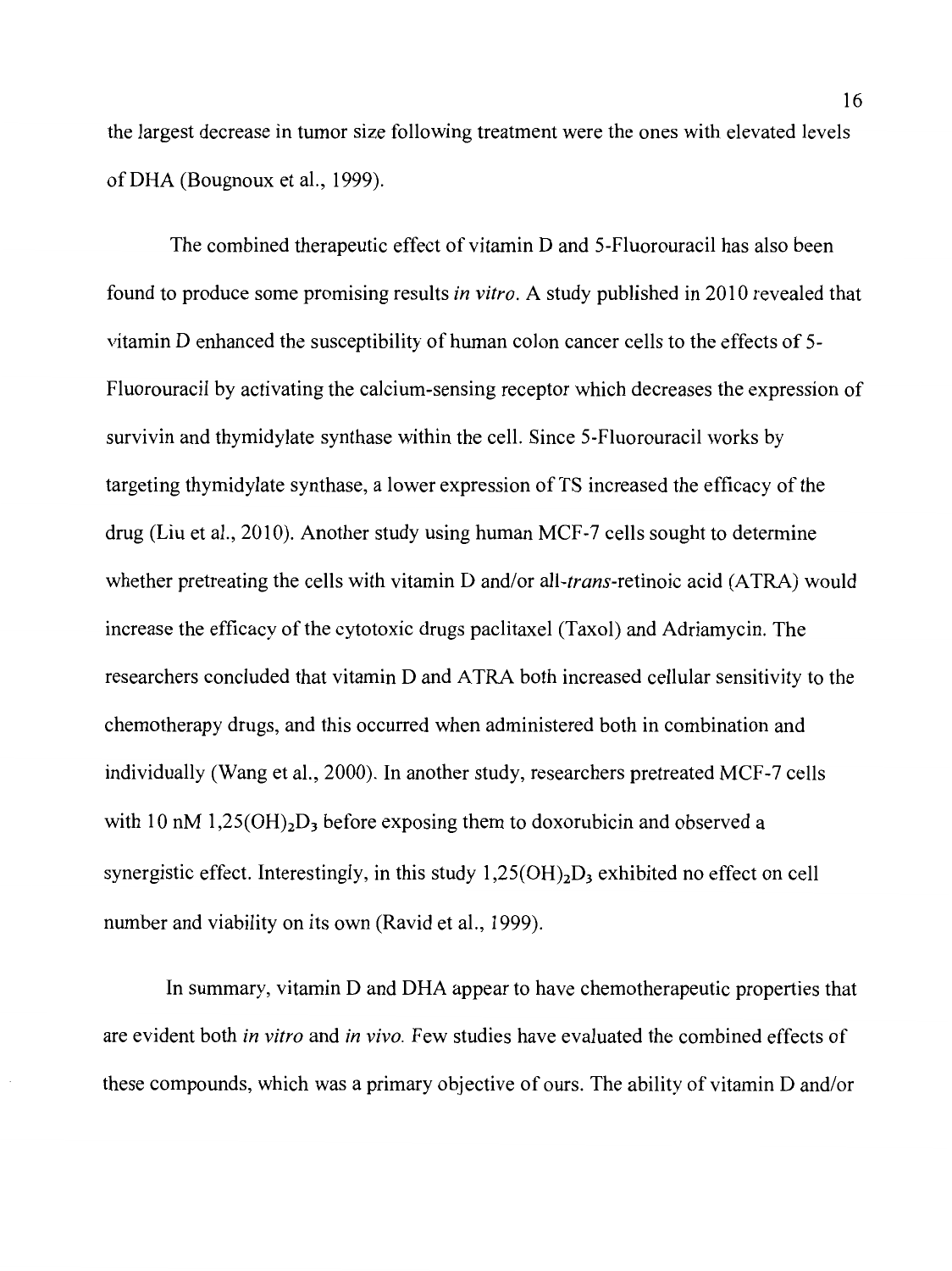the largest decrease in tumor size following treatment were the ones with elevated levels of DHA (Bougnoux et al., 1999).

The combined therapeutic effect of vitamin D and 5-Fluorouracil has also been found to produce some promising results *in vitro.* A study published in 2010 revealed that vitamin D enhanced the susceptibility of human colon cancer cells to the effects of 5- Fluorouracil by activating the calcium-sensing receptor which decreases the expression of survivin and thymidylate synthase within the cell. Since 5-Fluorouracil works by targeting thymidylate synthase, a lower expression of TS increased the efficacy of the drug (Liu et al., 2010). Another study using human MCF-7 cells sought to determine whether pretreating the cells with vitamin D and/or all-*trans*-retinoic acid (ATRA) would increase the efficacy of the cytotoxic drugs paclitaxel (Taxol) and Adriamycin. The researchers concluded that vitamin D and ATRA both increased cellular sensitivity to the chemotherapy drugs, and this occurred when administered both in combination and individually (Wang et al., 2000). In another study, researchers pretreated MCF-7 cells with 10 nM 1,25( $OH$ )<sub>2</sub>D<sub>3</sub> before exposing them to doxorubicin and observed a synergistic effect. Interestingly, in this study  $1,25(OH)_2D_3$  exhibited no effect on cell number and viability on its own (Ravid et al., 1999).

In summary, vitamin D and DHA appear to have chemotherapeutic properties that are evident both *in vitro* and *in vivo.* Few studies have evaluated the combined effects of these compounds, which was a primary objective of ours. The ability of vitamin D and/or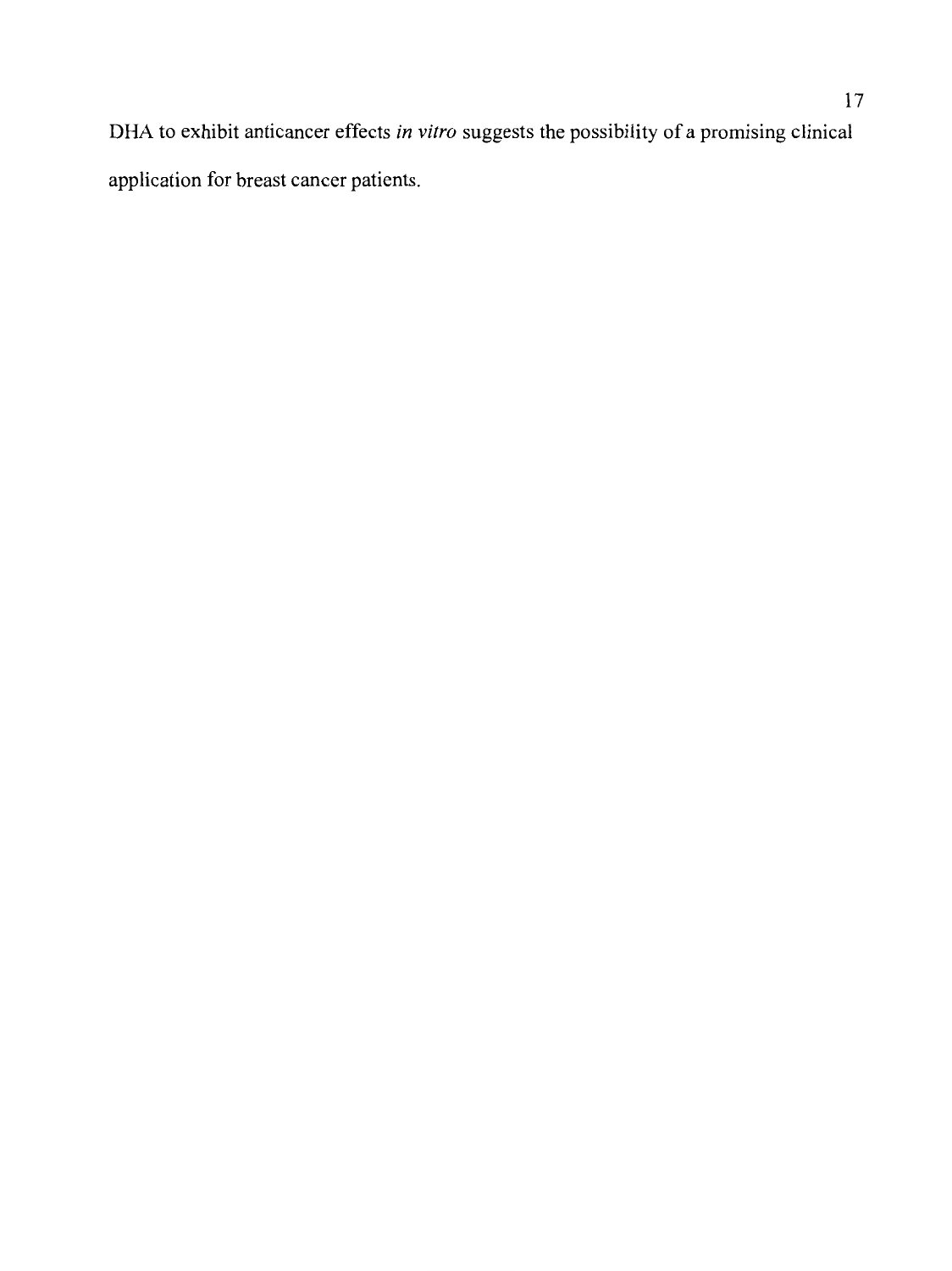DHA to exhibit anticancer effects *in vitro* suggests the possibility of a promising clinical application for breast cancer patients.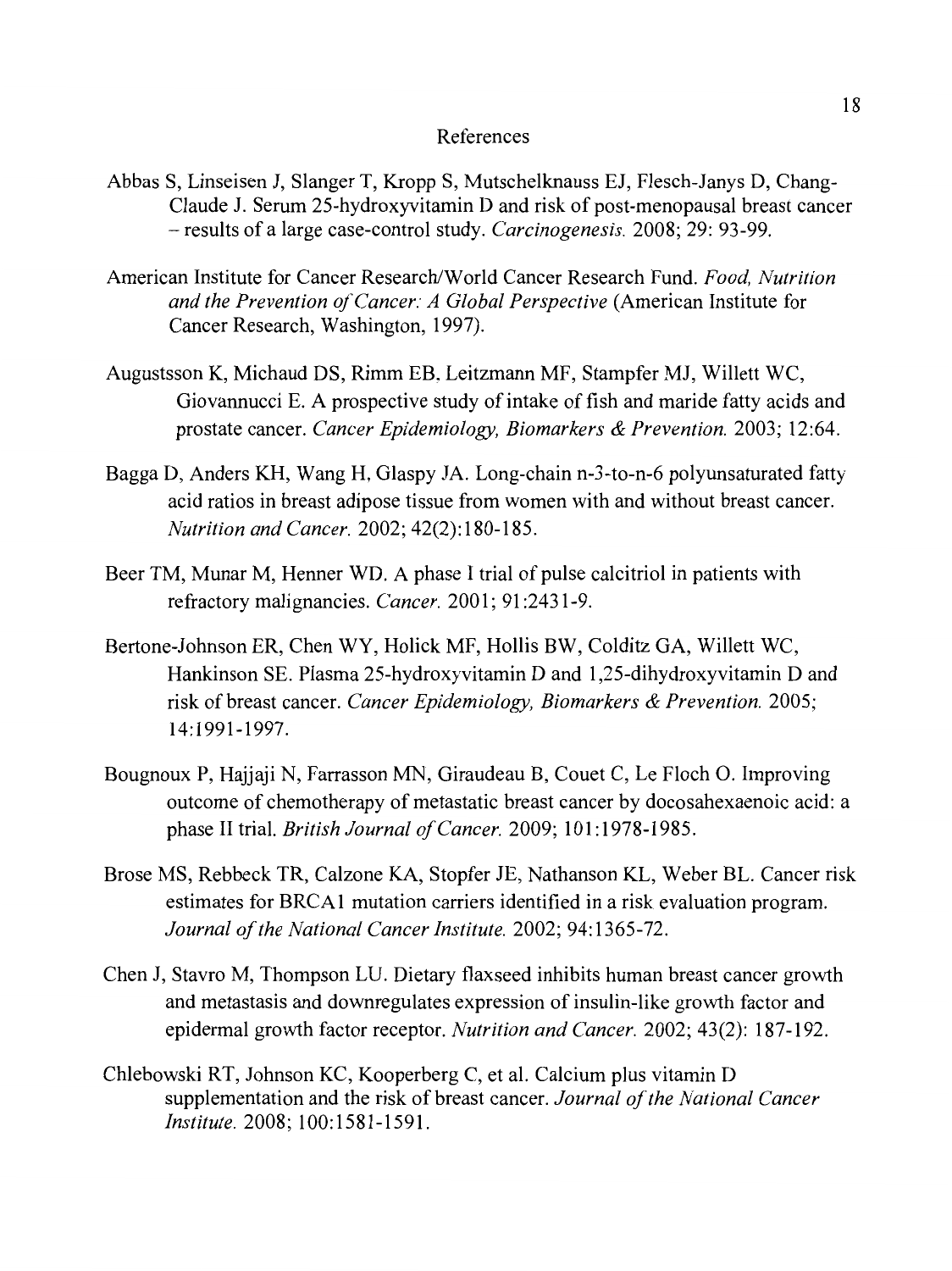## References

- Abbas S, Linseisen J, Slanger T, Kropp S, Mutschelknauss EJ, Flesch-Janys D, Chang-Claude J. Serum 25-hydroxyvitamin D and risk of post-menopausal breast cancer - results of a large case-control study. *Carcinogenesis.* 2008; 29: 93-99.
- American Institute for Cancer Research/World Cancer Research Fund. *Food, Nutrition and the Prevention of Cancer: A Global Perspective* (American Institute for Cancer Research, Washington, 1997).
- Augustsson K, Michaud DS, Rimm EB, Leitzmann MF, Stampfer MJ, Willett WC, Giovannucci E. A prospective study of intake of fish and maride fatty acids and prostate cancer. *Cancer Epidemiology, Biomarkers* & *Prevention.* 2003; 12:64.
- Bagga D, Anders KH, Wang H, Glaspy JA. Long-chain n-3-to-n-6 polyunsaturated fatty acid ratios in breast adipose tissue from women with and without breast cancer. *Nutrition and Cancer.* 2002; 42(2): 180-185.
- Beer TM, Munar M, Henner WD. A phase I trial of pulse calcitriol in patients with refractory malignancies. *Cancer.* 2001; 91 :2431-9.
- Bertone-Johnson ER, Chen WY, Halick MF, Hollis BW, Colditz GA, Willett WC, Hankinson SE. Plasma 25-hydroxyvitamin D and 1,25-dihydroxyvitamin D and risk of breast cancer. *Cancer Epidemiology, Biomarkers* & *Prevention.* 2005; 14: 1991-1997.
- Bougnoux P, Hajjaji N, Farrasson MN, Giraudeau B, Couet C, Le Floch 0. Improving outcome of chemotherapy of metastatic breast cancer by docosahexaenoic acid: a phase II trial. *British Journal of Cancer.* 2009; 101: 1978-1985.
- Brose MS, Rebbeck TR, Calzone KA, Stopfer JE, Nathanson KL, Weber BL. Cancer risk estimates for BRCAl mutation carriers identified in a risk evaluation program. *Journal of the National Cancer Institute.* 2002; 94: 1365-72.
- Chen J, Stavro M, Thompson LU. Dietary flaxseed inhibits human breast cancer growth and metastasis and downregulates expression of insulin-like growth factor and epidermal growth factor receptor. *Nutrition and Cancer.* 2002; 43(2): 187-192.
- Chlebowski RT, Johnson KC, Kooperberg C, et al. Calcium plus vitamin D supplementation and the risk of breast cancer. *Journal of the National Cancer Institute.* 2008; 100:1581-1591.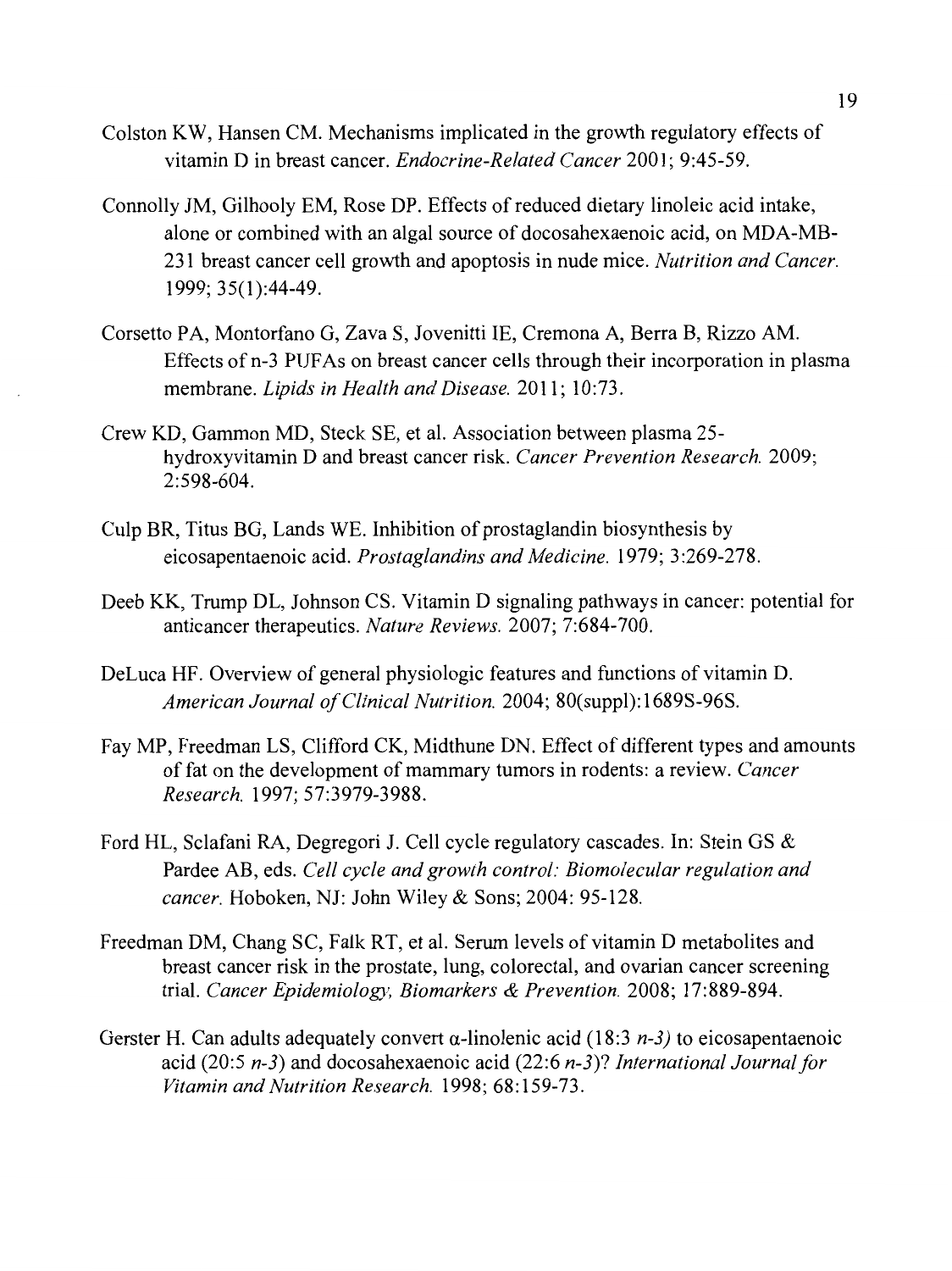- Colston KW, Hansen CM. Mechanisms implicated in the growth regulatory effects of vitamin Din breast cancer. *Endocrine-Related Cancer* 2001; 9:45-59.
- Connolly JM, Gilhooly EM, Rose DP. Effects of reduced dietary linoleic acid intake, alone or combined with an algal source of docosahexaenoic acid, on MDA-MB-231 breast cancer cell growth and apoptosis in nude mice. *Nutrition and Cancer.*  1999; 35(1):44-49.
- Corsetto PA, Montorfano G, Zava S, Jovenitti IE, Cremona A, Berra B, Rizzo AM. Effects of n-3 PUFAs on breast cancer cells through their incorporation in plasma membrane. *Lipids in Health and Disease.* 2011; 10:73.
- Crew KD, Gammon MD, Steck SE, et al. Association between plasma 25 hydroxyvitamin D and breast cancer risk. *Cancer Prevention Research.* 2009; 2:598-604.
- Culp BR, Titus BG, Lands WE. Inhibition of prostaglandin biosynthesis by eicosapentaenoic acid. *Prostaglandins and Medicine.* 1979; 3 :269-278.
- Deeb KK, Trump DL, Johnson CS. Vitamin D signaling pathways in cancer: potential for anticancer therapeutics. *Nature Reviews.* 2007; 7:684-700.
- DeLuca HF. Overview of general physiologic features and functions of vitamin D. *American Journal of Clinical Nutrition.* 2004; 80(suppl): 1689S-96S.
- Fay MP, Freedman LS, Clifford CK, Midthune DN. Effect of different types and amounts of fat on the development of mammary tumors in rodents: a review. *Cancer Research.* 1997; 57:3979-3988.
- Ford HL, Sclafani RA, Degregori J. Cell cycle regulatory cascades. In: Stein GS & Pardee AB, eds. *Cell cycle and growth control: Biomolecular regulation and cancer.* Hoboken, NJ: John Wiley & Sons; 2004: 95-128.
- Freedman DM, Chang SC, Falk RT, et al. Serum levels of vitamin D metabolites and breast cancer risk in the prostate, lung, colorectal, and ovarian cancer screening trial. *Cancer Epidemiology, Biomarkers* & *Prevention.* 2008; 17:889-894.
- Gerster H. Can adults adequately convert  $\alpha$ -linolenic acid (18:3 *n*-3) to eicosapentaenoic acid (20:5 *n-3)* and docosahexaenoic acid (22:6 *n-3)? International Journal for Vitamin and Nutrition Research.* 1998; 68:159-73.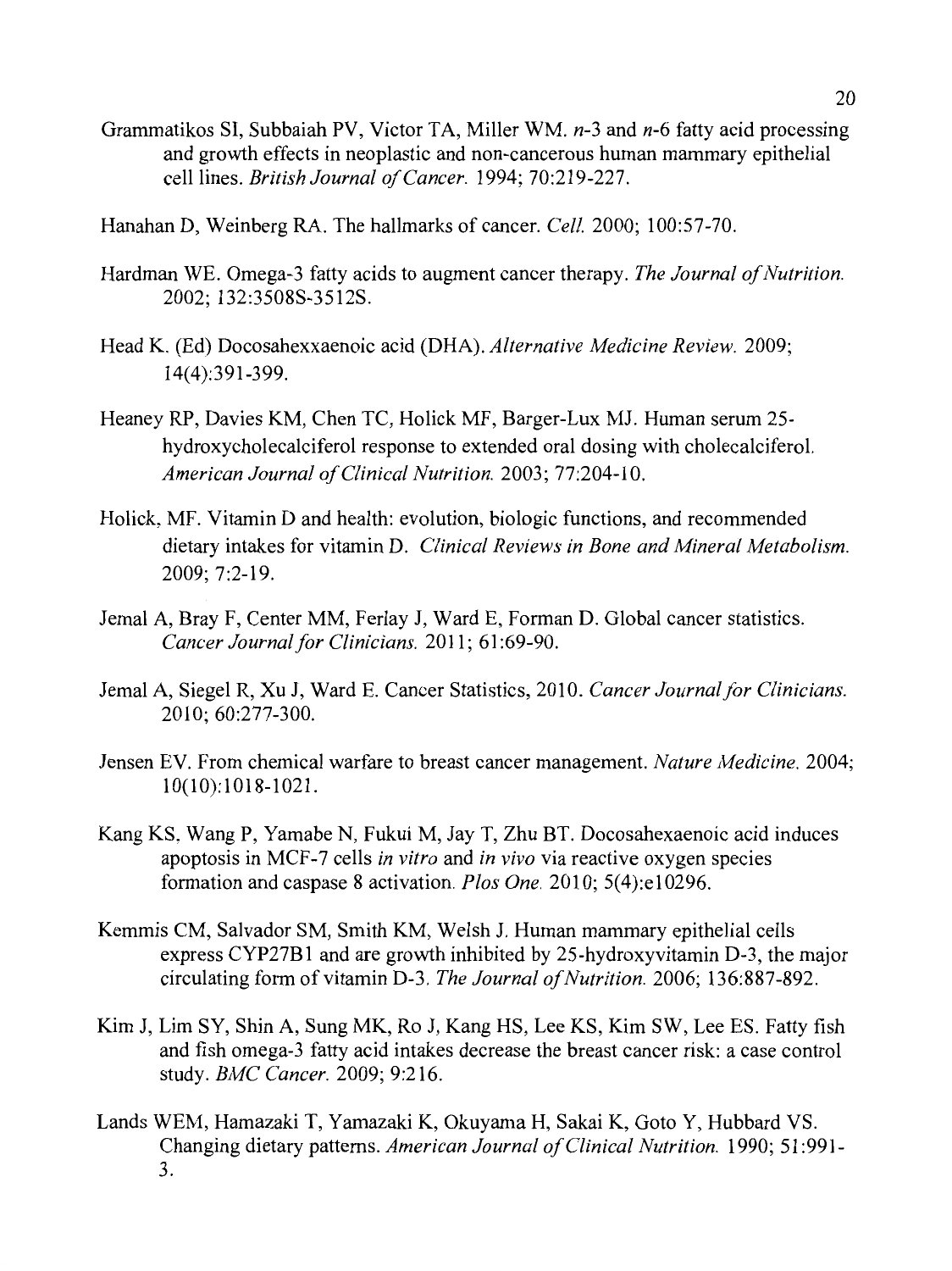- Grammatikos SI, Subbaiah PV, Victor TA, Miller WM. *n-3* and *n-6* fatty acid processing and growth effects in neoplastic and non-cancerous human mammary epithelial cell lines. *British Journal of Cancer.* 1994; 70:219-227.
- Hanahan D, Weinberg RA. The hallmarks of cancer. *Cell.* 2000; 100:57-70.
- Hardman WE. Omega-3 fatty acids to augment cancer therapy. *The Journal of Nutrition.*  2002; 132:3508S-3512S.
- Head K. (Ed) Docosahexxaenoic acid (DHA). *Alternative Medicine Review.* 2009; 14(4):391-399.
- Heaney RP, Davies KM, Chen TC, Holick MF, Barger-Lux MJ. Human serum 25 hydroxycholecalciferol response to extended oral dosing with cholecalciferol. *American Journal of Clinical Nutrition.* 2003; 77:204-10.
- Holick, MF. Vitamin D and health: evolution, biologic functions, and recommended dietary intakes for vitamin D. *Clinical Reviews in Bone and Mineral Metabolism.*  2009; 7:2-19.
- Jemal A, Bray F, Center MM, Ferlay J, Ward E, Forman D. Global cancer statistics. *Cancer Journal for Clinicians.* 2011; 61 :69-90.
- Jemal A, Siegel R, Xu J, Ward E. Cancer Statistics, 2010. *Cancer Journal for Clinicians.*  2010; 60:277-300.
- Jensen EV. From chemical warfare to breast cancer management. *Nature Medicine.* 2004; 10(10): 1018-1021.
- Kang KS, Wang P, Yamabe N, Fukui M, Jay T, Zhu BT. Docosahexaenoic acid induces apoptosis in MCF-7 cells *in vitro* and *in vivo* via reactive oxygen species formation and caspase 8 activation. *Plos One.* 2010; 5(4):e10296.
- Kemmis CM, Salvador SM, Smith KM, Welsh J. Human mammary epithelial cells express CYP27Bl and are growth inhibited by 25-hydroxyvitamin D-3, the major circulating form of vitamin D-3. *The Journal of Nutrition.* 2006; 136:887-892.
- Kim J, Lim SY, Shin A, Sung MK, Ro J, Kang HS, Lee KS, Kim SW, Lee ES. Fatty fish and fish omega-3 fatty acid intakes decrease the breast cancer risk: a case control study. *BMC Cancer.* 2009; 9:216.
- Lands WEM, Hamazaki T, Yamazaki K, Okuyama H, Sakai K, Goto Y, Hubbard VS. Changing dietary patterns. *American Journal of Clinical Nutrition.* 1990; 51 :991- 3.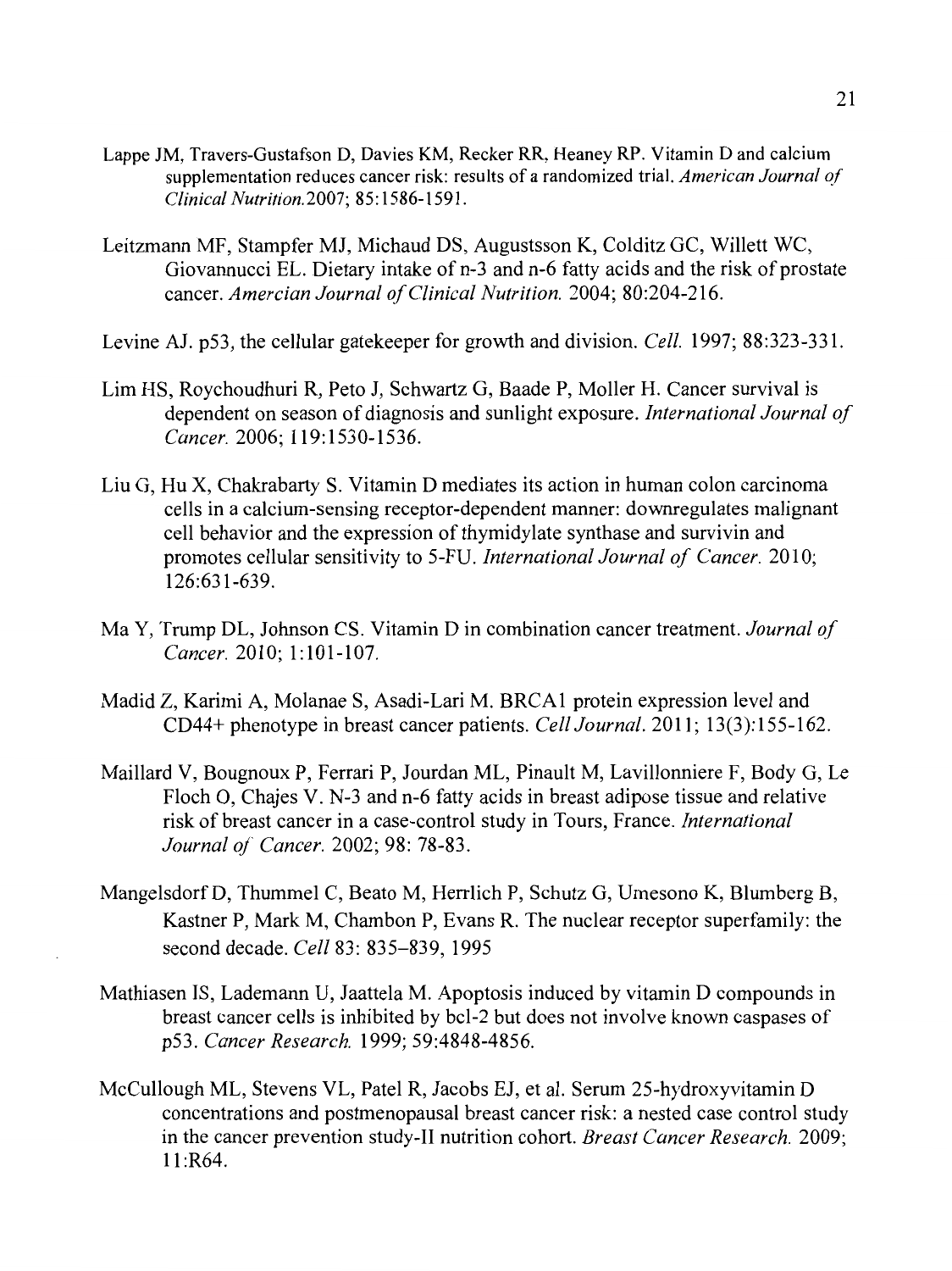- Lappe JM, Travers-Gustafson D, Davies KM, Recker RR, Heaney RP. Vitamin D and calcium supplementation reduces cancer risk: results of a randomized trial. *American Journal of Clinical Nutrition.2007;* 85:1586-1591.
- Leitzmann MF, Stampfer MJ, Michaud DS, Augustsson K, Colditz GC, Willett WC, Giovannucci EL. Dietary intake of n-3 and n-6 fatty acids and the risk of prostate cancer. *Amercian Journal of Clinical Nutrition.* 2004; 80:204-216.
- Levine AJ. p53, the cellular gatekeeper for growth and division. *Cell.* 1997; 88:323-331.
- Lim HS, Roychoudhuri R, Peto J, Schwartz G, Baade P, Moller H. Cancer survival is dependent on season of diagnosis and sunlight exposure. *International Journal of Cancer.* 2006; 119:1530-1536.
- Liu G, Hu X, Chakrabarty S. Vitamin D mediates its action in human colon carcinoma cells in a calcium-sensing receptor-dependent manner: downregulates malignant cell behavior and the expression of thymidylate synthase and survivin and promotes cellular sensitivity to 5-FU. *International Journal of Cancer*. 2010; 126:631-639.
- Ma Y, Trump DL, Johnson CS. Vitamin D in combination cancer treatment. *Journal of Cancer.* 2010; 1: 101-107.
- Madid Z, Karimi A, Molanae S, Asadi-Lari M. BRCAl protein expression level and CD44+ phenotype in breast cancer patients. *Cell Journal.* 2011; 13(3):155-162.
- Maillard V, Bougnoux P, Ferrari P, Jourdan ML, Pinault M, Lavillonniere F, Body G, Le Floch 0, Chajes V. N-3 and n-6 fatty acids in breast adipose tissue and relative risk of breast cancer in a case-control study in Tours, France. *International Journal of Cancer.* 2002; 98: 78-83.
- MangelsdorfD, Thummel C, Beato M, Herrlich P, Schutz G, Umesono K, Blumberg B, Kastner P, Mark M, Chambon P, Evans R. The nuclear receptor superfamily: the second decade. *Cell* 83: 835-839, 1995
- Mathiasen IS, Lademann U, Jaattela M. Apoptosis induced by vitamin D compounds in breast cancer cells is inhibited by bcl-2 but does not involve known caspases of p53. *Cancer Research.* 1999; 59:4848-4856.
- McCullough ML, Stevens VL, Patel R, Jacobs EJ, et al. Serum 25-hydroxyvitamin D concentrations and postmenopausal breast cancer risk: a nested case control study in the cancer prevention study-II nutrition cohort. *Breast Cancer Research.* 2009; 11 :R64.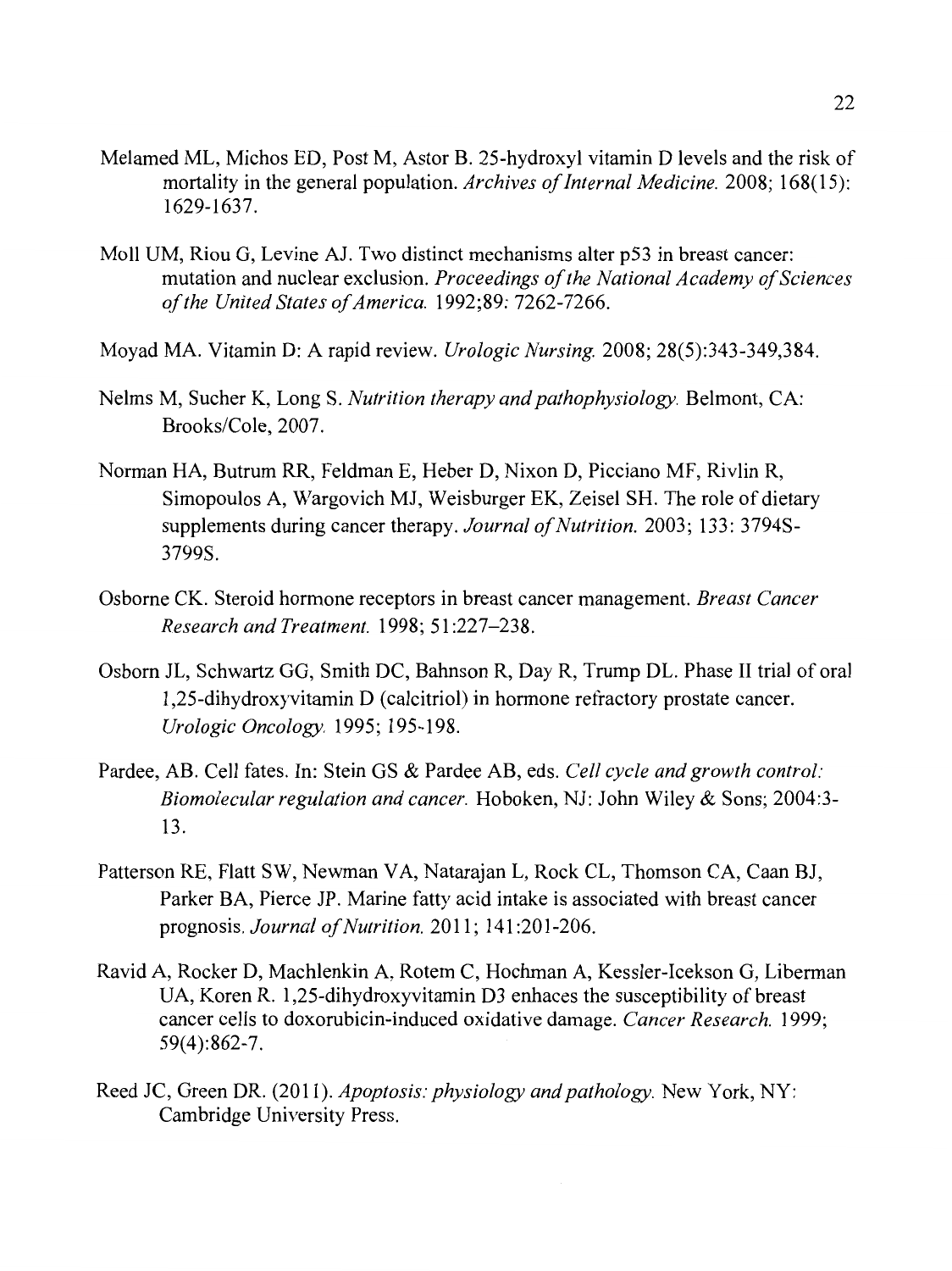- Melamed ML, Michos ED, Post M, Astor B. 25-hydroxyl vitamin D levels and the risk of mortality in the general population. *Archives of Internal Medicine.* 2008; 168(15): 1629-1637.
- Moll UM, Riou G, Levine AJ. Two distinct mechanisms alter p53 in breast cancer: mutation and nuclear exclusion. *Proceedings of the National Academy of Sciences of the United States of America.* 1992;89: 7262-7266.
- Moyad MA. Vitamin D: A rapid review. *Urologic Nursing.* 2008; 28(5):343-349,384.
- Nelms M, Sucher K, Long S. *Nutrition therapy and pathophysiology.* Belmont, CA: Brooks/Cole, 2007.
- Norman HA, Butrum RR, Feldman E, Heber D, Nixon D, Picciano MF, Rivlin R, Simopoulos A, Wargovich MJ, Weisburger EK, Zeisel SH. The role of dietary supplements during cancer therapy. *Journal of Nutrition.* 2003; 133: 3794S-3799S.
- Osborne CK. Steroid hormone receptors in breast cancer management. *Breast Cancer Research and Treatment.* 1998; 51 :227-238.
- Osborn JL, Schwartz GG, Smith DC, Bahnson R, Day R, Trump DL. Phase II trial of oral 1,25-dihydroxyvitamin D (calcitriol) in hormone refractory prostate cancer. *Urologic Oncology.* 1995; 195-198.
- Pardee, AB. Cell fates. In: Stein GS & Pardee AB, eds. *Cell cycle and growth control: Biomolecular regulation and cancer.* Hoboken, NJ: John Wiley & Sons; 2004:3- 13.
- Patterson RE, Flatt SW, Newman VA, Natarajan L, Rock CL, Thomson CA, Caan BJ, Parker BA, Pierce JP. Marine fatty acid intake is associated with breast cancer prognosis. *Journal of Nutrition.* 2011; 141:201-206.
- Ravid A, Rocker D, Machlenkin A, Rotem C, Hochman A, Kessler-Icekson G, Liberman UA, Koren R. 1,25-dihydroxyvitamin D3 enhaces the susceptibility of breast cancer cells to doxorubicin-induced oxidative damage. *Cancer Research.* 1999; 59(4):862-7.
- Reed JC, Green DR. (2011). *Apoptosis: physiology and pathology.* New York, NY: Cambridge University Press.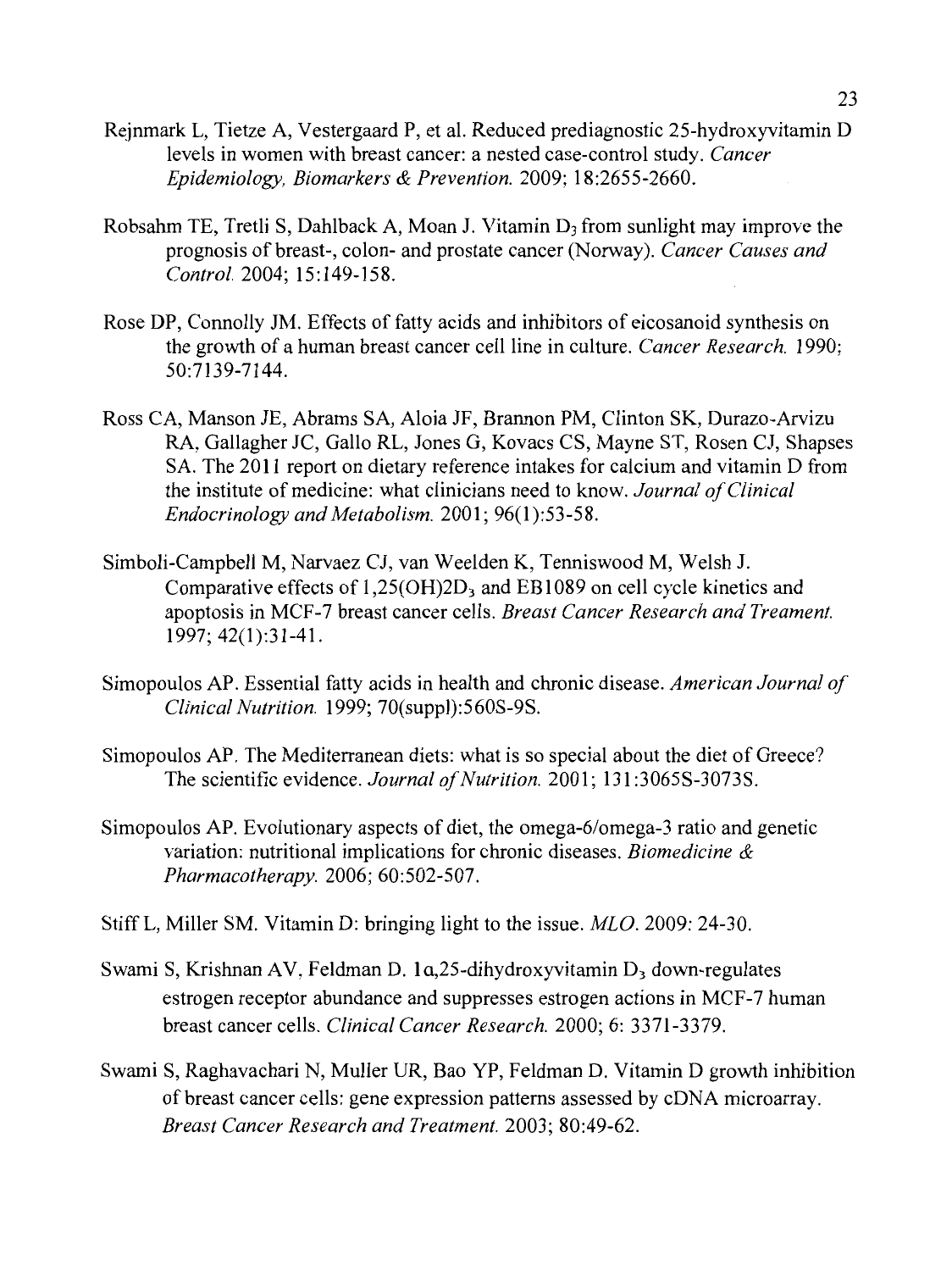- Rejnmark L, Tietze A, Vestergaard P, et al. Reduced prediagnostic 25-hydroxyvitamin D levels in women with breast cancer: a nested case-control study. *Cancer Epidemiology, Biomarkers* & *Prevention.* 2009; 18:2655-2660.
- Robsahm TE, Tretli S, Dahlback A, Moan J. Vitamin  $D_3$  from sunlight may improve the prognosis of breast-, colon- and prostate cancer (Norway). *Cancer Causes and Control.* 2004; 15:149-158.
- Rose DP, Connolly JM. Effects of fatty acids and inhibitors of eicosanoid synthesis on the growth of a human breast cancer cell line in culture. *Cancer Research.* 1990; 50:7139-7144.
- Ross CA, Manson JE, Abrams SA, Aloia JF, Brannon PM, Clinton SK, Durazo-Arvizu RA, Gallagher JC, Gallo RL, Jones G, Kovacs CS, Mayne ST, Rosen CJ, Shapses SA. The 2011 report on dietary reference intakes for calcium and vitamin D from the institute of medicine: what clinicians need to know. *Journal of Clinical Endocrinology and Metabolism.* 2001; 96(1):53-58.
- Simboli-Campbell M, Narvaez CJ, van Weelden K, Tenniswood M, Welsh J. Comparative effects of  $1,25(OH)2D_3$  and EB1089 on cell cycle kinetics and apoptosis in MCF-7 breast cancer cells. *Breast Cancer Research and Treament.*  1997; 42(1):31-41.
- Simopoulos AP. Essential fatty acids in health and chronic disease. *American Journal of Clinical Nutrition.* 1999; 70(suppl):560S-9S.
- Simopoulos AP. The Mediterranean diets: what is so special about the diet of Greece? The scientific evidence. *Journal of Nutrition.* 2001; 131:3065S-3073S.
- Simopoulos AP. Evolutionary aspects of diet, the omega-6/omega-3 ratio and genetic variation: nutritional implications for chronic diseases. *Biomedicine* & *Pharmacotherapy.* 2006; 60:502-507.
- Stiff L, Miller SM. Vitamin D: bringing light to the issue. *MLO.* 2009: 24-30.
- Swami S, Krishnan AV, Feldman D. 1a, 25-dihydroxyvitamin D<sub>3</sub> down-regulates estrogen receptor abundance and suppresses estrogen actions in MCF-7 human breast cancer cells. *Clinical Cancer Research.* 2000; 6: 3371-3379.
- Swami S, Raghavachari N, Muller UR, Bao YP, Feldman D. Vitamin D growth inhibition of breast cancer cells: gene expression patterns assessed by cDNA microarray. *Breast Cancer Research and Treatment.* 2003; 80:49-62.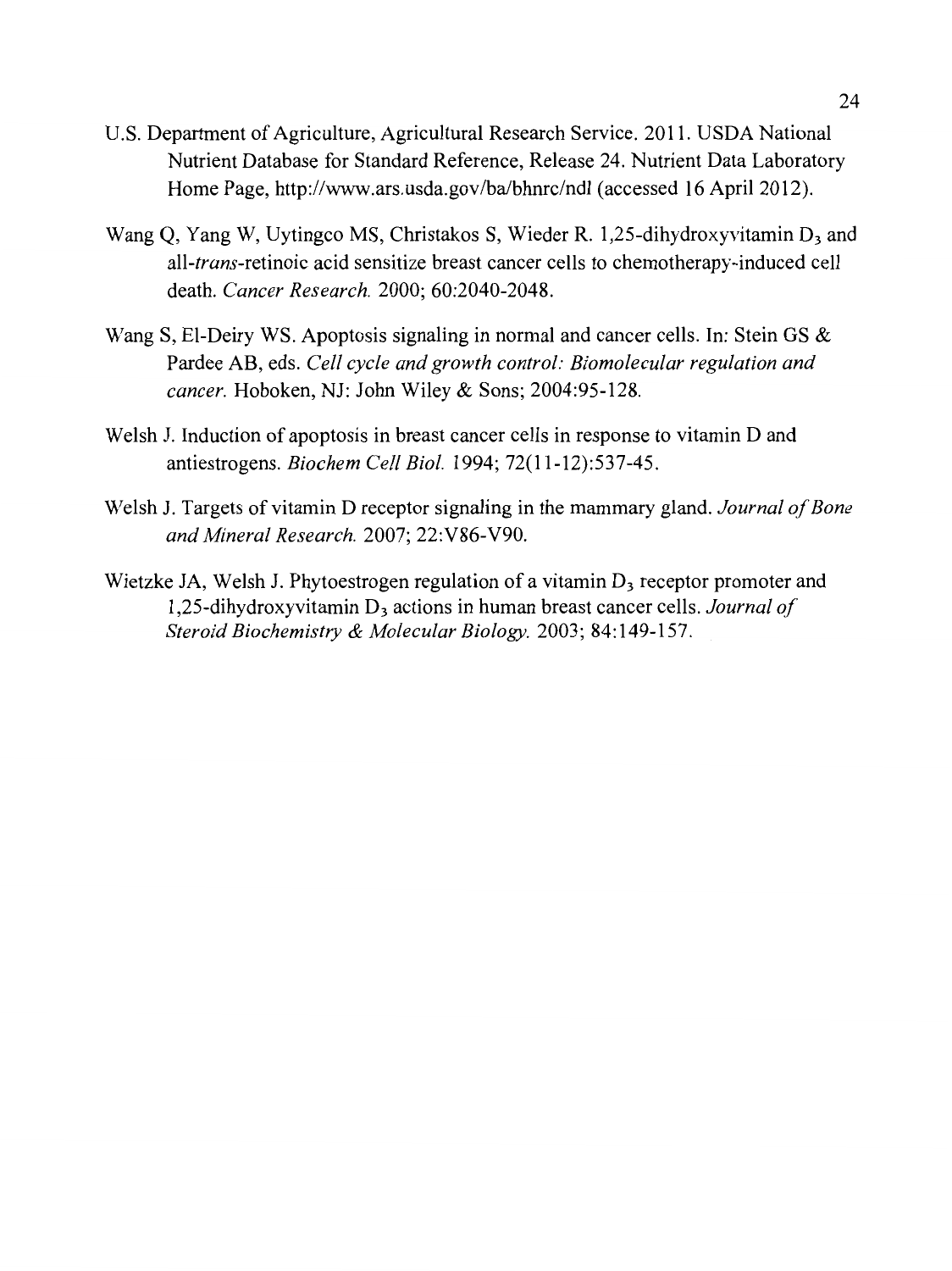- U.S. Department of Agriculture, Agricultural Research Service. 2011. USDA National Nutrient Database for Standard Reference, Release 24. Nutrient Data Laboratory Home Page, http://www.ars.usda.gov/ba/bhnrc/ndl (accessed 16 April 2012).
- Wang Q, Yang W, Uytingco MS, Christakos S, Wieder R. 1,25-dihydroxyvitamin  $D_3$  and all-trans-retinoic acid sensitize breast cancer cells to chemotherapy-induced cell death. *Cancer Research.* 2000; 60:2040-2048.
- Wang S, El-Deiry WS. Apoptosis signaling in normal and cancer cells. In: Stein GS & Pardee AB, eds. *Cell cycle and growth control: Biomolecular regulation and cancer.* Hoboken, NJ: John Wiley & Sons; 2004:95-128.
- Welsh J. Induction of apoptosis in breast cancer cells in response to vitamin D and antiestrogens. *Biochem Cell Biol.* 1994; 72(11-12):537-45.
- Welsh J. Targets of vitamin D receptor signaling in the mammary gland. *Journal of Bone and Mineral Research.* 2007; 22:V86-V90.
- Wietzke JA, Welsh J. Phytoestrogen regulation of a vitamin  $D<sub>3</sub>$  receptor promoter and 1,25-dihydroxyvitamin D<sub>3</sub> actions in human breast cancer cells. *Journal of Steroid Biochemistry* & *Molecular Biology.* 2003; 84:149-157.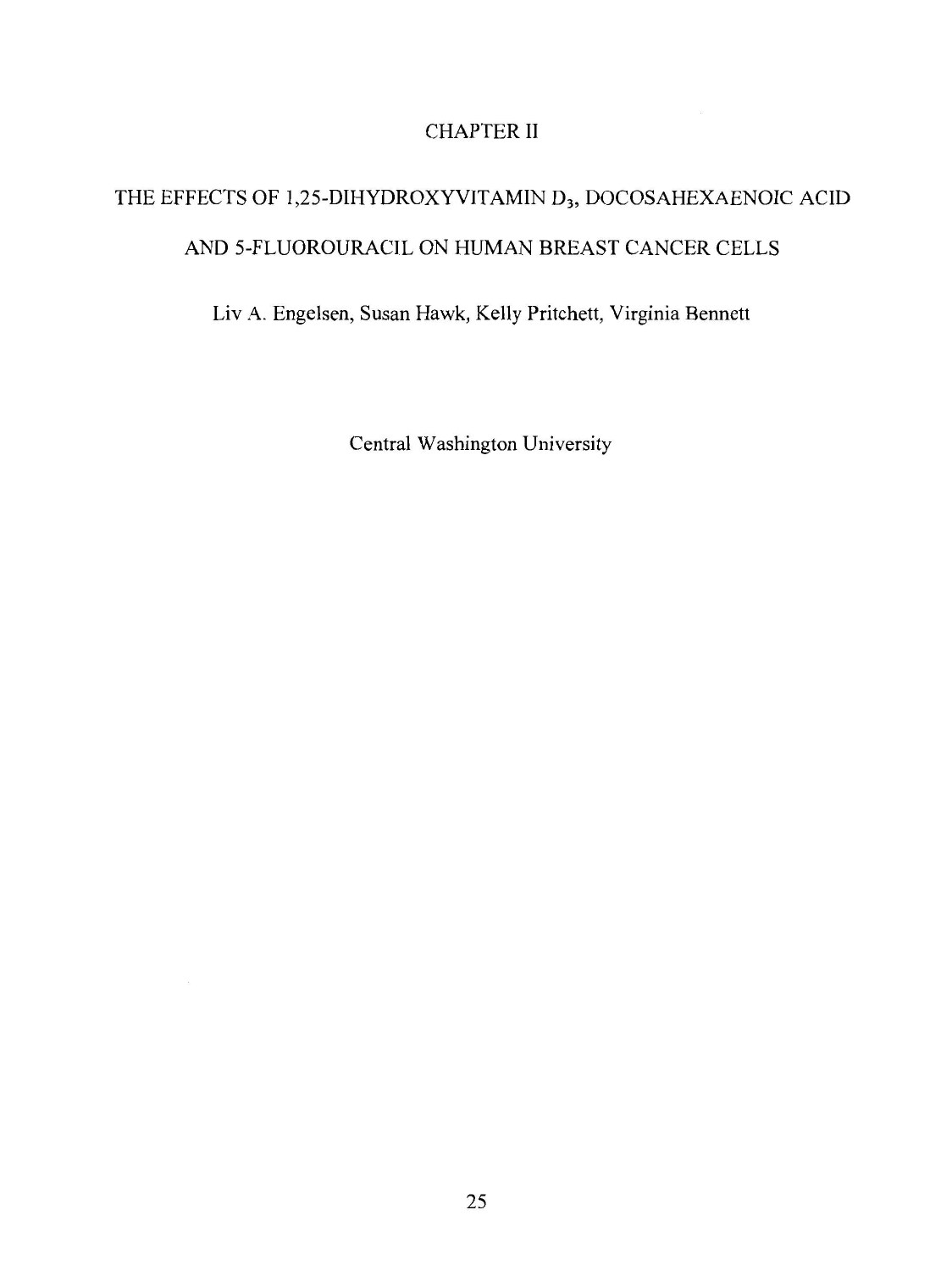## CHAPTER II

# THE EFFECTS OF 1,25-DIHYDROXYVITAMIN D<sub>3</sub>, DOCOSAHEXAENOIC ACID AND 5-FLUOROURACIL ON HUMAN BREAST CANCER CELLS

Liv A. Engelsen, Susan Hawk, Kelly Pritchett, Virginia Bennett

Central Washington University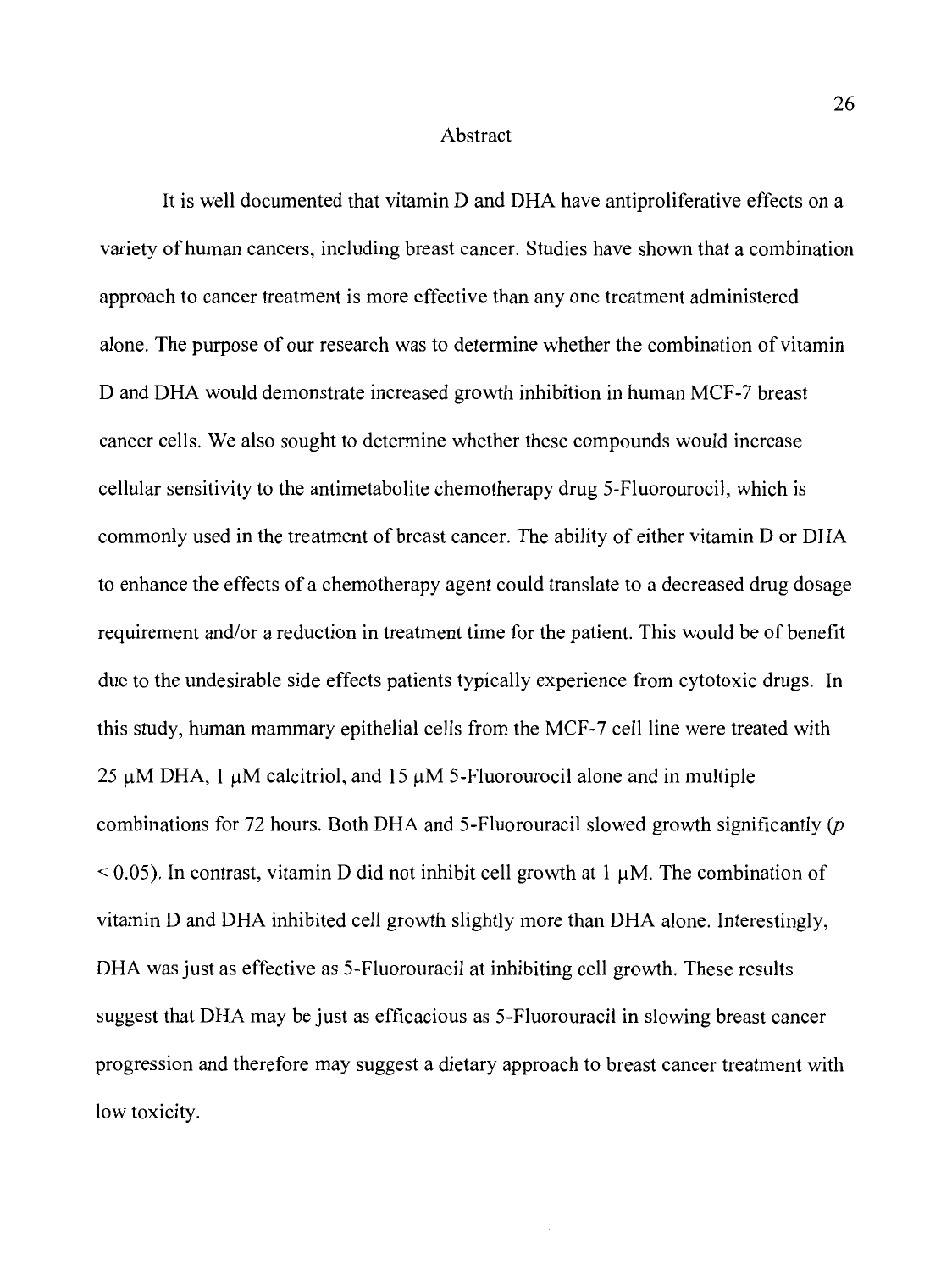## Abstract

It is well documented that vitamin D and DHA have antiproliferative effects on a variety of human cancers, including breast cancer. Studies have shown that a combination approach to cancer treatment is more effective than any one treatment administered alone. The purpose of our research was to determine whether the combination of vitamin D and DHA would demonstrate increased growth inhibition in human MCF-7 breast cancer cells. We also sought to determine whether these compounds would increase cellular sensitivity to the antimetabolite chemotherapy drug 5-Fluorourocil, which is commonly used in the treatment of breast cancer. The ability of either vitamin D or DHA to enhance the effects of a chemotherapy agent could translate to a decreased drug dosage requirement and/or a reduction in treatment time for the patient. This would be of benefit due to the undesirable side effects patients typically experience from cytotoxic drugs. In this study, human mammary epithelial cells from the MCF-7 cell line were treated with 25  $\mu$ M DHA, 1  $\mu$ M calcitriol, and 15  $\mu$ M 5-Fluorourocil alone and in multiple combinations for 72 hours. Both DHA and 5-Fluorouracil slowed growth significantly *(p*   $< 0.05$ ). In contrast, vitamin D did not inhibit cell growth at 1  $\mu$ M. The combination of vitamin D and DHA inhibited cell growth slightly more than DHA alone. Interestingly, DHA was just as effective as 5-Fluorouracil at inhibiting cell growth. These results suggest that DHA may be just as efficacious as 5-Fluorouracil in slowing breast cancer progression and therefore may suggest a dietary approach to breast cancer treatment with low toxicity.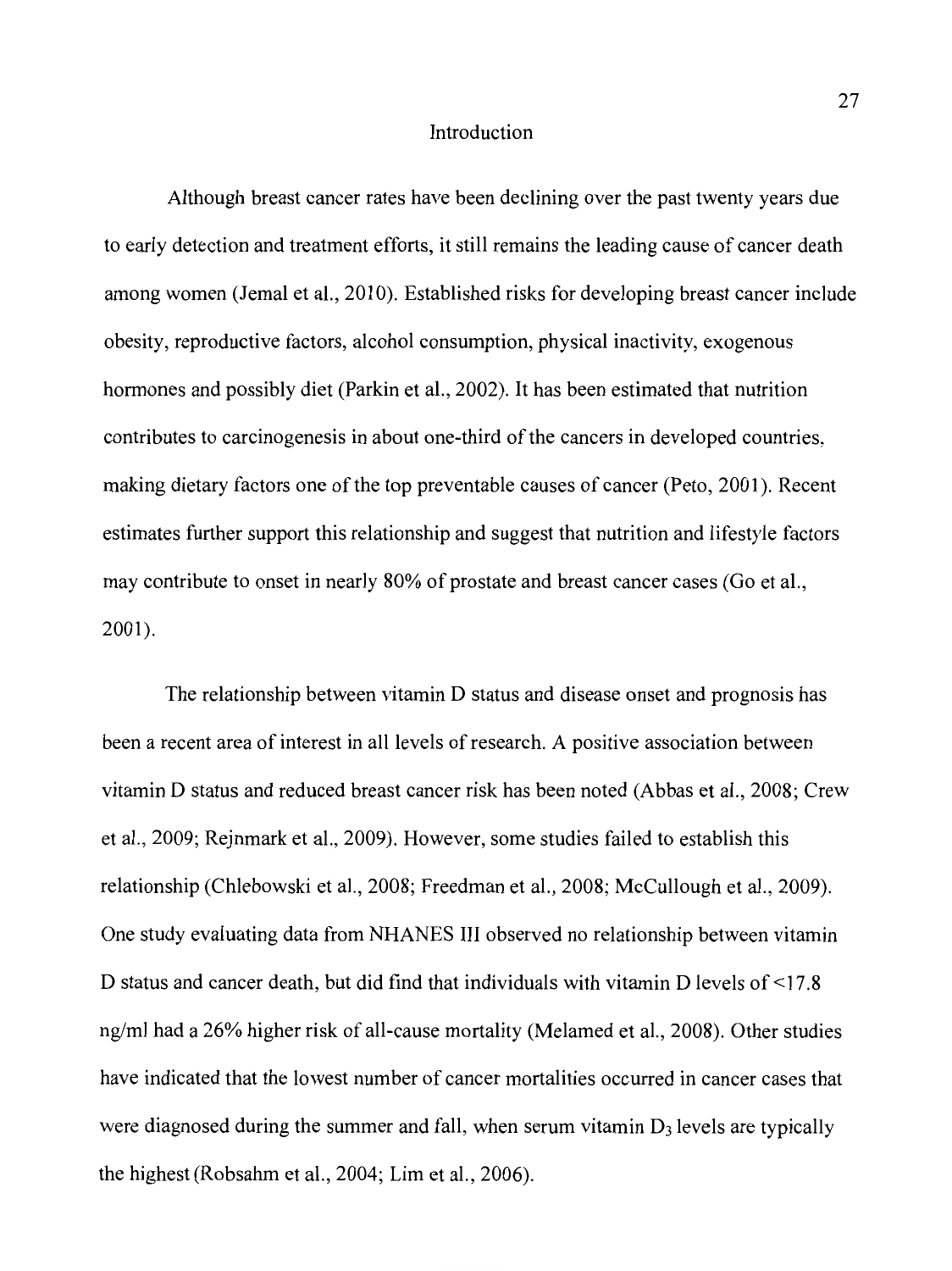### Introduction

Although breast cancer rates have been declining over the past twenty years due to early detection and treatment efforts, it still remains the leading cause of cancer death among women (Jemal et al., 2010). Established risks for developing breast cancer include obesity, reproductive factors, alcohol consumption, physical inactivity, exogenous hormones and possibly diet (Parkin et al., 2002). It has been estimated that nutrition contributes to carcinogenesis in about one-third of the cancers in developed countries, making dietary factors one of the top preventable causes of cancer (Peto, 2001 ). Recent estimates further support this relationship and suggest that nutrition and lifestyle factors may contribute to onset in nearly 80% of prostate and breast cancer cases (Go et al., 2001).

The relationship between vitamin D status and disease onset and prognosis has been a recent area of interest in all levels of research. A positive association between vitamin D status and reduced breast cancer risk has been noted (Abbas et al., 2008; Crew et al., 2009; Rejnmark et al., 2009). However, some studies failed to establish this relationship (Chlebowski et al., 2008; Freedman et al., 2008; McCullough et al., 2009). One study evaluating data from NHANES III observed no relationship between vitamin D status and cancer death, but did find that individuals with vitamin D levels of <17.8 ng/ml had a 26% higher risk of all-cause mortality (Melamed et al., 2008). Other studies have indicated that the lowest number of cancer mortalities occurred in cancer cases that were diagnosed during the summer and fall, when serum vitamin  $D_3$  levels are typically the highest (Robsahm et al., 2004; Lim et al., 2006).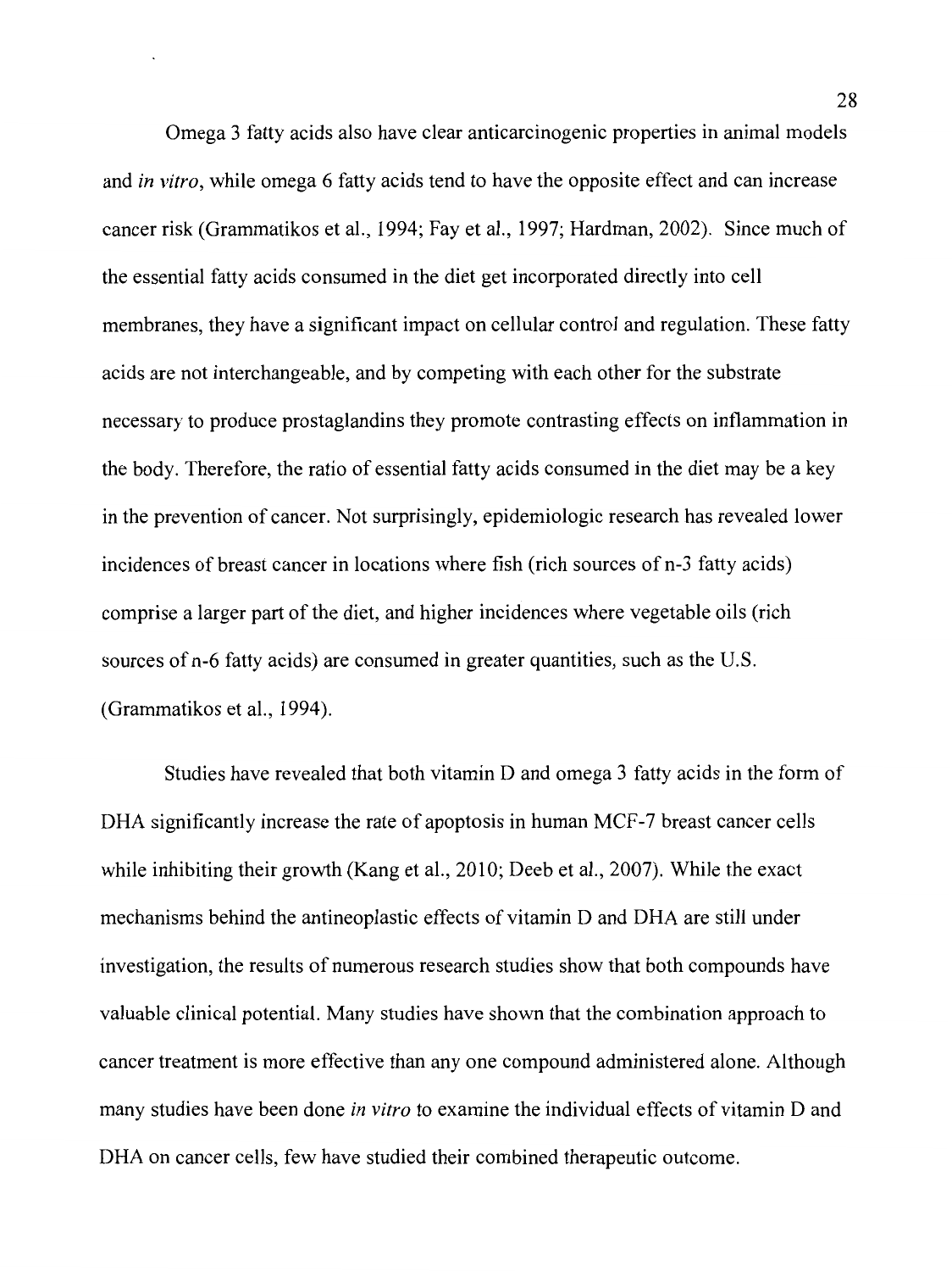Omega 3 fatty acids also have clear anticarcinogenic properties in animal models and *in vitro,* while omega 6 fatty acids tend to have the opposite effect and can increase cancer risk (Grammatikos et al., 1994; Fay et al., 1997; Hardman, 2002). Since much of the essential fatty acids consumed in the diet get incorporated directly into cell membranes, they have a significant impact on cellular control and regulation. These fatty acids are not interchangeable, and by competing with each other for the substrate necessary to produce prostaglandins they promote contrasting effects on inflammation in the body. Therefore, the ratio of essential fatty acids consumed in the diet may be a key in the prevention of cancer. Not surprisingly, epidemiologic research has revealed lower incidences of breast cancer in locations where fish (rich sources of n-3 fatty acids) comprise a larger part of the diet, and higher incidences where vegetable oils (rich sources of n-6 fatty acids) are consumed in greater quantities, such as the U.S. (Grammatikos et al., 1994).

Studies have revealed that both vitamin D and omega 3 fatty acids in the form of DHA significantly increase the rate of apoptosis in human MCF-7 breast cancer cells while inhibiting their growth (Kang et al., 2010; Deeb et al., 2007). While the exact mechanisms behind the antineoplastic effects of vitamin D and DHA are still under investigation, the results of numerous research studies show that both compounds have valuable clinical potential. Many studies have shown that the combination approach to cancer treatment is more effective than any one compound administered alone. Although many studies have been done *in vitro* to examine the individual effects of vitamin D and DHA on cancer cells, few have studied their combined therapeutic outcome.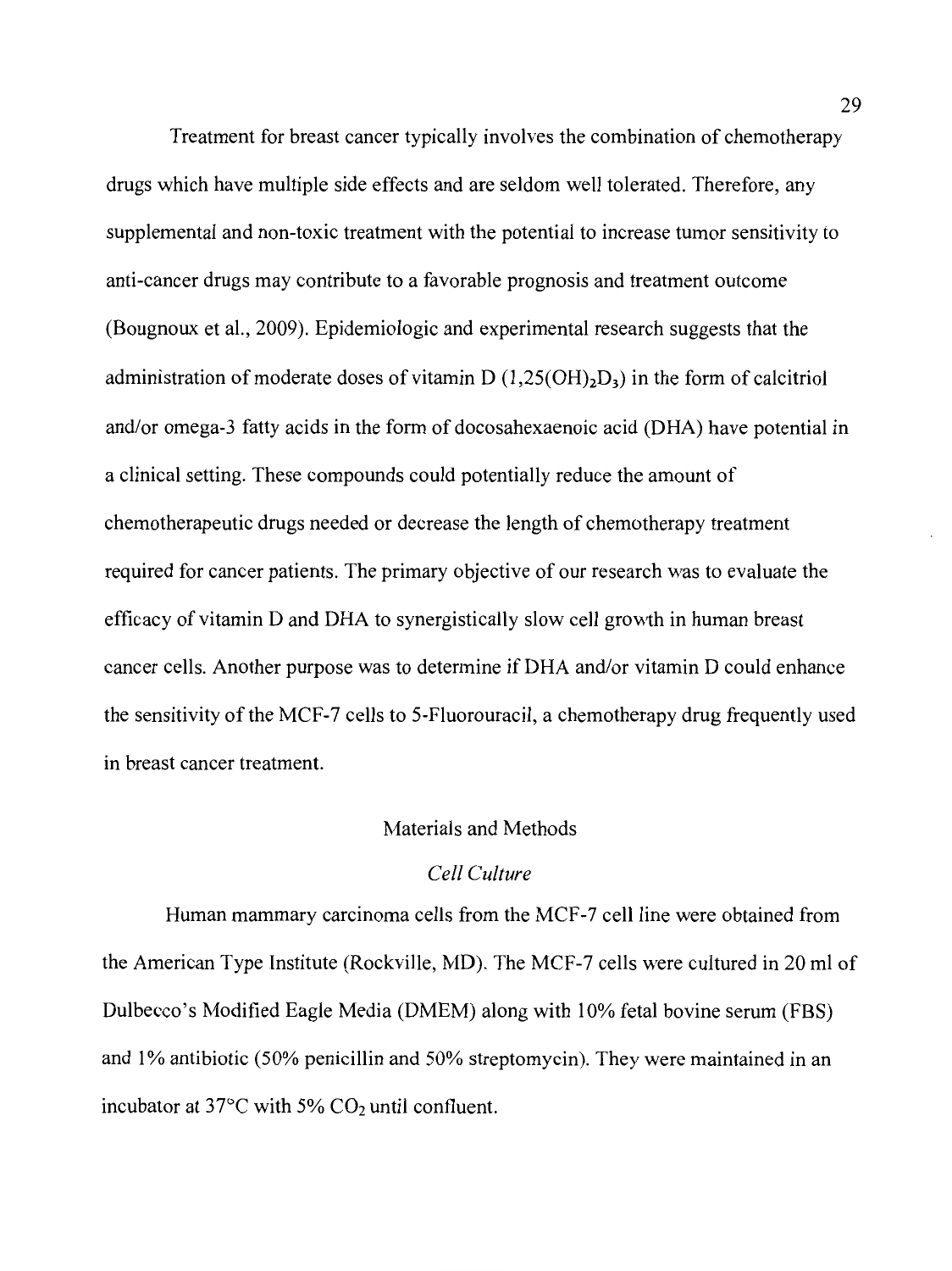Treatment for breast cancer typically involves the combination of chemotherapy drugs which have multiple side effects and are seldom well tolerated. Therefore, any supplemental and non-toxic treatment with the potential to increase tumor sensitivity to anti-cancer drugs may contribute to a favorable prognosis and treatment outcome (Bougnoux et al., 2009). Epidemiologic and experimental research suggests that the administration of moderate doses of vitamin  $D(1,25(OH),D<sub>3</sub>)$  in the form of calcitriol and/or omega-3 fatty acids in the form of docosahexaenoic acid (DHA) have potential in a clinical setting. These compounds could potentially reduce the amount of chemotherapeutic drugs needed or decrease the length of chemotherapy treatment required for cancer patients. The primary objective of our research was to evaluate the efficacy of vitamin D and DHA to synergistically slow cell growth in human breast cancer cells. Another purpose was to determine if DHA and/or vitamin D could enhance the sensitivity of the MCF-7 cells to 5-Fluorouracil, a chemotherapy drug frequently used in breast cancer treatment.

#### Materials and Methods

## *Cell Culture*

Human mammary carcinoma cells from the MCF-7 cell line were obtained from the American Type Institute (Rockville, MD). The MCF-7 cells were cultured in 20 ml of Dulbecco's Modified Eagle Media (DMEM) along with 10% fetal bovine serum (FBS) and 1% antibiotic (50% penicillin and 50% streptomycin). They were maintained in an incubator at  $37^{\circ}$ C with  $5\%$  CO<sub>2</sub> until confluent.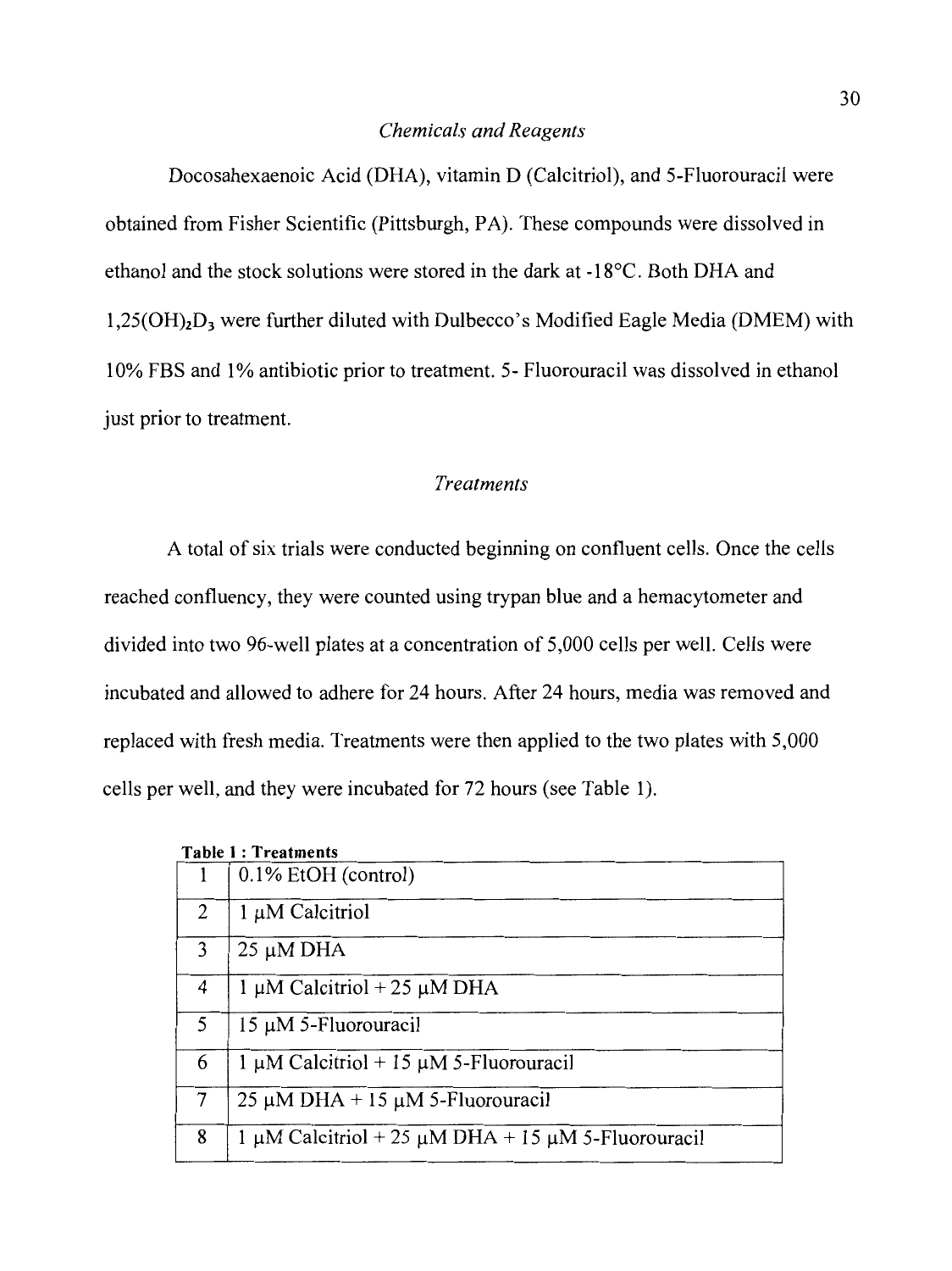### *Chemicals and Reagents*

Docosahexaenoic Acid (DHA), vitamin D (Calcitriol), and 5-Fluorouracil were obtained from Fisher Scientific (Pittsburgh, PA). These compounds were dissolved in ethanol and the stock solutions were stored in the dark at -l 8°C. Both DHA and  $1.25(OH)<sub>2</sub>D<sub>3</sub>$  were further diluted with Dulbecco's Modified Eagle Media (DMEM) with 10% FBS and 1% antibiotic prior to treatment. 5- Fluorouracil was dissolved in ethanol just prior to treatment.

## *Treatments*

A total of six trials were conducted beginning on confluent cells. Once the cells reached confluency, they were counted using trypan blue and a hemacytometer and divided into two 96-well plates at a concentration of 5,000 cells per well. Cells were incubated and allowed to adhere for 24 hours. After 24 hours, media was removed and replaced with fresh media. Treatments were then applied to the two plates with 5,000 cells per well, and they were incubated for 72 hours (see Table 1 ).

| <b>Table 1: Treatments</b> |                                                                   |  |
|----------------------------|-------------------------------------------------------------------|--|
|                            | 0.1% EtOH (control)                                               |  |
| $\overline{2}$             | $1 \mu M$ Calcitriol                                              |  |
| 3                          | $25 \mu M$ DHA                                                    |  |
| 4                          | 1 $\mu$ M Calcitriol + 25 $\mu$ M DHA                             |  |
| 5                          | $15 \mu M$ 5-Fluorouracil                                         |  |
| 6                          | $1 \mu M$ Calcitriol + 15 $\mu$ M 5-Fluorouracil                  |  |
| 7                          | $25 \mu M$ DHA + 15 $\mu$ M 5-Fluorouracil                        |  |
| 8                          | $1 \mu$ M Calcitriol + 25 $\mu$ M DHA + 15 $\mu$ M 5-Fluorouracil |  |

## 30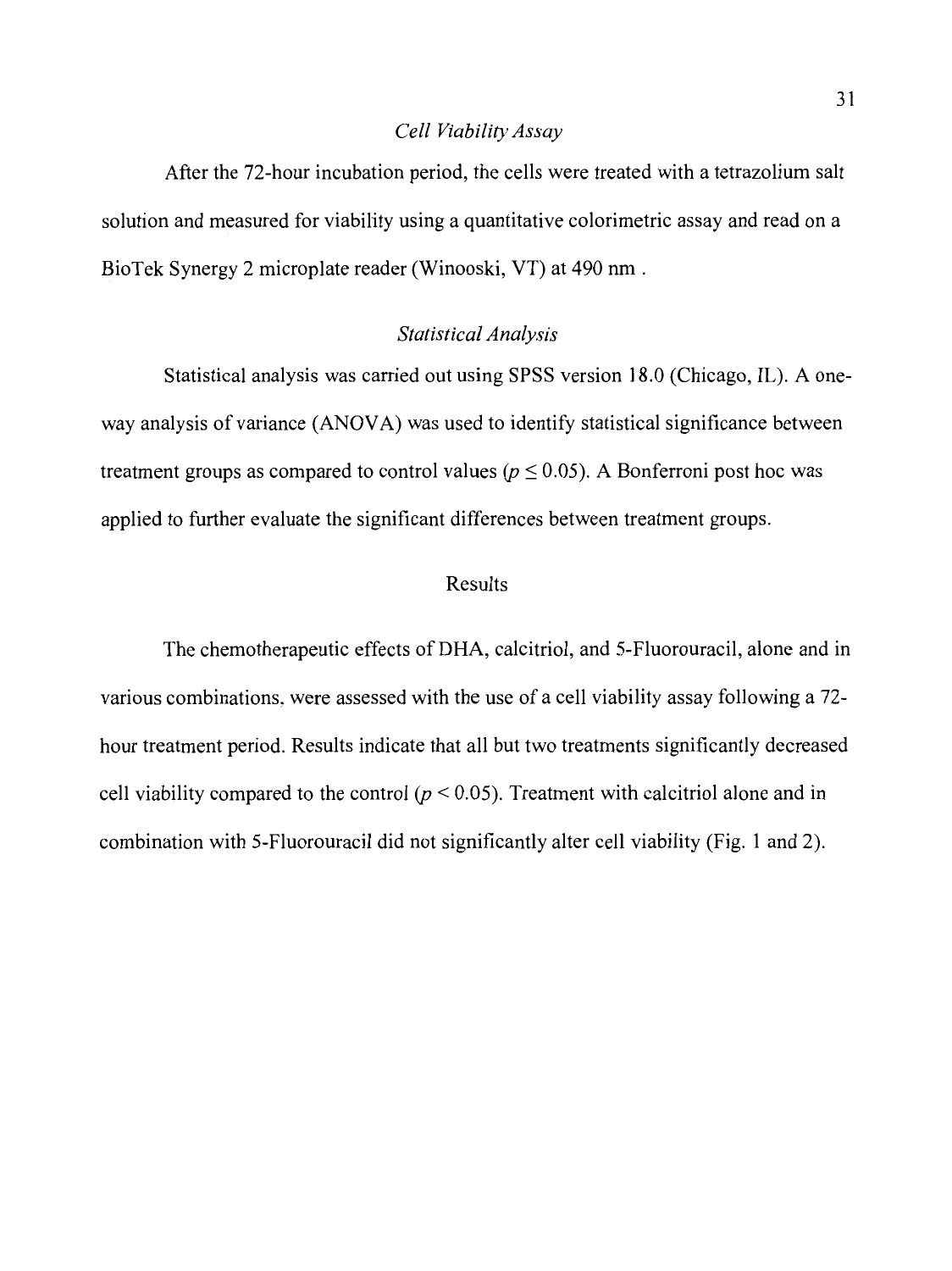## *Cell Viability Assay*

After the 72-hour incubation period, the cells were treated with a tetrazolium salt solution and measured for viability using a quantitative colorimetric assay and read on a BioTek Synergy 2 microplate reader (Winooski, VT) at 490 nm.

## *Statistical Analysis*

Statistical analysis was carried out using SPSS version 18.0 (Chicago, IL). A oneway analysis of variance (ANOVA) was used to identify statistical significance between treatment groups as compared to control values ( $p \le 0.05$ ). A Bonferroni post hoc was applied to further evaluate the significant differences between treatment groups.

## Results

The chemotherapeutic effects of DHA, calcitriol, and 5-Fluorouracil, alone and in various combinations, were assessed with the use of a cell viability assay following a 72 hour treatment period. Results indicate that all but two treatments significantly decreased cell viability compared to the control  $(p < 0.05)$ . Treatment with calcitriol alone and in combination with 5-Fluorouracil did not significantly alter cell viability (Fig. 1 and 2).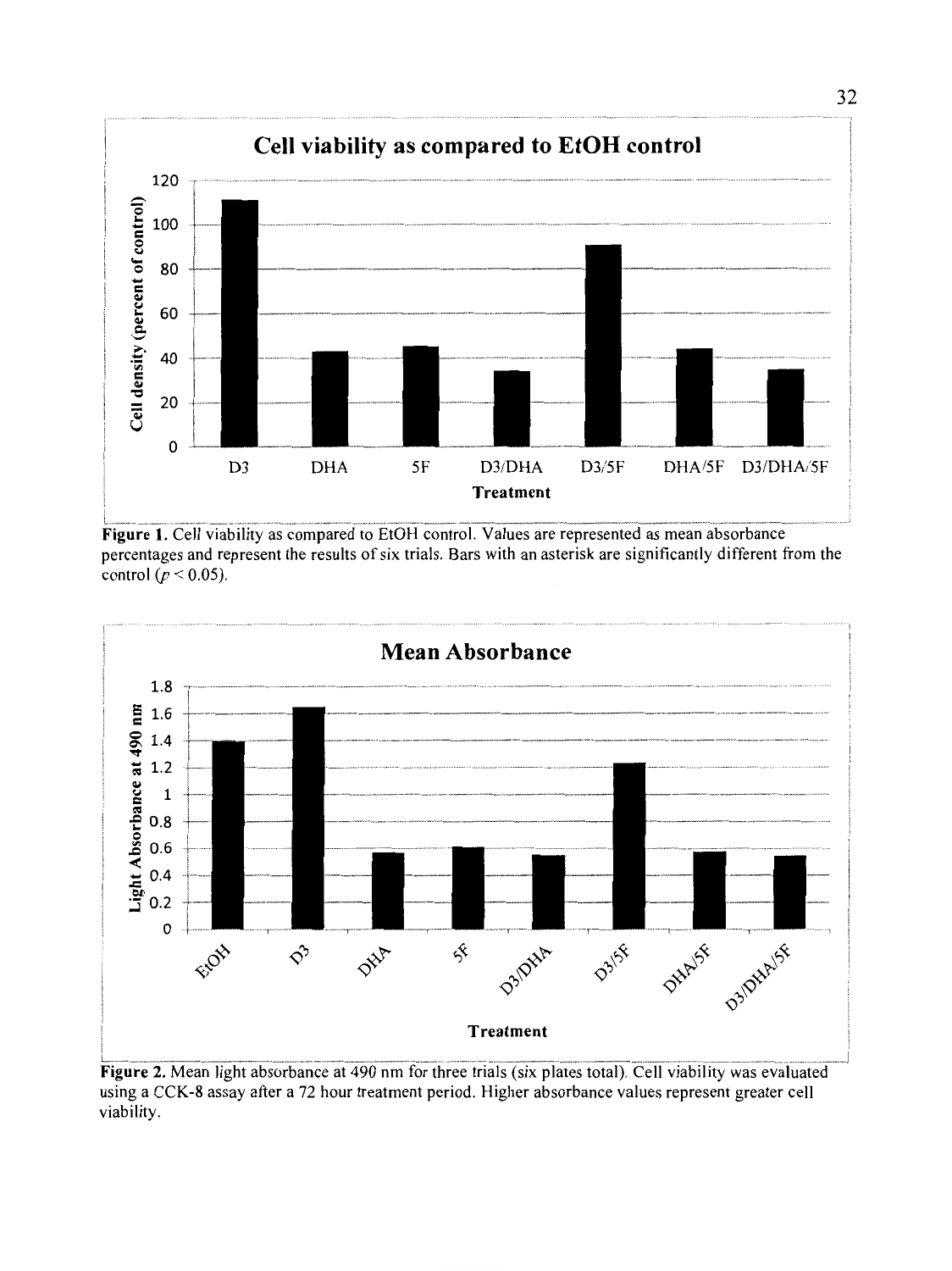

Figure 1. Cell viability as compared to EtOH control. Values are represented as mean absorbance percentages and represent the results of six trials. Bars with an asterisk are significantly different from the control  $(p < 0.05)$ .



Figure 2. Mean light absorbance at 490 nm for three trials (six plates total). Cell viability was evaluated using a CCK-8 assay after a 72 hour treatment period. Higher absorbance values represent greater cell viability.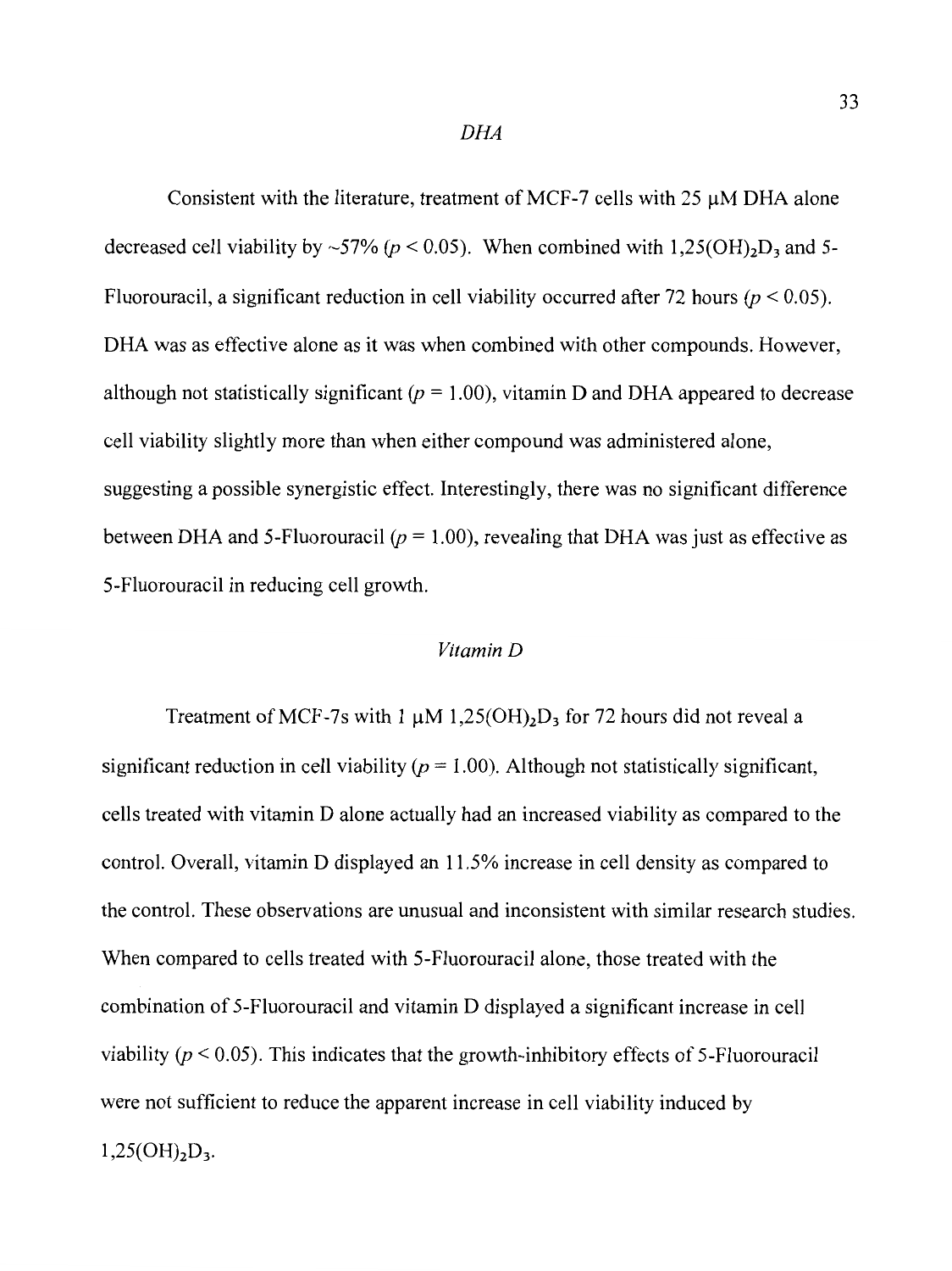Consistent with the literature, treatment of MCF-7 cells with  $25 \mu$ M DHA alone decreased cell viability by ~57%  $(p < 0.05)$ . When combined with 1,25(OH)<sub>2</sub>D<sub>3</sub> and 5-Fluorouracil, a significant reduction in cell viability occurred after 72 hours  $(p < 0.05)$ . DHA was as effective alone as it was when combined with other compounds. However, although not statistically significant  $(p = 1.00)$ , vitamin D and DHA appeared to decrease cell viability slightly more than when either compound was administered alone, suggesting a possible synergistic effect. Interestingly, there was no significant difference between DHA and 5-Fluorouracil  $(p = 1.00)$ , revealing that DHA was just as effective as 5-Fluorouracil in reducing cell growth.

## *Vitamin D*

Treatment of MCF-7s with 1  $\mu$ M 1,25(OH)<sub>2</sub>D<sub>3</sub> for 72 hours did not reveal a significant reduction in cell viability  $(p = 1.00)$ . Although not statistically significant, cells treated with vitamin D alone actually had an increased viability as compared to the control. Overall, vitamin D displayed an 11.5% increase in cell density as compared to the control. These observations are unusual and inconsistent with similar research studies. When compared to cells treated with 5-Fluorouracil alone, those treated with the combination of 5-Fluorouracil and vitamin D displayed a significant increase in cell viability *(p* < 0.05). This indicates that the growth-inhibitory effects of 5-Fluorouracil were not sufficient to reduce the apparent increase in cell viability induced by  $1,25(OH)<sub>2</sub>D<sub>3</sub>$ .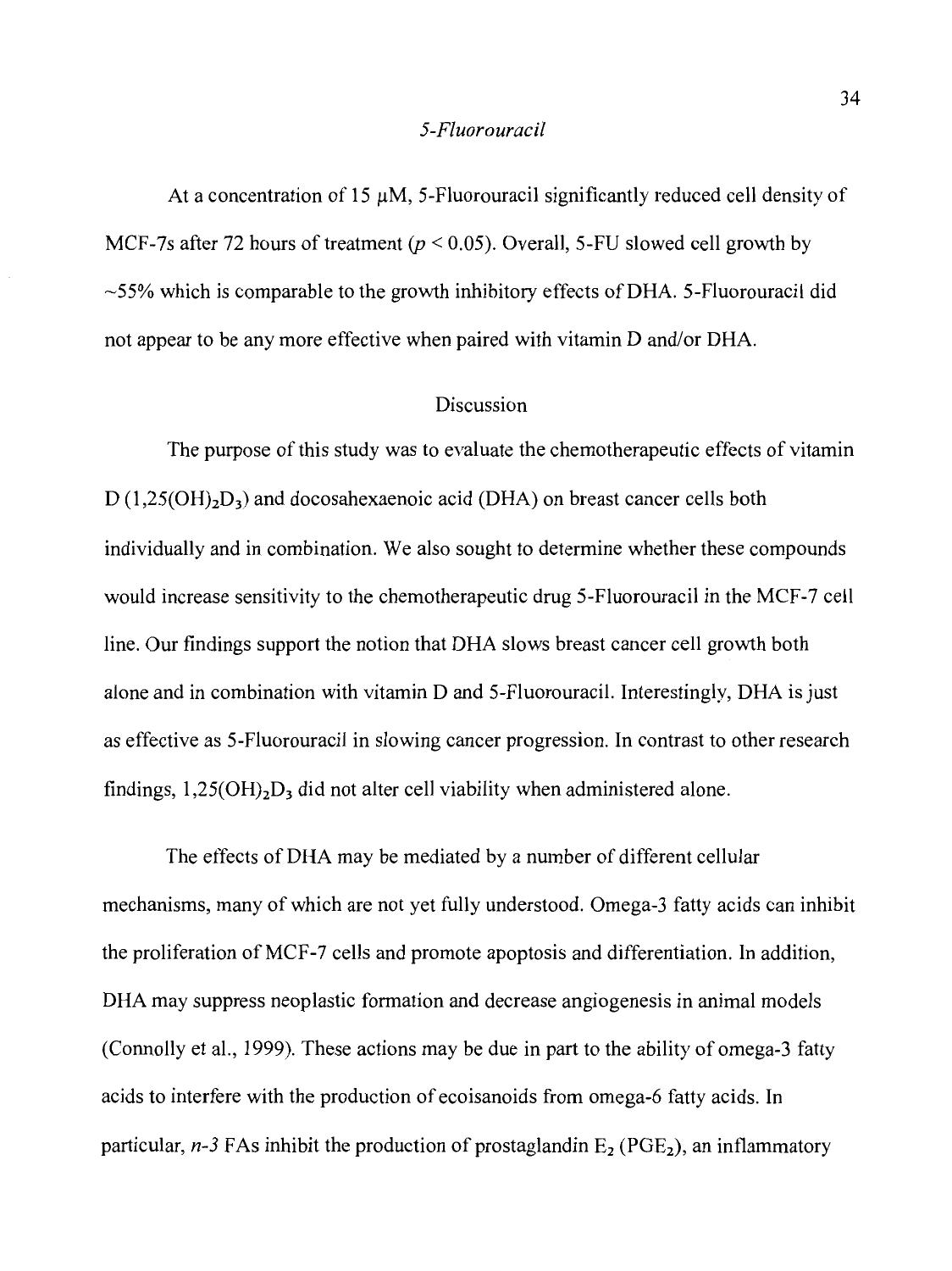#### *5-Fluorouracil*

At a concentration of 15  $\mu$ M, 5-Fluorouracil significantly reduced cell density of MCF-7s after 72 hours of treatment ( $p < 0.05$ ). Overall, 5-FU slowed cell growth by  $\sim$  55% which is comparable to the growth inhibitory effects of DHA. 5-Fluorouracil did not appear to be any more effective when paired with vitamin D and/or DHA.

## Discussion

The purpose of this study was to evaluate the chemotherapeutic effects of vitamin  $D(1,25(OH)<sub>2</sub>D<sub>3</sub>)$  and docosahexaenoic acid (DHA) on breast cancer cells both individually and in combination. We also sought to determine whether these compounds would increase sensitivity to the chemotherapeutic drug 5-Fluorouracil in the MCF-7 cell line. Our findings support the notion that DHA slows breast cancer cell growth both alone and in combination with vitamin D and 5-Fluorouracil. Interestingly, DHA is just as effective as 5-Fluorouracil in slowing cancer progression. In contrast to other research findings,  $1,25(OH)<sub>2</sub>D<sub>3</sub>$  did not alter cell viability when administered alone.

The effects of DHA may be mediated by a number of different cellular mechanisms, many of which are not yet fully understood. Omega-3 fatty acids can inhibit the proliferation of MCF-7 cells and promote apoptosis and differentiation. In addition, DHA may suppress neoplastic formation and decrease angiogenesis in animal models (Connolly et al., 1999). These actions may be due in part to the ability of omega-3 fatty acids to interfere with the production of ecoisanoids from omega-6 fatty acids. In particular,  $n-3$  FAs inhibit the production of prostaglandin  $E_2$  (PGE<sub>2</sub>), an inflammatory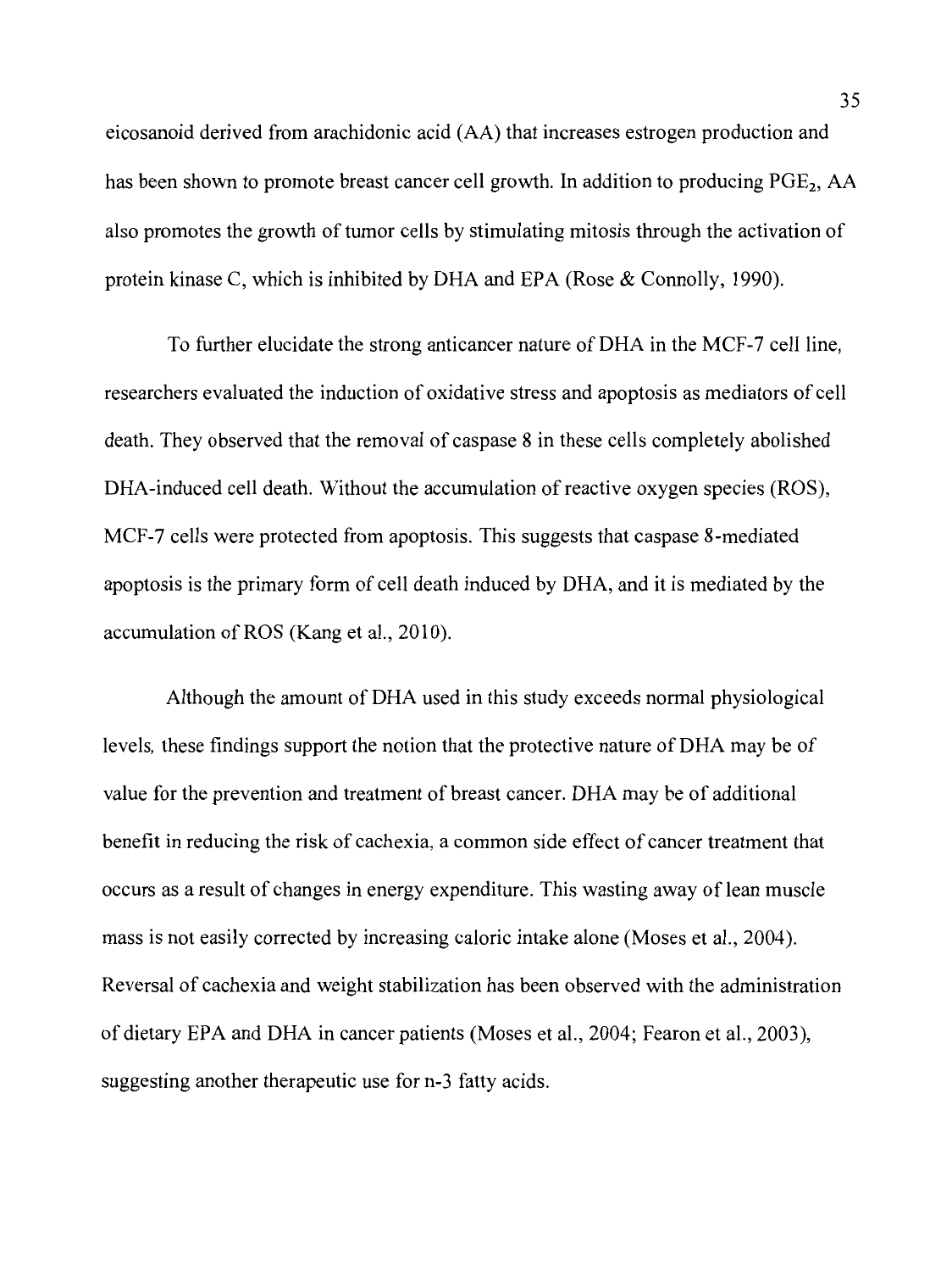eicosanoid derived from arachidonic acid (AA) that increases estrogen production and has been shown to promote breast cancer cell growth. In addition to producing  $PGE<sub>2</sub>$ , AA also promotes the growth of tumor cells by stimulating mitosis through the activation of protein kinase C, which is inhibited by DHA and EPA (Rose & Connolly, 1990).

To further elucidate the strong anticancer nature of DHA in the MCF-7 cell line, researchers evaluated the induction of oxidative stress and apoptosis as mediators of cell death. They observed that the removal of caspase 8 in these cells completely abolished DHA-induced cell death. Without the accumulation of reactive oxygen species (ROS), MCF-7 cells were protected from apoptosis. This suggests that caspase 8-mediated apoptosis is the primary form of cell death induced by DHA, and it is mediated by the accumulation of ROS (Kang et al., 2010).

Although the amount of DHA used in this study exceeds normal physiological levels, these findings support the notion that the protective nature of DHA may be of value for the prevention and treatment of breast cancer. DHA may be of additional benefit in reducing the risk of cachexia, a common side effect of cancer treatment that occurs as a result of changes in energy expenditure. This wasting away of lean muscle mass is not easily corrected by increasing caloric intake alone (Moses et al., 2004). Reversal of cachexia and weight stabilization has been observed with the administration of dietary EPA and DHA in cancer patients (Moses et al., 2004; Fearon et al., 2003), suggesting another therapeutic use for n-3 fatty acids.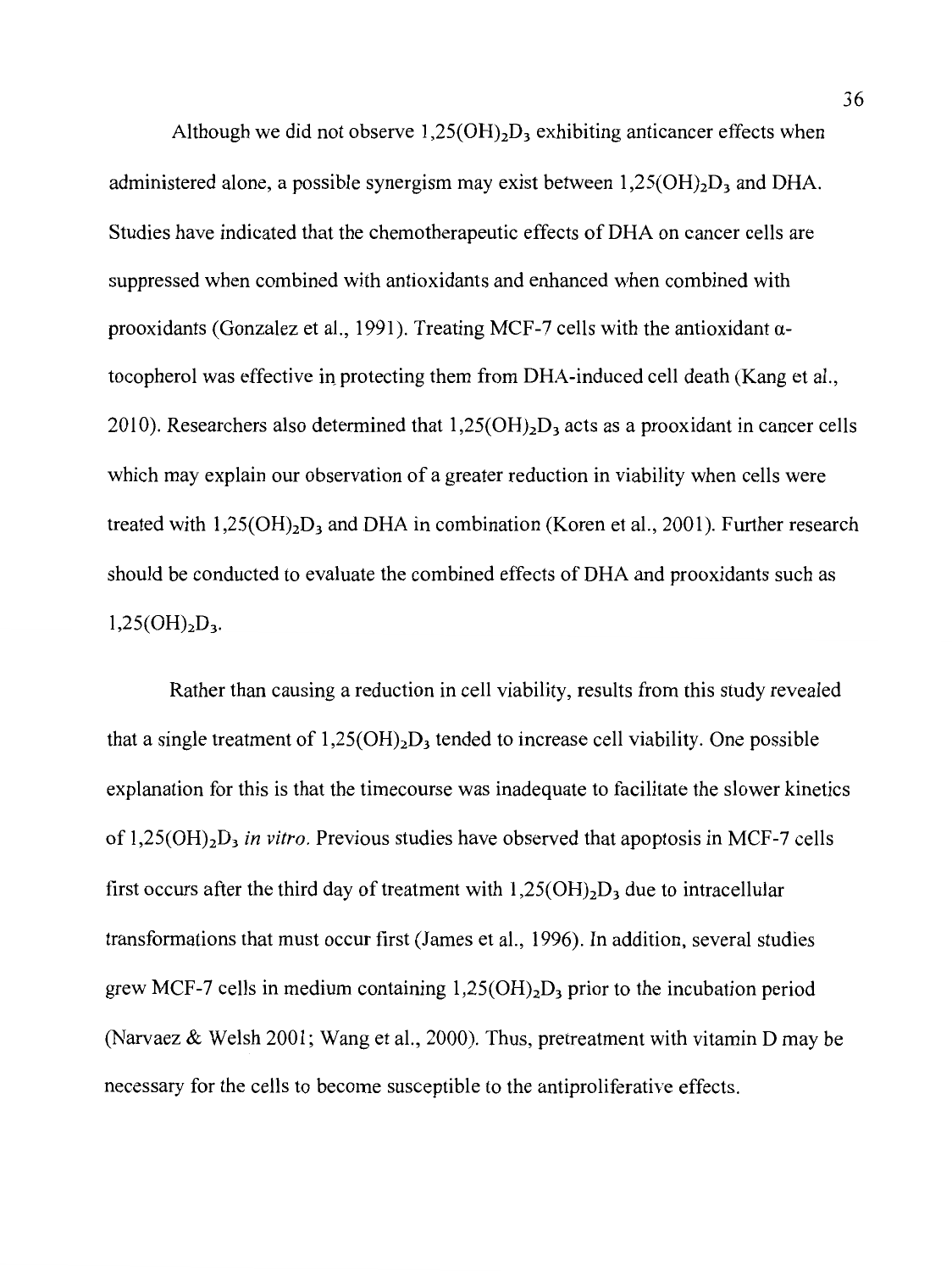Although we did not observe  $1,25(OH)_2D_3$  exhibiting anticancer effects when administered alone, a possible synergism may exist between  $1,25(OH)<sub>2</sub>D<sub>3</sub>$  and DHA. Studies have indicated that the chemotherapeutic effects of DHA on cancer cells are suppressed when combined with antioxidants and enhanced when combined with prooxidants (Gonzalez et al., 1991). Treating MCF-7 cells with the antioxidant  $\alpha$ tocopherol was effective in protecting them from DHA-induced cell death (Kang et al., 2010). Researchers also determined that  $1,25(OH)_2D_3$  acts as a prooxidant in cancer cells which may explain our observation of a greater reduction in viability when cells were treated with  $1,25(OH)<sub>2</sub>D<sub>3</sub>$  and DHA in combination (Koren et al., 2001). Further research should be conducted to evaluate the combined effects of DHA and prooxidants such as  $1,25(OH)<sub>2</sub>D<sub>3</sub>$ .

Rather than causing a reduction in cell viability, results from this study revealed that a single treatment of  $1,25(OH)_2D_3$  tended to increase cell viability. One possible explanation for this is that the timecourse was inadequate to facilitate the slower kinetics of 1,25(0H)2D3 *in vitro.* Previous studies have observed that apoptosis in MCF-7 cells first occurs after the third day of treatment with  $1,25(OH)_2D_3$  due to intracellular transformations that must occur first (James et al., 1996). In addition, several studies grew MCF-7 cells in medium containing  $1,25(OH)_2D_3$  prior to the incubation period (Narvaez & Welsh 2001; Wang et al., 2000). Thus, pretreatment with vitamin D may be necessary for the cells to become susceptible to the antiproliferative effects.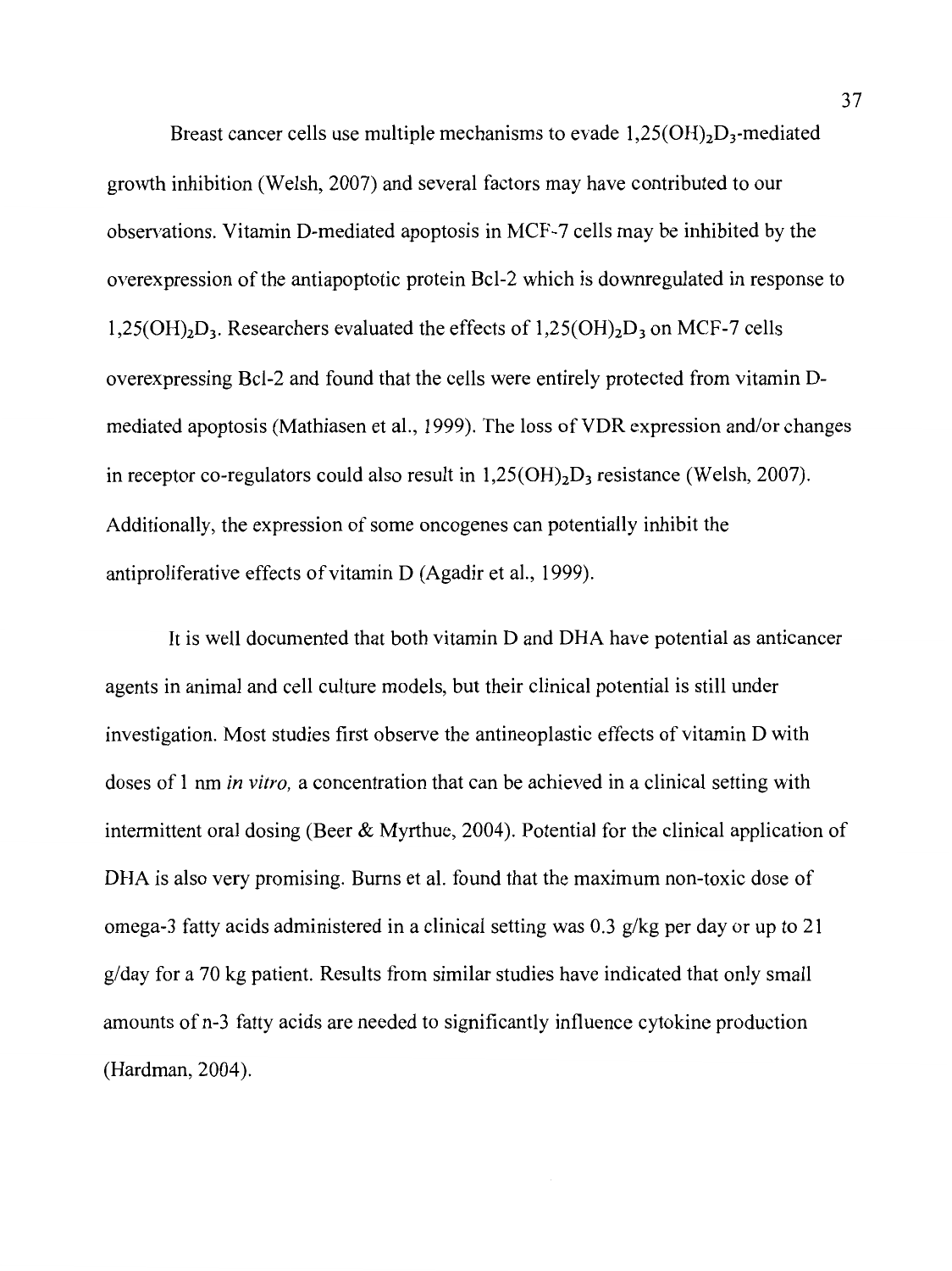Breast cancer cells use multiple mechanisms to evade  $1,25(OH)_2D_3$ -mediated growth inhibition (Welsh, 2007) and several factors may have contributed to our observations. Vitamin D-mediated apoptosis in MCF-7 cells may be inhibited by the overexpression of the antiapoptotic protein Bcl-2 which is downregulated in response to  $1,25(OH)<sub>2</sub>D<sub>3</sub>$ . Researchers evaluated the effects of  $1,25(OH)<sub>2</sub>D<sub>3</sub>$  on MCF-7 cells overexpressing Bcl-2 and found that the cells were entirely protected from vitamin Dmediated apoptosis (Mathiasen et al., 1999). The loss of VDR expression and/or changes in receptor co-regulators could also result in  $1,25(OH)<sub>2</sub>D<sub>3</sub>$  resistance (Welsh, 2007). Additionally, the expression of some oncogenes can potentially inhibit the anti proliferative effects of vitamin D (Agadir et al., 1999).

It is well documented that both vitamin D and DHA have potential as anticancer agents in animal and cell culture models, but their clinical potential is still under investigation. Most studies first observe the antineoplastic effects of vitamin D with doses of 1 nm *in vitro,* a concentration that can be achieved in a clinical setting with intermittent oral dosing (Beer  $\&$  Myrthue, 2004). Potential for the clinical application of DHA is also very promising. Bums et al. found that the maximum non-toxic dose of omega-3 fatty acids administered in a clinical setting was 0.3 g/kg per day or up to 21 g/day for a 70 kg patient. Results from similar studies have indicated that only small amounts of n-3 fatty acids are needed to significantly influence cytokine production (Hardman, 2004).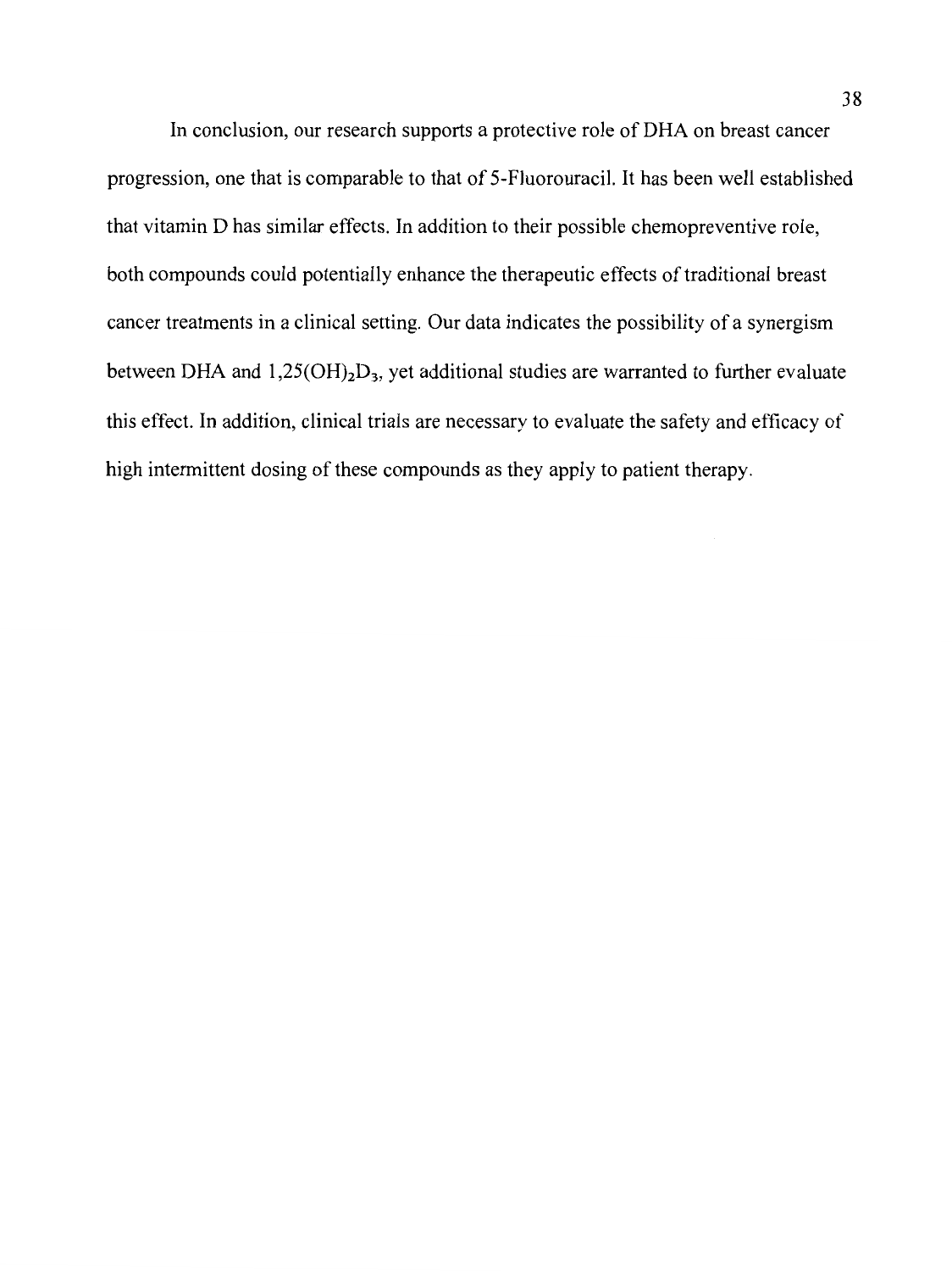In conclusion, our research supports a protective role of DHA on breast cancer progression, one that is comparable to that of 5-Fluorouracil. It has been well established that vitamin D has similar effects. In addition to their possible chemopreventive role, both compounds could potentially enhance the therapeutic effects of traditional breast cancer treatments in a clinical setting. Our data indicates the possibility of a synergism between DHA and  $1,25(OH)<sub>2</sub>D<sub>3</sub>$ , yet additional studies are warranted to further evaluate this effect. In addition, clinical trials are necessary to evaluate the safety and efficacy of high intermittent dosing of these compounds as they apply to patient therapy.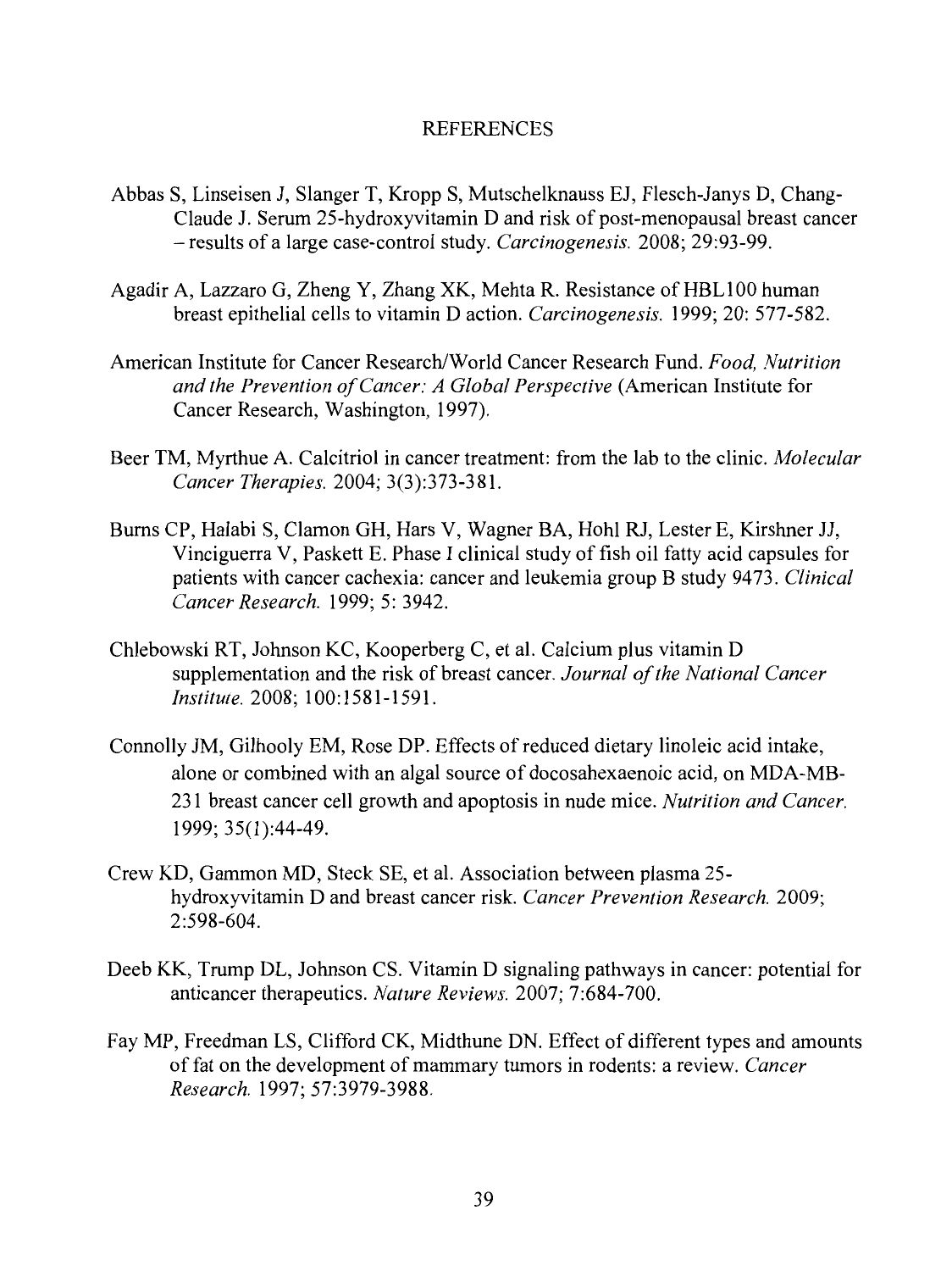## **REFERENCES**

- Abbas S, Linseisen J, Slanger T, Kropp S, Mutschelknauss EJ, Flesch-Janys D, Chang-Claude J. Serum 25-hydroxyvitamin D and risk of post-menopausal breast cancer - results of a large case-control study. *Carcinogenesis.* 2008; 29:93-99.
- Agadir A, Lazzaro G, Zheng Y, Zhang XK, Mehta R. Resistance of HBLlOO human breast epithelial cells to vitamin D action. *Carcinogenesis.* 1999; 20: 577-582.
- American Institute for Cancer Research/World Cancer Research Fund. *Food, Nutrition and the Prevention of Cancer: A Global Perspective* (American Institute for Cancer Research, Washington, 1997).
- Beer TM, Myrthue A. Calcitriol in cancer treatment: from the lab to the clinic. *Molecular Cancer Therapies.* 2004; 3(3):373-381.
- Burns CP, Halabi S, Clamon GH, Hars V, Wagner BA, Hohl RJ, Lester E, Kirshner JJ, Vinciguerra V, Paskett E. Phase I clinical study of fish oil fatty acid capsules for patients with cancer cachexia: cancer and leukemia group B study 9473. *Clinical Cancer Research.* 1999; 5: 3942.
- Chlebowski RT, Johnson KC, Kooperberg C, et al. Calcium plus vitamin D supplementation and the risk of breast cancer. *Journal of the National Cancer Institute.* 2008; 100:1581-1591.
- Connolly JM, Gilhooly EM, Rose DP. Effects of reduced dietary linoleic acid intake, alone or combined with an algal source of docosahexaenoic acid, on MDA-MB-231 breast cancer cell growth and apoptosis in nude mice. *Nutrition and Cancer.*  1999; 35(1):44-49.
- Crew KD, Gammon MD, Steck SE, et al. Association between plasma 25 hydroxyvitamin D and breast cancer risk. *Cancer Prevention Research.* 2009; 2:598-604.
- Deeb KK, Trump DL, Johnson CS. Vitamin D signaling pathways in cancer: potential for anticancer therapeutics. *Nature Reviews.* 2007; 7:684-700.
- Fay MP, Freedman LS, Clifford CK, Midthune DN. Effect of different types and amounts of fat on the development of mammary tumors in rodents: a review. *Cancer Research.* 1997; 57:3979-3988.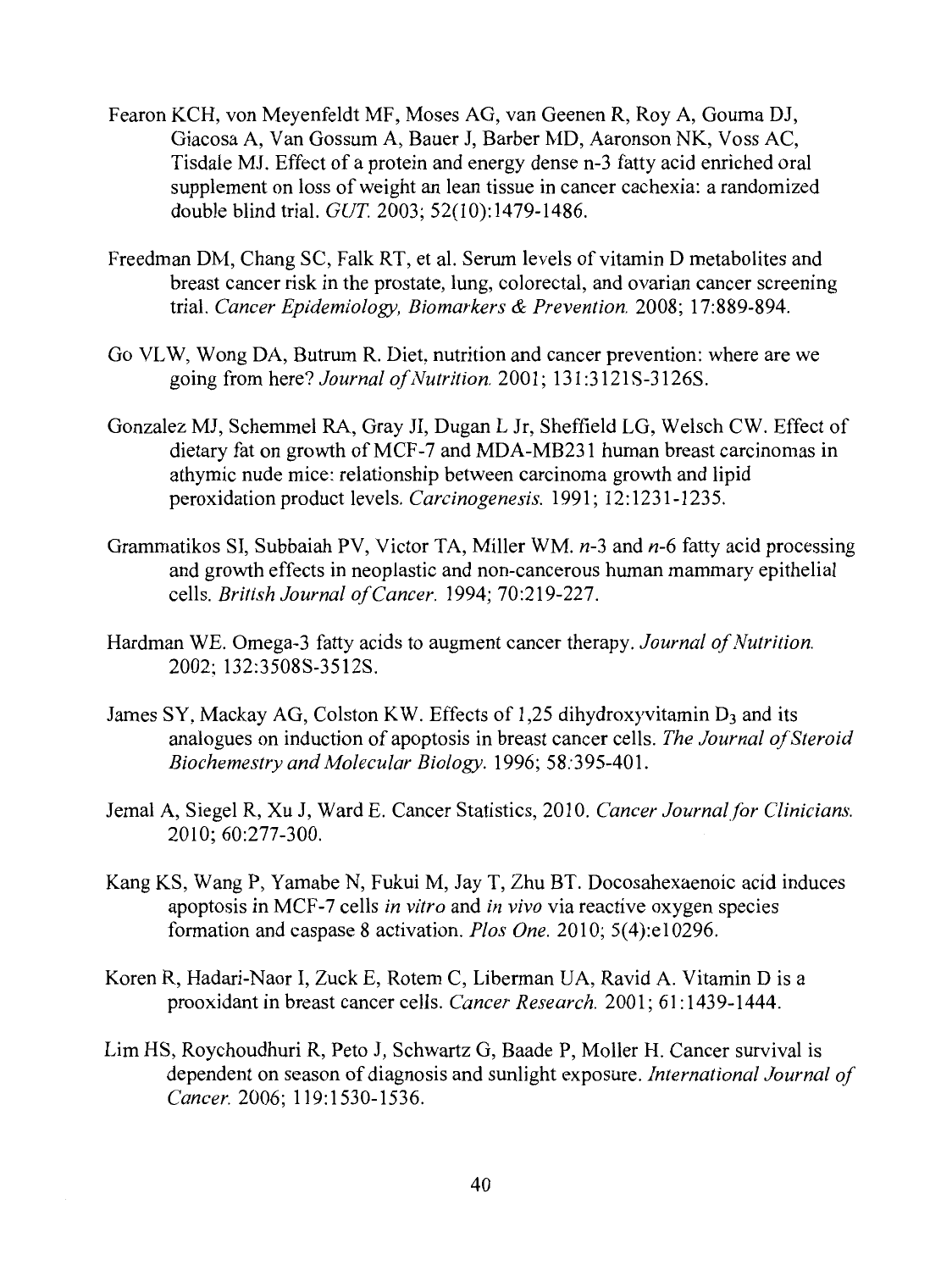- Fearon KCH, von Meyenfeldt MF, Moses AG, van Geenen R, Roy A, Gouma DJ, Giacosa A, Van Gossum A, Bauer J, Barber MD, Aaronson NK, Voss AC, Tisdale MJ. Effect of a protein and energy dense n-3 fatty acid enriched oral supplement on loss of weight an lean tissue in cancer cachexia: a randomized double blind trial. GUT 2003; 52(10):1479-1486.
- Freedman DM, Chang SC, Falk RT, et al. Serum levels of vitamin D metabolites and breast cancer risk in the prostate, lung, colorectal, and ovarian cancer screening trial. *Cancer Epidemiology, Biomarkers* & *Prevention.* 2008; 17:889-894.
- Go VLW, Wong DA, Butrum R. Diet, nutrition and cancer prevention: where are we going from here? *Journal of Nutrition.* 2001; 131:3121S-3126S.
- Gonzalez MJ, Schemmel RA, Gray JI, Dugan L Jr, Sheffield LG, Welsch CW. Effect of dietary fat on growth of MCF-7 and MDA-MB231 human breast carcinomas in athymic nude mice: relationship between carcinoma growth and lipid peroxidation product levels. *Carcinogenesis*. 1991; 12:1231-1235.
- Grammatikos SI, Subbaiah PV, Victor TA, Miller WM. *n-3* and *n-6* fatty acid processing and growth effects in neoplastic and non-cancerous human mammary epithelial cells. *British Journal of Cancer.* 1994; 70:219-227.
- Hardman WE. Omega-3 fatty acids to augment cancer therapy. *Journal of Nutrition.*  2002: 132:3508S-3512S.
- James SY, Mackay AG, Colston KW. Effects of 1,25 dihydroxyvitamin  $D_3$  and its analogues on induction of apoptosis in breast cancer cells. *The Journal of Steroid Biochemestry and Molecular Biology.* 1996; 58:395-401.
- Jemal A, Siegel R, Xu J, Ward E. Cancer Statistics, 2010. *Cancer Journal for Clinicians.*  2010; 60:277-300.
- Kang KS, Wang P, Yamabe N, Fukui M, Jay T, Zhu BT. Docosahexaenoic acid induces apoptosis in MCF-7 cells *in vitro* and *in vivo* via reactive oxygen species formation and caspase 8 activation. *Plos One.* 2010; 5(4):e10296.
- Koren R, Hadari-Naor I, Zuck E, Rotem C, Liberman UA, Ravid A. Vitamin Dis a prooxidant in breast cancer cells. *Cancer Research.* 2001; 61: 1439-1444.
- Lim HS, Roychoudhuri R, Peto J, Schwartz G, Baade P, Moller H. Cancer survival is dependent on season of diagnosis and sunlight exposure. *International Journal of Cancer.* 2006; 119:1530-1536.